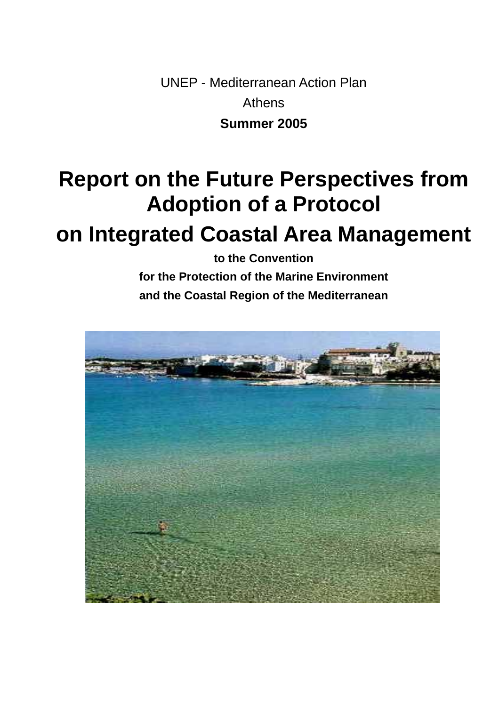UNEP - Mediterranean Action Plan Athens **Summer 2005** 

# **Report on the Future Perspectives from Adoption of a Protocol**

## **on Integrated Coastal Area Management**

**to the Convention** 

**for the Protection of the Marine Environment and the Coastal Region of the Mediterranean** 

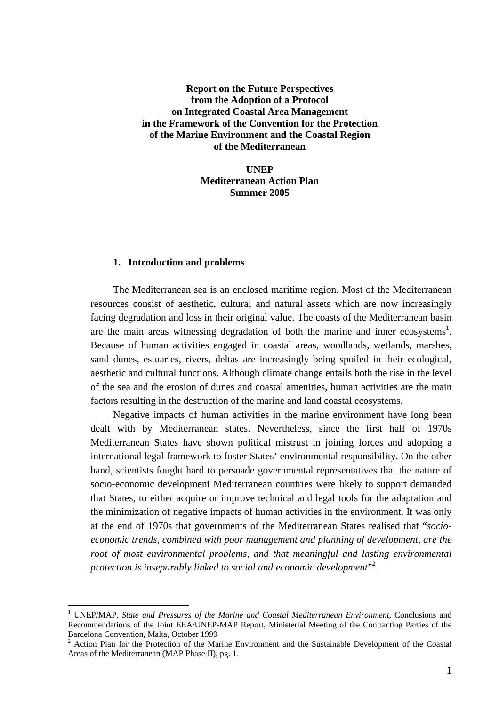## **Report on the Future Perspectives from the Adoption of a Protocol on Integrated Coastal Area Management in the Framework of the Convention for the Protection of the Marine Environment and the Coastal Region of the Mediterranean**

**UNEP Mediterranean Action Plan Summer 2005** 

#### **1. Introduction and problems**

 $\overline{a}$ 

The Mediterranean sea is an enclosed maritime region. Most of the Mediterranean resources consist of aesthetic, cultural and natural assets which are now increasingly facing degradation and loss in their original value. The coasts of the Mediterranean basin are the main areas witnessing degradation of both the marine and inner ecosystems<sup>[1](#page-1-0)</sup>. Because of human activities engaged in coastal areas, woodlands, wetlands, marshes, sand dunes, estuaries, rivers, deltas are increasingly being spoiled in their ecological, aesthetic and cultural functions. Although climate change entails both the rise in the level of the sea and the erosion of dunes and coastal amenities, human activities are the main factors resulting in the destruction of the marine and land coastal ecosystems.

Negative impacts of human activities in the marine environment have long been dealt with by Mediterranean states. Nevertheless, since the first half of 1970s Mediterranean States have shown political mistrust in joining forces and adopting a international legal framework to foster States' environmental responsibility. On the other hand, scientists fought hard to persuade governmental representatives that the nature of socio-economic development Mediterranean countries were likely to support demanded that States, to either acquire or improve technical and legal tools for the adaptation and the minimization of negative impacts of human activities in the environment. It was only at the end of 1970s that governments of the Mediterranean States realised that "*socioeconomic trends, combined with poor management and planning of development, are the root of most environmental problems, and that meaningful and lasting environmental*  protection is inseparably linked to social and economic development"<sup>[2](#page-1-1)</sup>.

<span id="page-1-0"></span><sup>1</sup> UNEP/MAP, *State and Pressures of the Marine and Coastal Mediterranean Environment*, Conclusions and Recommendations of the Joint EEA/UNEP-MAP Report, Ministerial Meeting of the Contracting Parties of the Barcelona Convention, Malta, October 1999<br><sup>2</sup> Action Plan for the Protection of the Marine Environment and the Sustainable Development of the Coastal

<span id="page-1-1"></span>Areas of the Mediterranean (MAP Phase II), pg. 1.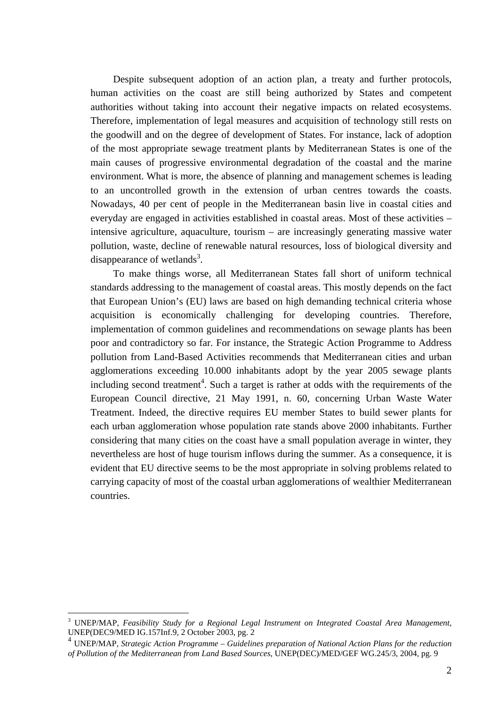Despite subsequent adoption of an action plan, a treaty and further protocols, human activities on the coast are still being authorized by States and competent authorities without taking into account their negative impacts on related ecosystems. Therefore, implementation of legal measures and acquisition of technology still rests on the goodwill and on the degree of development of States. For instance, lack of adoption of the most appropriate sewage treatment plants by Mediterranean States is one of the main causes of progressive environmental degradation of the coastal and the marine environment. What is more, the absence of planning and management schemes is leading to an uncontrolled growth in the extension of urban centres towards the coasts. Nowadays, 40 per cent of people in the Mediterranean basin live in coastal cities and everyday are engaged in activities established in coastal areas. Most of these activities – intensive agriculture, aquaculture, tourism – are increasingly generating massive water pollution, waste, decline of renewable natural resources, loss of biological diversity and disappearance of wetlands<sup>[3](#page-2-0)</sup>.

To make things worse, all Mediterranean States fall short of uniform technical standards addressing to the management of coastal areas. This mostly depends on the fact that European Union's (EU) laws are based on high demanding technical criteria whose acquisition is economically challenging for developing countries. Therefore, implementation of common guidelines and recommendations on sewage plants has been poor and contradictory so far. For instance, the Strategic Action Programme to Address pollution from Land-Based Activities recommends that Mediterranean cities and urban agglomerations exceeding 10.000 inhabitants adopt by the year 2005 sewage plants including second treatment<sup>[4](#page-2-1)</sup>. Such a target is rather at odds with the requirements of the European Council directive, 21 May 1991, n. 60, concerning Urban Waste Water Treatment. Indeed, the directive requires EU member States to build sewer plants for each urban agglomeration whose population rate stands above 2000 inhabitants. Further considering that many cities on the coast have a small population average in winter, they nevertheless are host of huge tourism inflows during the summer. As a consequence, it is evident that EU directive seems to be the most appropriate in solving problems related to carrying capacity of most of the coastal urban agglomerations of wealthier Mediterranean countries.

<span id="page-2-0"></span><sup>3</sup> UNEP/MAP, *Feasibility Study for a Regional Legal Instrument on Integrated Coastal Area Management*, UNEP(DEC9/MED IG.157Inf.9, 2 October 2003, pg. 2

<span id="page-2-1"></span><sup>4</sup> UNEP/MAP, *Strategic Action Programme – Guidelines preparation of National Action Plans for the reduction of Pollution of the Mediterranean from Land Based Sources*, UNEP(DEC)/MED/GEF WG.245/3, 2004, pg. 9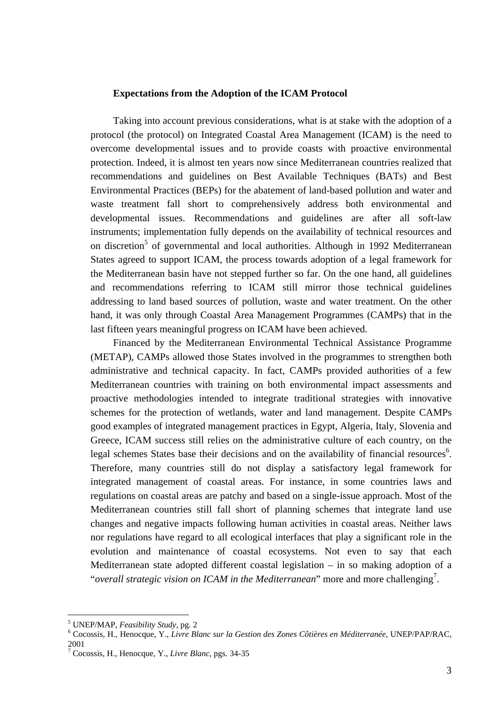#### **Expectations from the Adoption of the ICAM Protocol**

Taking into account previous considerations, what is at stake with the adoption of a protocol (the protocol) on Integrated Coastal Area Management (ICAM) is the need to overcome developmental issues and to provide coasts with proactive environmental protection. Indeed, it is almost ten years now since Mediterranean countries realized that recommendations and guidelines on Best Available Techniques (BATs) and Best Environmental Practices (BEPs) for the abatement of land-based pollution and water and waste treatment fall short to comprehensively address both environmental and developmental issues. Recommendations and guidelines are after all soft-law instruments; implementation fully depends on the availability of technical resources and on discretion<sup>[5](#page-3-0)</sup> of governmental and local authorities. Although in 1992 Mediterranean States agreed to support ICAM, the process towards adoption of a legal framework for the Mediterranean basin have not stepped further so far. On the one hand, all guidelines and recommendations referring to ICAM still mirror those technical guidelines addressing to land based sources of pollution, waste and water treatment. On the other hand, it was only through Coastal Area Management Programmes (CAMPs) that in the last fifteen years meaningful progress on ICAM have been achieved.

Financed by the Mediterranean Environmental Technical Assistance Programme (METAP), CAMPs allowed those States involved in the programmes to strengthen both administrative and technical capacity. In fact, CAMPs provided authorities of a few Mediterranean countries with training on both environmental impact assessments and proactive methodologies intended to integrate traditional strategies with innovative schemes for the protection of wetlands, water and land management. Despite CAMPs good examples of integrated management practices in Egypt, Algeria, Italy, Slovenia and Greece, ICAM success still relies on the administrative culture of each country, on the legal schemes States base their decisions and on the availability of financial resources<sup>6</sup>. Therefore, many countries still do not display a satisfactory legal framework for integrated management of coastal areas. For instance, in some countries laws and regulations on coastal areas are patchy and based on a single-issue approach. Most of the Mediterranean countries still fall short of planning schemes that integrate land use changes and negative impacts following human activities in coastal areas. Neither laws nor regulations have regard to all ecological interfaces that play a significant role in the evolution and maintenance of coastal ecosystems. Not even to say that each Mediterranean state adopted different coastal legislation – in so making adoption of a "*overall strategic vision on ICAM in the Mediterranean*" more and more challenging<sup>[7](#page-3-2)</sup>.

<span id="page-3-0"></span><sup>&</sup>lt;sup>5</sup> UNEP/MAP, *Feasibility Study*, pg. 2<br><sup>6</sup> Cogossis H, Hapoggue *V, Livre Pl.* 

<span id="page-3-1"></span>Cocossis, H., Henocque, Y., *Livre Blanc sur la Gestion des Zones Côtières en Méditerranée*, UNEP/PAP/RAC, <sup>2001</sup><sup>7</sup>

<span id="page-3-2"></span>Cocossis, H., Henocque, Y., *Livre Blanc*, pgs. 34-35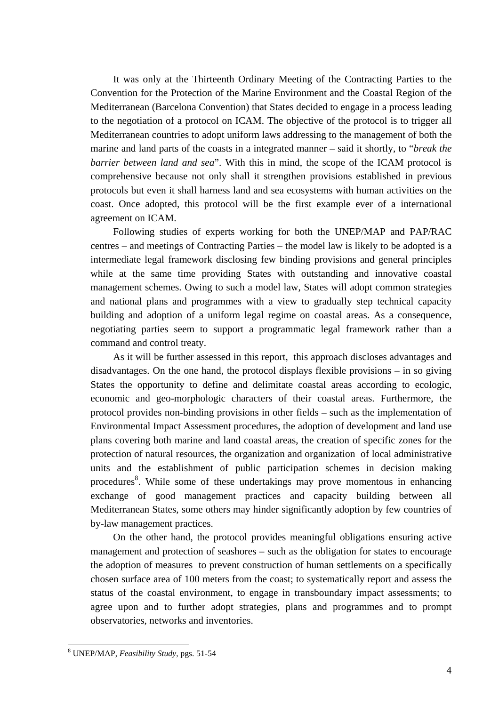It was only at the Thirteenth Ordinary Meeting of the Contracting Parties to the Convention for the Protection of the Marine Environment and the Coastal Region of the Mediterranean (Barcelona Convention) that States decided to engage in a process leading to the negotiation of a protocol on ICAM. The objective of the protocol is to trigger all Mediterranean countries to adopt uniform laws addressing to the management of both the marine and land parts of the coasts in a integrated manner – said it shortly, to "*break the barrier between land and sea*". With this in mind, the scope of the ICAM protocol is comprehensive because not only shall it strengthen provisions established in previous protocols but even it shall harness land and sea ecosystems with human activities on the coast. Once adopted, this protocol will be the first example ever of a international agreement on ICAM.

Following studies of experts working for both the UNEP/MAP and PAP/RAC centres – and meetings of Contracting Parties – the model law is likely to be adopted is a intermediate legal framework disclosing few binding provisions and general principles while at the same time providing States with outstanding and innovative coastal management schemes. Owing to such a model law, States will adopt common strategies and national plans and programmes with a view to gradually step technical capacity building and adoption of a uniform legal regime on coastal areas. As a consequence, negotiating parties seem to support a programmatic legal framework rather than a command and control treaty.

As it will be further assessed in this report, this approach discloses advantages and disadvantages. On the one hand, the protocol displays flexible provisions – in so giving States the opportunity to define and delimitate coastal areas according to ecologic, economic and geo-morphologic characters of their coastal areas. Furthermore, the protocol provides non-binding provisions in other fields – such as the implementation of Environmental Impact Assessment procedures, the adoption of development and land use plans covering both marine and land coastal areas, the creation of specific zones for the protection of natural resources, the organization and organization of local administrative units and the establishment of public participation schemes in decision making procedures<sup>[8](#page-4-0)</sup>. While some of these undertakings may prove momentous in enhancing exchange of good management practices and capacity building between all Mediterranean States, some others may hinder significantly adoption by few countries of by-law management practices.

On the other hand, the protocol provides meaningful obligations ensuring active management and protection of seashores – such as the obligation for states to encourage the adoption of measures to prevent construction of human settlements on a specifically chosen surface area of 100 meters from the coast; to systematically report and assess the status of the coastal environment, to engage in transboundary impact assessments; to agree upon and to further adopt strategies, plans and programmes and to prompt observatories, networks and inventories.

<span id="page-4-0"></span><sup>8</sup> UNEP/MAP, *Feasibility Study*, pgs. 51-54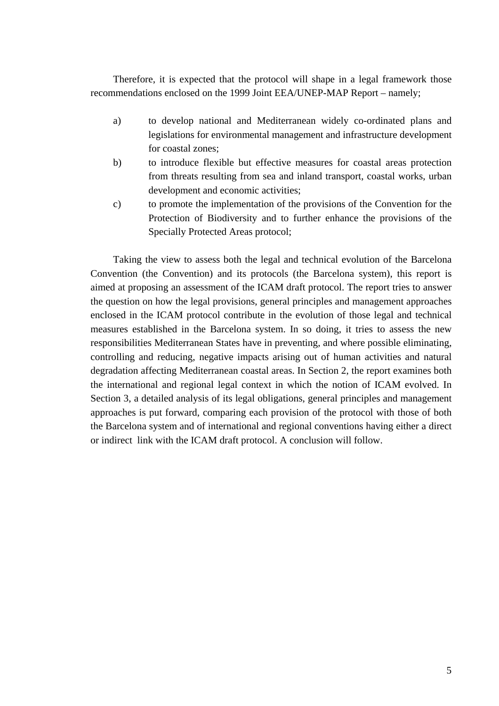Therefore, it is expected that the protocol will shape in a legal framework those recommendations enclosed on the 1999 Joint EEA/UNEP-MAP Report – namely;

- a) to develop national and Mediterranean widely co-ordinated plans and legislations for environmental management and infrastructure development for coastal zones;
- b) to introduce flexible but effective measures for coastal areas protection from threats resulting from sea and inland transport, coastal works, urban development and economic activities;
- c) to promote the implementation of the provisions of the Convention for the Protection of Biodiversity and to further enhance the provisions of the Specially Protected Areas protocol;

Taking the view to assess both the legal and technical evolution of the Barcelona Convention (the Convention) and its protocols (the Barcelona system), this report is aimed at proposing an assessment of the ICAM draft protocol. The report tries to answer the question on how the legal provisions, general principles and management approaches enclosed in the ICAM protocol contribute in the evolution of those legal and technical measures established in the Barcelona system. In so doing, it tries to assess the new responsibilities Mediterranean States have in preventing, and where possible eliminating, controlling and reducing, negative impacts arising out of human activities and natural degradation affecting Mediterranean coastal areas. In Section 2, the report examines both the international and regional legal context in which the notion of ICAM evolved. In Section 3, a detailed analysis of its legal obligations, general principles and management approaches is put forward, comparing each provision of the protocol with those of both the Barcelona system and of international and regional conventions having either a direct or indirect link with the ICAM draft protocol. A conclusion will follow.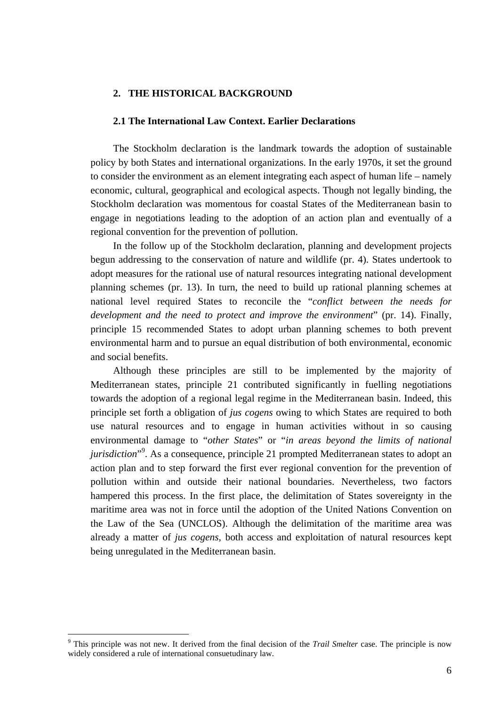## **2. THE HISTORICAL BACKGROUND**

#### **2.1 The International Law Context. Earlier Declarations**

The Stockholm declaration is the landmark towards the adoption of sustainable policy by both States and international organizations. In the early 1970s, it set the ground to consider the environment as an element integrating each aspect of human life – namely economic, cultural, geographical and ecological aspects. Though not legally binding, the Stockholm declaration was momentous for coastal States of the Mediterranean basin to engage in negotiations leading to the adoption of an action plan and eventually of a regional convention for the prevention of pollution.

In the follow up of the Stockholm declaration, planning and development projects begun addressing to the conservation of nature and wildlife (pr. 4). States undertook to adopt measures for the rational use of natural resources integrating national development planning schemes (pr. 13). In turn, the need to build up rational planning schemes at national level required States to reconcile the "*conflict between the needs for development and the need to protect and improve the environment*" (pr. 14). Finally, principle 15 recommended States to adopt urban planning schemes to both prevent environmental harm and to pursue an equal distribution of both environmental, economic and social benefits.

Although these principles are still to be implemented by the majority of Mediterranean states, principle 21 contributed significantly in fuelling negotiations towards the adoption of a regional legal regime in the Mediterranean basin. Indeed, this principle set forth a obligation of *jus cogens* owing to which States are required to both use natural resources and to engage in human activities without in so causing environmental damage to "*other States*" or "*in areas beyond the limits of national jurisdiction*"<sup>[9](#page-6-0)</sup>. As a consequence, principle 21 prompted Mediterranean states to adopt an action plan and to step forward the first ever regional convention for the prevention of pollution within and outside their national boundaries. Nevertheless, two factors hampered this process. In the first place, the delimitation of States sovereignty in the maritime area was not in force until the adoption of the United Nations Convention on the Law of the Sea (UNCLOS). Although the delimitation of the maritime area was already a matter of *jus cogens*, both access and exploitation of natural resources kept being unregulated in the Mediterranean basin.

<span id="page-6-0"></span><sup>9</sup> This principle was not new. It derived from the final decision of the *Trail Smelter* case. The principle is now widely considered a rule of international consuetudinary law.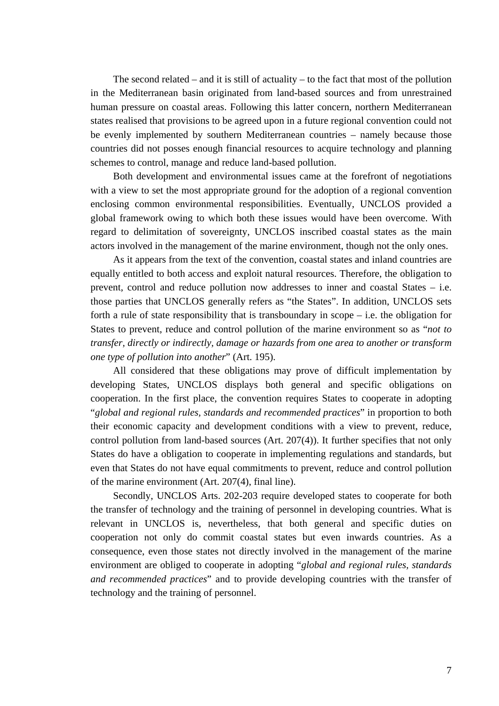The second related – and it is still of actuality – to the fact that most of the pollution in the Mediterranean basin originated from land-based sources and from unrestrained human pressure on coastal areas. Following this latter concern, northern Mediterranean states realised that provisions to be agreed upon in a future regional convention could not be evenly implemented by southern Mediterranean countries – namely because those countries did not posses enough financial resources to acquire technology and planning schemes to control, manage and reduce land-based pollution.

Both development and environmental issues came at the forefront of negotiations with a view to set the most appropriate ground for the adoption of a regional convention enclosing common environmental responsibilities. Eventually, UNCLOS provided a global framework owing to which both these issues would have been overcome. With regard to delimitation of sovereignty, UNCLOS inscribed coastal states as the main actors involved in the management of the marine environment, though not the only ones.

As it appears from the text of the convention, coastal states and inland countries are equally entitled to both access and exploit natural resources. Therefore, the obligation to prevent, control and reduce pollution now addresses to inner and coastal States – i.e. those parties that UNCLOS generally refers as "the States". In addition, UNCLOS sets forth a rule of state responsibility that is transboundary in scope – i.e. the obligation for States to prevent, reduce and control pollution of the marine environment so as "*not to transfer, directly or indirectly, damage or hazards from one area to another or transform one type of pollution into another*" (Art. 195).

All considered that these obligations may prove of difficult implementation by developing States, UNCLOS displays both general and specific obligations on cooperation. In the first place, the convention requires States to cooperate in adopting "*global and regional rules, standards and recommended practices*" in proportion to both their economic capacity and development conditions with a view to prevent, reduce, control pollution from land-based sources (Art. 207(4)). It further specifies that not only States do have a obligation to cooperate in implementing regulations and standards, but even that States do not have equal commitments to prevent, reduce and control pollution of the marine environment (Art. 207(4), final line).

Secondly, UNCLOS Arts. 202-203 require developed states to cooperate for both the transfer of technology and the training of personnel in developing countries. What is relevant in UNCLOS is, nevertheless, that both general and specific duties on cooperation not only do commit coastal states but even inwards countries. As a consequence, even those states not directly involved in the management of the marine environment are obliged to cooperate in adopting "*global and regional rules, standards and recommended practices*" and to provide developing countries with the transfer of technology and the training of personnel.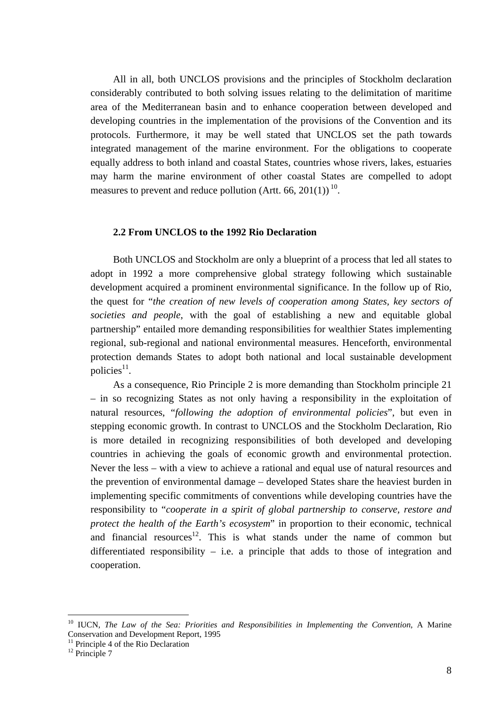All in all, both UNCLOS provisions and the principles of Stockholm declaration considerably contributed to both solving issues relating to the delimitation of maritime area of the Mediterranean basin and to enhance cooperation between developed and developing countries in the implementation of the provisions of the Convention and its protocols. Furthermore, it may be well stated that UNCLOS set the path towards integrated management of the marine environment. For the obligations to cooperate equally address to both inland and coastal States, countries whose rivers, lakes, estuaries may harm the marine environment of other coastal States are compelled to adopt measures to prevent and reduce pollution (Artt. 66, 201(1))<sup>10</sup>.

#### **2.2 From UNCLOS to the 1992 Rio Declaration**

Both UNCLOS and Stockholm are only a blueprint of a process that led all states to adopt in 1992 a more comprehensive global strategy following which sustainable development acquired a prominent environmental significance. In the follow up of Rio, the quest for "*the creation of new levels of cooperation among States, key sectors of societies and people*, with the goal of establishing a new and equitable global partnership" entailed more demanding responsibilities for wealthier States implementing regional, sub-regional and national environmental measures. Henceforth, environmental protection demands States to adopt both national and local sustainable development policies $11$ .

As a consequence, Rio Principle 2 is more demanding than Stockholm principle 21 – in so recognizing States as not only having a responsibility in the exploitation of natural resources, "*following the adoption of environmental policies*", but even in stepping economic growth. In contrast to UNCLOS and the Stockholm Declaration, Rio is more detailed in recognizing responsibilities of both developed and developing countries in achieving the goals of economic growth and environmental protection. Never the less – with a view to achieve a rational and equal use of natural resources and the prevention of environmental damage – developed States share the heaviest burden in implementing specific commitments of conventions while developing countries have the responsibility to "*cooperate in a spirit of global partnership to conserve, restore and protect the health of the Earth's ecosystem*" in proportion to their economic, technical and financial resources<sup>12</sup>. This is what stands under the name of common but differentiated responsibility – i.e. a principle that adds to those of integration and cooperation.

<span id="page-8-0"></span><sup>&</sup>lt;sup>10</sup> IUCN, *The Law of the Sea: Priorities and Responsibilities in Implementing the Convention*, A Marine Conservation and Development Report, 1995<br><sup>11</sup> Principle 4 of the Rio Declaration

<span id="page-8-1"></span>

<span id="page-8-2"></span><sup>&</sup>lt;sup>12</sup> Principle 7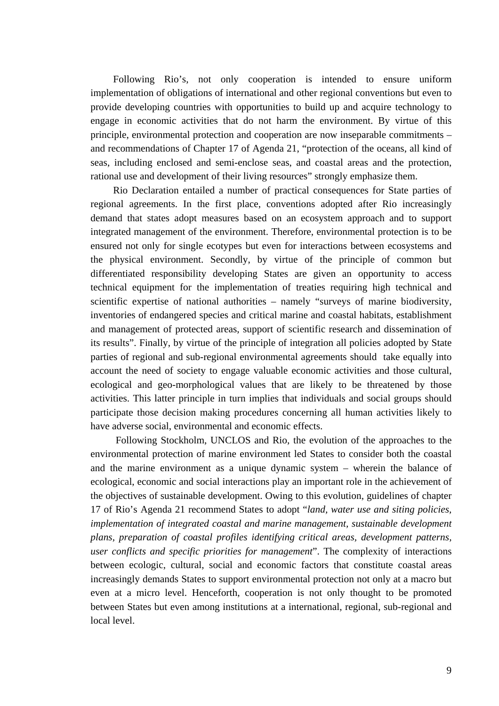Following Rio's, not only cooperation is intended to ensure uniform implementation of obligations of international and other regional conventions but even to provide developing countries with opportunities to build up and acquire technology to engage in economic activities that do not harm the environment. By virtue of this principle, environmental protection and cooperation are now inseparable commitments – and recommendations of Chapter 17 of Agenda 21, "protection of the oceans, all kind of seas, including enclosed and semi-enclose seas, and coastal areas and the protection, rational use and development of their living resources" strongly emphasize them.

Rio Declaration entailed a number of practical consequences for State parties of regional agreements. In the first place, conventions adopted after Rio increasingly demand that states adopt measures based on an ecosystem approach and to support integrated management of the environment. Therefore, environmental protection is to be ensured not only for single ecotypes but even for interactions between ecosystems and the physical environment. Secondly, by virtue of the principle of common but differentiated responsibility developing States are given an opportunity to access technical equipment for the implementation of treaties requiring high technical and scientific expertise of national authorities – namely "surveys of marine biodiversity, inventories of endangered species and critical marine and coastal habitats, establishment and management of protected areas, support of scientific research and dissemination of its results". Finally, by virtue of the principle of integration all policies adopted by State parties of regional and sub-regional environmental agreements should take equally into account the need of society to engage valuable economic activities and those cultural, ecological and geo-morphological values that are likely to be threatened by those activities. This latter principle in turn implies that individuals and social groups should participate those decision making procedures concerning all human activities likely to have adverse social, environmental and economic effects.

Following Stockholm, UNCLOS and Rio, the evolution of the approaches to the environmental protection of marine environment led States to consider both the coastal and the marine environment as a unique dynamic system – wherein the balance of ecological, economic and social interactions play an important role in the achievement of the objectives of sustainable development. Owing to this evolution, guidelines of chapter 17 of Rio's Agenda 21 recommend States to adopt "*land, water use and siting policies, implementation of integrated coastal and marine management, sustainable development plans, preparation of coastal profiles identifying critical areas, development patterns, user conflicts and specific priorities for management*". The complexity of interactions between ecologic, cultural, social and economic factors that constitute coastal areas increasingly demands States to support environmental protection not only at a macro but even at a micro level. Henceforth, cooperation is not only thought to be promoted between States but even among institutions at a international, regional, sub-regional and local level.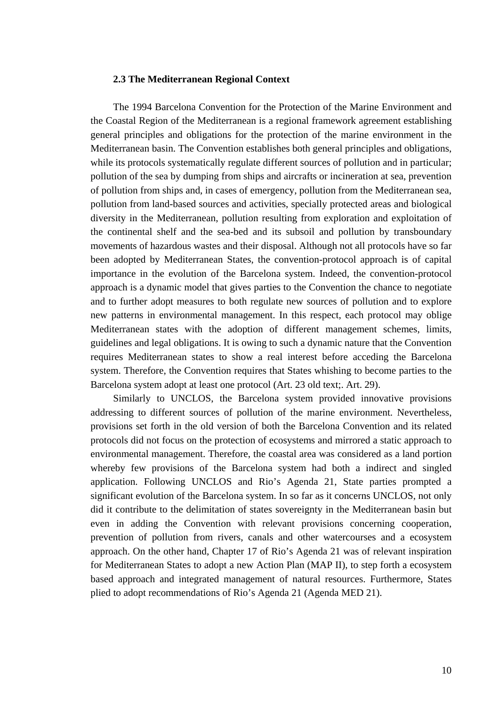#### **2.3 The Mediterranean Regional Context**

The 1994 Barcelona Convention for the Protection of the Marine Environment and the Coastal Region of the Mediterranean is a regional framework agreement establishing general principles and obligations for the protection of the marine environment in the Mediterranean basin. The Convention establishes both general principles and obligations, while its protocols systematically regulate different sources of pollution and in particular; pollution of the sea by dumping from ships and aircrafts or incineration at sea, prevention of pollution from ships and, in cases of emergency, pollution from the Mediterranean sea, pollution from land-based sources and activities, specially protected areas and biological diversity in the Mediterranean, pollution resulting from exploration and exploitation of the continental shelf and the sea-bed and its subsoil and pollution by transboundary movements of hazardous wastes and their disposal. Although not all protocols have so far been adopted by Mediterranean States, the convention-protocol approach is of capital importance in the evolution of the Barcelona system. Indeed, the convention-protocol approach is a dynamic model that gives parties to the Convention the chance to negotiate and to further adopt measures to both regulate new sources of pollution and to explore new patterns in environmental management. In this respect, each protocol may oblige Mediterranean states with the adoption of different management schemes, limits, guidelines and legal obligations. It is owing to such a dynamic nature that the Convention requires Mediterranean states to show a real interest before acceding the Barcelona system. Therefore, the Convention requires that States whishing to become parties to the Barcelona system adopt at least one protocol (Art. 23 old text;. Art. 29).

Similarly to UNCLOS, the Barcelona system provided innovative provisions addressing to different sources of pollution of the marine environment. Nevertheless, provisions set forth in the old version of both the Barcelona Convention and its related protocols did not focus on the protection of ecosystems and mirrored a static approach to environmental management. Therefore, the coastal area was considered as a land portion whereby few provisions of the Barcelona system had both a indirect and singled application. Following UNCLOS and Rio's Agenda 21, State parties prompted a significant evolution of the Barcelona system. In so far as it concerns UNCLOS, not only did it contribute to the delimitation of states sovereignty in the Mediterranean basin but even in adding the Convention with relevant provisions concerning cooperation, prevention of pollution from rivers, canals and other watercourses and a ecosystem approach. On the other hand, Chapter 17 of Rio's Agenda 21 was of relevant inspiration for Mediterranean States to adopt a new Action Plan (MAP II), to step forth a ecosystem based approach and integrated management of natural resources. Furthermore, States plied to adopt recommendations of Rio's Agenda 21 (Agenda MED 21).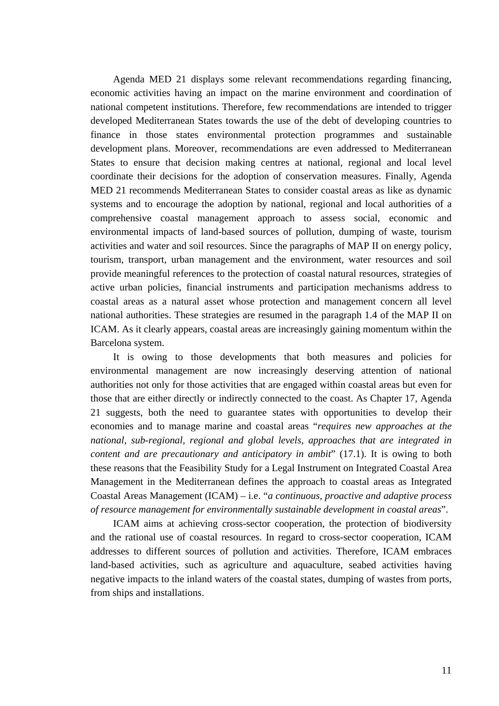Agenda MED 21 displays some relevant recommendations regarding financing, economic activities having an impact on the marine environment and coordination of national competent institutions. Therefore, few recommendations are intended to trigger developed Mediterranean States towards the use of the debt of developing countries to finance in those states environmental protection programmes and sustainable development plans. Moreover, recommendations are even addressed to Mediterranean States to ensure that decision making centres at national, regional and local level coordinate their decisions for the adoption of conservation measures. Finally, Agenda MED 21 recommends Mediterranean States to consider coastal areas as like as dynamic systems and to encourage the adoption by national, regional and local authorities of a comprehensive coastal management approach to assess social, economic and environmental impacts of land-based sources of pollution, dumping of waste, tourism activities and water and soil resources. Since the paragraphs of MAP II on energy policy, tourism, transport, urban management and the environment, water resources and soil provide meaningful references to the protection of coastal natural resources, strategies of active urban policies, financial instruments and participation mechanisms address to coastal areas as a natural asset whose protection and management concern all level national authorities. These strategies are resumed in the paragraph 1.4 of the MAP II on ICAM. As it clearly appears, coastal areas are increasingly gaining momentum within the Barcelona system.

It is owing to those developments that both measures and policies for environmental management are now increasingly deserving attention of national authorities not only for those activities that are engaged within coastal areas but even for those that are either directly or indirectly connected to the coast. As Chapter 17, Agenda 21 suggests, both the need to guarantee states with opportunities to develop their economies and to manage marine and coastal areas "*requires new approaches at the national, sub-regional, regional and global levels, approaches that are integrated in content and are precautionary and anticipatory in ambit*" (17.1). It is owing to both these reasons that the Feasibility Study for a Legal Instrument on Integrated Coastal Area Management in the Mediterranean defines the approach to coastal areas as Integrated Coastal Areas Management (ICAM) – i.e. "*a continuous, proactive and adaptive process of resource management for environmentally sustainable development in coastal areas*".

ICAM aims at achieving cross-sector cooperation, the protection of biodiversity and the rational use of coastal resources. In regard to cross-sector cooperation, ICAM addresses to different sources of pollution and activities. Therefore, ICAM embraces land-based activities, such as agriculture and aquaculture, seabed activities having negative impacts to the inland waters of the coastal states, dumping of wastes from ports, from ships and installations.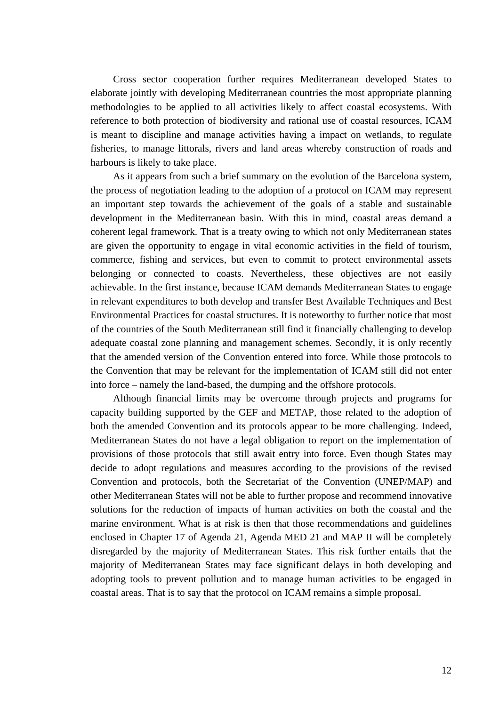Cross sector cooperation further requires Mediterranean developed States to elaborate jointly with developing Mediterranean countries the most appropriate planning methodologies to be applied to all activities likely to affect coastal ecosystems. With reference to both protection of biodiversity and rational use of coastal resources, ICAM is meant to discipline and manage activities having a impact on wetlands, to regulate fisheries, to manage littorals, rivers and land areas whereby construction of roads and harbours is likely to take place.

As it appears from such a brief summary on the evolution of the Barcelona system, the process of negotiation leading to the adoption of a protocol on ICAM may represent an important step towards the achievement of the goals of a stable and sustainable development in the Mediterranean basin. With this in mind, coastal areas demand a coherent legal framework. That is a treaty owing to which not only Mediterranean states are given the opportunity to engage in vital economic activities in the field of tourism, commerce, fishing and services, but even to commit to protect environmental assets belonging or connected to coasts. Nevertheless, these objectives are not easily achievable. In the first instance, because ICAM demands Mediterranean States to engage in relevant expenditures to both develop and transfer Best Available Techniques and Best Environmental Practices for coastal structures. It is noteworthy to further notice that most of the countries of the South Mediterranean still find it financially challenging to develop adequate coastal zone planning and management schemes. Secondly, it is only recently that the amended version of the Convention entered into force. While those protocols to the Convention that may be relevant for the implementation of ICAM still did not enter into force – namely the land-based, the dumping and the offshore protocols.

Although financial limits may be overcome through projects and programs for capacity building supported by the GEF and METAP, those related to the adoption of both the amended Convention and its protocols appear to be more challenging. Indeed, Mediterranean States do not have a legal obligation to report on the implementation of provisions of those protocols that still await entry into force. Even though States may decide to adopt regulations and measures according to the provisions of the revised Convention and protocols, both the Secretariat of the Convention (UNEP/MAP) and other Mediterranean States will not be able to further propose and recommend innovative solutions for the reduction of impacts of human activities on both the coastal and the marine environment. What is at risk is then that those recommendations and guidelines enclosed in Chapter 17 of Agenda 21, Agenda MED 21 and MAP II will be completely disregarded by the majority of Mediterranean States. This risk further entails that the majority of Mediterranean States may face significant delays in both developing and adopting tools to prevent pollution and to manage human activities to be engaged in coastal areas. That is to say that the protocol on ICAM remains a simple proposal.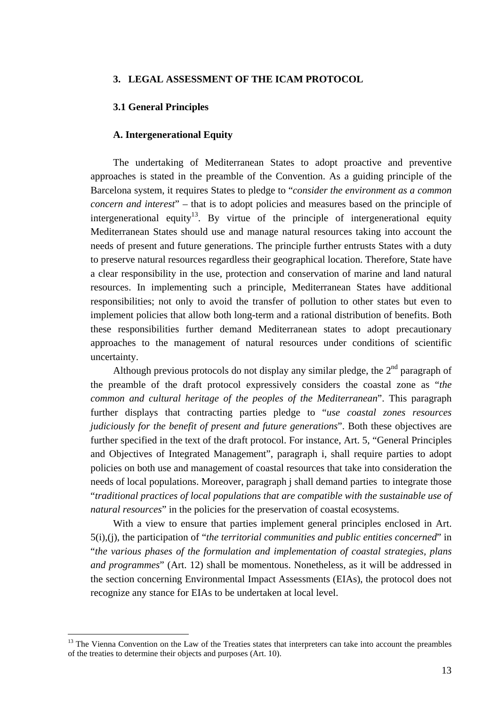## **3. LEGAL ASSESSMENT OF THE ICAM PROTOCOL**

#### **3.1 General Principles**

#### **A. Intergenerational Equity**

The undertaking of Mediterranean States to adopt proactive and preventive approaches is stated in the preamble of the Convention. As a guiding principle of the Barcelona system, it requires States to pledge to "*consider the environment as a common concern and interest*" – that is to adopt policies and measures based on the principle of intergenerational equity<sup>13</sup>. By virtue of the principle of intergenerational equity Mediterranean States should use and manage natural resources taking into account the needs of present and future generations. The principle further entrusts States with a duty to preserve natural resources regardless their geographical location. Therefore, State have a clear responsibility in the use, protection and conservation of marine and land natural resources. In implementing such a principle, Mediterranean States have additional responsibilities; not only to avoid the transfer of pollution to other states but even to implement policies that allow both long-term and a rational distribution of benefits. Both these responsibilities further demand Mediterranean states to adopt precautionary approaches to the management of natural resources under conditions of scientific uncertainty.

Although previous protocols do not display any similar pledge, the  $2<sup>nd</sup>$  paragraph of the preamble of the draft protocol expressively considers the coastal zone as "*the common and cultural heritage of the peoples of the Mediterranean*". This paragraph further displays that contracting parties pledge to "*use coastal zones resources judiciously for the benefit of present and future generations*". Both these objectives are further specified in the text of the draft protocol. For instance, Art. 5, "General Principles and Objectives of Integrated Management", paragraph i, shall require parties to adopt policies on both use and management of coastal resources that take into consideration the needs of local populations. Moreover, paragraph j shall demand parties to integrate those "*traditional practices of local populations that are compatible with the sustainable use of natural resources*" in the policies for the preservation of coastal ecosystems.

With a view to ensure that parties implement general principles enclosed in Art. 5(i),(j), the participation of "*the territorial communities and public entities concerned*" in "*the various phases of the formulation and implementation of coastal strategies, plans and programmes*" (Art. 12) shall be momentous. Nonetheless, as it will be addressed in the section concerning Environmental Impact Assessments (EIAs), the protocol does not recognize any stance for EIAs to be undertaken at local level.

<span id="page-13-0"></span><sup>&</sup>lt;sup>13</sup> The Vienna Convention on the Law of the Treaties states that interpreters can take into account the preambles of the treaties to determine their objects and purposes (Art. 10).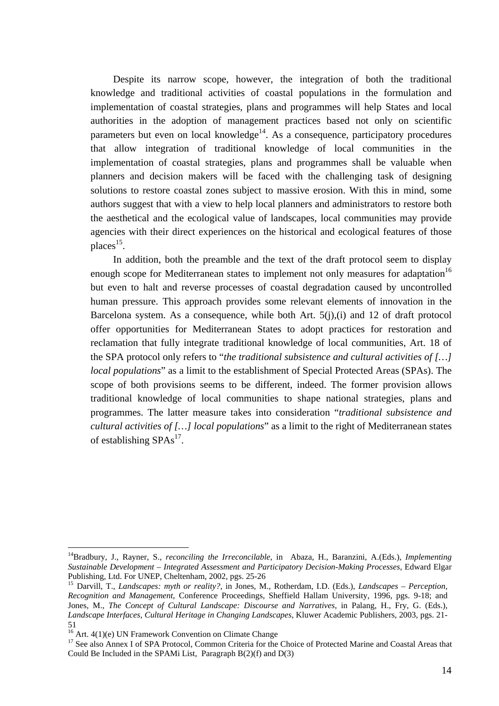Despite its narrow scope, however, the integration of both the traditional knowledge and traditional activities of coastal populations in the formulation and implementation of coastal strategies, plans and programmes will help States and local authorities in the adoption of management practices based not only on scientific parameters but even on local knowledge $14$ . As a consequence, participatory procedures that allow integration of traditional knowledge of local communities in the implementation of coastal strategies, plans and programmes shall be valuable when planners and decision makers will be faced with the challenging task of designing solutions to restore coastal zones subject to massive erosion. With this in mind, some authors suggest that with a view to help local planners and administrators to restore both the aesthetical and the ecological value of landscapes, local communities may provide agencies with their direct experiences on the historical and ecological features of those places<sup>15</sup>.

In addition, both the preamble and the text of the draft protocol seem to display enough scope for Mediterranean states to implement not only measures for adaptation<sup>16</sup> but even to halt and reverse processes of coastal degradation caused by uncontrolled human pressure. This approach provides some relevant elements of innovation in the Barcelona system. As a consequence, while both Art. 5(j),(i) and 12 of draft protocol offer opportunities for Mediterranean States to adopt practices for restoration and reclamation that fully integrate traditional knowledge of local communities, Art. 18 of the SPA protocol only refers to "*the traditional subsistence and cultural activities of […] local populations*" as a limit to the establishment of Special Protected Areas (SPAs). The scope of both provisions seems to be different, indeed. The former provision allows traditional knowledge of local communities to shape national strategies, plans and programmes. The latter measure takes into consideration "*traditional subsistence and cultural activities of […] local populations*" as a limit to the right of Mediterranean states of establishing  $SPAs<sup>17</sup>$ .

<span id="page-14-0"></span><sup>14</sup>Bradbury, J., Rayner, S., *reconciling the Irreconcilable*, in Abaza, H., Baranzini, A.(Eds.), *Implementing Sustainable Development – Integrated Assessment and Participatory Decision-Making Processes*, Edward Elgar Publishing, Ltd. For UNEP, Cheltenham, 2002, pgs. 25-26<br><sup>15</sup> Darvill, T., *Landscapes: myth or reality?*, in Jones, M., Rotherdam, I.D. (Eds.), *Landscapes – Perception*,

<span id="page-14-1"></span>*Recognition and Management*, Conference Proceedings, Sheffield Hallam University, 1996, pgs. 9-18; and Jones, M., *The Concept of Cultural Landscape: Discourse and Narratives*, in Palang, H., Fry, G. (Eds.), *Landscape Interfaces, Cultural Heritage in Changing Landscapes*, Kluwer Academic Publishers, 2003, pgs. 21-

<sup>51&</sup>lt;br>
<sup>16</sup> Art. 4(1)(e) UN Framework Convention on Climate Change

<span id="page-14-3"></span><span id="page-14-2"></span><sup>&</sup>lt;sup>17</sup> See also Annex I of SPA Protocol, Common Criteria for the Choice of Protected Marine and Coastal Areas that Could Be Included in the SPAMi List, Paragraph B(2)(f) and D(3)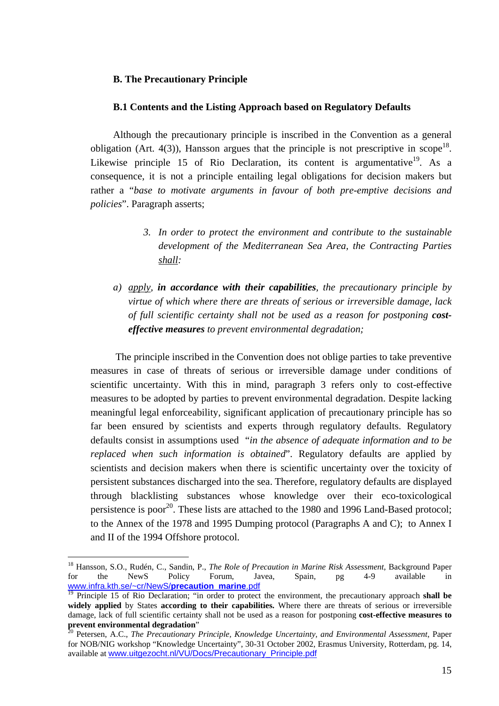## **B. The Precautionary Principle**

#### **B.1 Contents and the Listing Approach based on Regulatory Defaults**

Although the precautionary principle is inscribed in the Convention as a general obligation (Art. 4(3)), Hansson argues that the principle is not prescriptive in scope<sup>18</sup>. Likewise principle 15 of Rio Declaration, its content is argumentative<sup>19</sup>. As a consequence, it is not a principle entailing legal obligations for decision makers but rather a "*base to motivate arguments in favour of both pre-emptive decisions and policies*". Paragraph asserts;

- *3. In order to protect the environment and contribute to the sustainable development of the Mediterranean Sea Area, the Contracting Parties shall:*
- *a) apply, in accordance with their capabilities, the precautionary principle by virtue of which where there are threats of serious or irreversible damage, lack of full scientific certainty shall not be used as a reason for postponing costeffective measures to prevent environmental degradation;*

 The principle inscribed in the Convention does not oblige parties to take preventive measures in case of threats of serious or irreversible damage under conditions of scientific uncertainty. With this in mind, paragraph 3 refers only to cost-effective measures to be adopted by parties to prevent environmental degradation. Despite lacking meaningful legal enforceability, significant application of precautionary principle has so far been ensured by scientists and experts through regulatory defaults. Regulatory defaults consist in assumptions used "*in the absence of adequate information and to be replaced when such information is obtained*". Regulatory defaults are applied by scientists and decision makers when there is scientific uncertainty over the toxicity of persistent substances discharged into the sea. Therefore, regulatory defaults are displayed through blacklisting substances whose knowledge over their eco-toxicological persistence is poor<sup>20</sup>. These lists are attached to the 1980 and 1996 Land-Based protocol; to the Annex of the 1978 and 1995 Dumping protocol (Paragraphs A and C); to Annex I and II of the 1994 Offshore protocol.

<span id="page-15-0"></span><sup>18</sup> Hansson, S.O., Rudén, C., Sandin, P., *The Role of Precaution in Marine Risk Assessment*, Background Paper for the NewS Policy Forum, Javea, Spain, pg 4-9 available in [www.infra.kth.se/~cr/NewS/](http://www.infra.kth.se/~cr/NewS/precaution_marine.pdf)**precaution**\_**marine**.pdf

<span id="page-15-1"></span><sup>&</sup>lt;sup>19</sup> Principle 15 of Rio Declaration; "in order to protect the environment, the precautionary approach **shall be widely applied** by States **according to their capabilities.** Where there are threats of serious or irreversible damage, lack of full scientific certainty shall not be used as a reason for postponing **cost-effective measures to prevent environmental degradation**<sup>"</sup><br><sup>20</sup> Petersen, A.C., *The Precautionary Principle, Knowledge Uncertainty, and Environmental Assessment, Paper* 

<span id="page-15-2"></span>for NOB/NIG workshop "Knowledge Uncertainty", 30-31 October 2002, Erasmus University, Rotterdam, pg. 14, available at [www.uitgezocht.nl/VU/Docs/Precautionary\\_Principle.pdf](http://www.uitgezocht.nl/VU/Docs/Precautionary_Principle.pdf)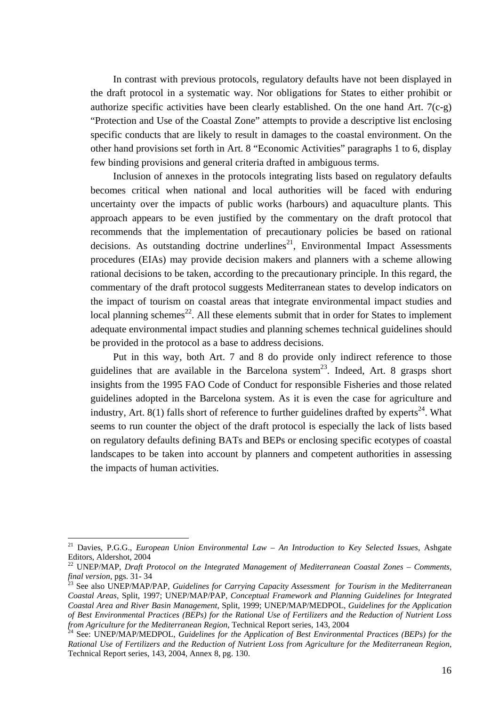In contrast with previous protocols, regulatory defaults have not been displayed in the draft protocol in a systematic way. Nor obligations for States to either prohibit or authorize specific activities have been clearly established. On the one hand Art. 7(c-g) "Protection and Use of the Coastal Zone" attempts to provide a descriptive list enclosing specific conducts that are likely to result in damages to the coastal environment. On the other hand provisions set forth in Art. 8 "Economic Activities" paragraphs 1 to 6, display few binding provisions and general criteria drafted in ambiguous terms.

Inclusion of annexes in the protocols integrating lists based on regulatory defaults becomes critical when national and local authorities will be faced with enduring uncertainty over the impacts of public works (harbours) and aquaculture plants. This approach appears to be even justified by the commentary on the draft protocol that recommends that the implementation of precautionary policies be based on rational decisions. As outstanding doctrine underlines<sup>21</sup>, Environmental Impact Assessments procedures (EIAs) may provide decision makers and planners with a scheme allowing rational decisions to be taken, according to the precautionary principle. In this regard, the commentary of the draft protocol suggests Mediterranean states to develop indicators on the impact of tourism on coastal areas that integrate environmental impact studies and local planning schemes<sup>22</sup>. All these elements submit that in order for States to implement adequate environmental impact studies and planning schemes technical guidelines should be provided in the protocol as a base to address decisions.

Put in this way, both Art. 7 and 8 do provide only indirect reference to those guidelines that are available in the Barcelona system<sup>23</sup>. Indeed, Art. 8 grasps short insights from the 1995 FAO Code of Conduct for responsible Fisheries and those related guidelines adopted in the Barcelona system. As it is even the case for agriculture and industry, Art. 8(1) falls short of reference to further guidelines drafted by experts<sup>24</sup>. What seems to run counter the object of the draft protocol is especially the lack of lists based on regulatory defaults defining BATs and BEPs or enclosing specific ecotypes of coastal landscapes to be taken into account by planners and competent authorities in assessing the impacts of human activities.

<span id="page-16-0"></span><sup>21</sup> Davies, P.G.G., *European Union Environmental Law – An Introduction to Key Selected Issues*, Ashgate

<span id="page-16-1"></span>Editors, Aldershot, 2004<br><sup>22</sup> UNEP/MAP, *Draft Protocol on the Integrated Management of Mediterranean Coastal Zones – Comments, final version, pgs. 31-34* 

<span id="page-16-2"></span><sup>&</sup>lt;sup>23</sup> See also UNEP/MAP/PAP, *Guidelines for Carrying Capacity Assessment for Tourism in the Mediterranean Coastal Areas*, Split, 1997; UNEP/MAP/PAP, *Conceptual Framework and Planning Guidelines for Integrated Coastal Area and River Basin Management*, Split, 1999; UNEP/MAP/MEDPOL, *Guidelines for the Application of Best Environmental Practices (BEPs) for the Rational Use of Fertilizers and the Reduction of Nutrient Loss from Agriculture for the Mediterranean Region*, Technical Report series, 143, 2004<br><sup>24</sup> See: UNEP/MAP/MEDPOL, *Guidelines for the Application of Best Environmental Practices (BEPs) for the* 

<span id="page-16-3"></span>*Rational Use of Fertilizers and the Reduction of Nutrient Loss from Agriculture for the Mediterranean Region*, Technical Report series, 143, 2004, Annex 8, pg. 130.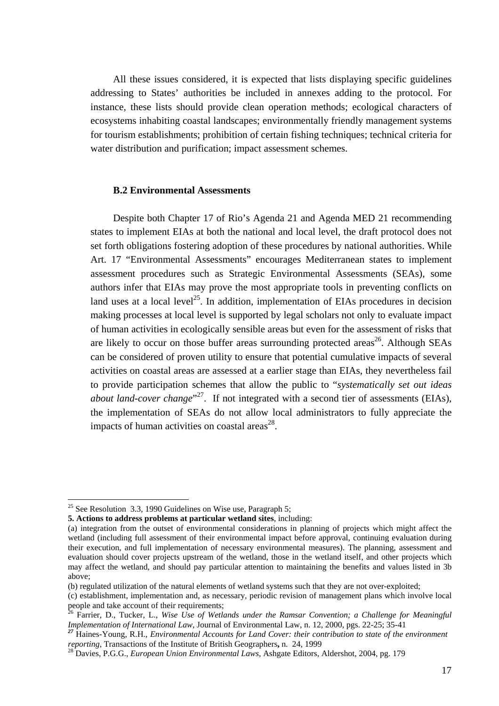All these issues considered, it is expected that lists displaying specific guidelines addressing to States' authorities be included in annexes adding to the protocol. For instance, these lists should provide clean operation methods; ecological characters of ecosystems inhabiting coastal landscapes; environmentally friendly management systems for tourism establishments; prohibition of certain fishing techniques; technical criteria for water distribution and purification; impact assessment schemes.

#### **B.2 Environmental Assessments**

Despite both Chapter 17 of Rio's Agenda 21 and Agenda MED 21 recommending states to implement EIAs at both the national and local level, the draft protocol does not set forth obligations fostering adoption of these procedures by national authorities. While Art. 17 "Environmental Assessments" encourages Mediterranean states to implement assessment procedures such as Strategic Environmental Assessments (SEAs), some authors infer that EIAs may prove the most appropriate tools in preventing conflicts on land uses at a local level<sup>25</sup>. In addition, implementation of EIAs procedures in decision making processes at local level is supported by legal scholars not only to evaluate impact of human activities in ecologically sensible areas but even for the assessment of risks that are likely to occur on those buffer areas surrounding protected areas<sup>26</sup>. Although SEAs can be considered of proven utility to ensure that potential cumulative impacts of several activities on coastal areas are assessed at a earlier stage than EIAs, they nevertheless fail to provide participation schemes that allow the public to "*systematically set out ideas about land-cover change*"<sup>27</sup>. If not integrated with a second tier of assessments (EIAs), the implementation of SEAs do not allow local administrators to fully appreciate the impacts of human activities on coastal areas $^{28}$ .

<span id="page-17-0"></span><sup>&</sup>lt;sup>25</sup> See Resolution 3.3, 1990 Guidelines on Wise use, Paragraph 5;

**<sup>5.</sup> Actions to address problems at particular wetland sites**, including:

<sup>(</sup>a) integration from the outset of environmental considerations in planning of projects which might affect the wetland (including full assessment of their environmental impact before approval, continuing evaluation during their execution, and full implementation of necessary environmental measures). The planning, assessment and evaluation should cover projects upstream of the wetland, those in the wetland itself, and other projects which may affect the wetland, and should pay particular attention to maintaining the benefits and values listed in 3b above;

<sup>(</sup>b) regulated utilization of the natural elements of wetland systems such that they are not over-exploited;

<sup>(</sup>c) establishment, implementation and, as necessary, periodic revision of management plans which involve local people and take account of their requirements;<br><sup>26</sup> Farrier, D., Tucker, L., *Wise Use of Wetlands under the Ramsar Convention; a Challenge for Meaningful* 

<span id="page-17-1"></span>Implementation of International Law, Journal of Environmental Law, n. 12, 2000, pgs. 22-25; 35-41<br><sup>27</sup> Haines-Young, R.H., *Environmental Accounts for Land Cover: their contribution to state of the environment* 

<span id="page-17-2"></span>*reporting*, Transactions of the Institute of British Geographers, n. 24, 1999<br><sup>28</sup> Davies, P.G.G., *European Union Environmental Laws*, Ashgate Editors, Aldershot, 2004, pg. 179

<span id="page-17-3"></span>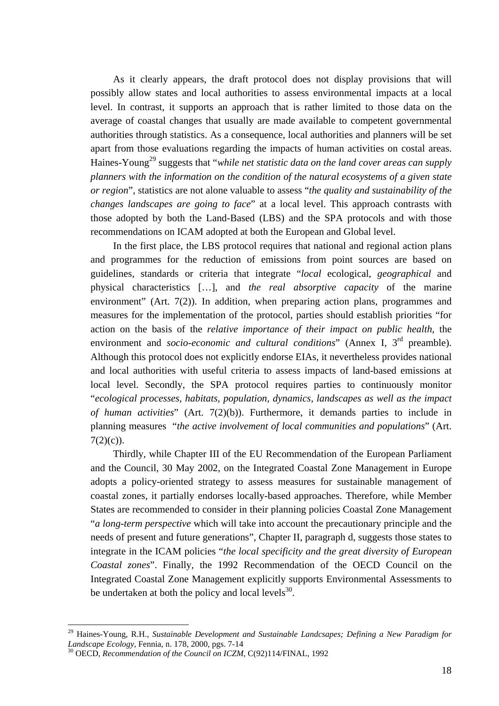As it clearly appears, the draft protocol does not display provisions that will possibly allow states and local authorities to assess environmental impacts at a local level. In contrast, it supports an approach that is rather limited to those data on the average of coastal changes that usually are made available to competent governmental authorities through statistics. As a consequence, local authorities and planners will be set apart from those evaluations regarding the impacts of human activities on costal areas. Haines-Young<sup>29</sup> suggests that "*while net statistic data on the land cover areas can supply planners with the information on the condition of the natural ecosystems of a given state or region*", statistics are not alone valuable to assess "*the quality and sustainability of the changes landscapes are going to face*" at a local level. This approach contrasts with those adopted by both the Land-Based (LBS) and the SPA protocols and with those recommendations on ICAM adopted at both the European and Global level.

In the first place, the LBS protocol requires that national and regional action plans and programmes for the reduction of emissions from point sources are based on guidelines, standards or criteria that integrate "*local* ecological, *geographical* and physical characteristics […], and *the real absorptive capacity* of the marine environment" (Art. 7(2)). In addition, when preparing action plans, programmes and measures for the implementation of the protocol, parties should establish priorities "for action on the basis of the *relative importance of their impact on public health*, the environment and *socio-economic and cultural conditions*" (Annex I, 3<sup>rd</sup> preamble). Although this protocol does not explicitly endorse EIAs, it nevertheless provides national and local authorities with useful criteria to assess impacts of land-based emissions at local level. Secondly, the SPA protocol requires parties to continuously monitor "*ecological processes, habitats, population, dynamics, landscapes as well as the impact of human activities*" (Art. 7(2)(b)). Furthermore, it demands parties to include in planning measures "*the active involvement of local communities and populations*" (Art.  $7(2)(c)$ ).

Thirdly, while Chapter III of the EU Recommendation of the European Parliament and the Council, 30 May 2002, on the Integrated Coastal Zone Management in Europe adopts a policy-oriented strategy to assess measures for sustainable management of coastal zones, it partially endorses locally-based approaches. Therefore, while Member States are recommended to consider in their planning policies Coastal Zone Management "*a long-term perspective* which will take into account the precautionary principle and the needs of present and future generations", Chapter II, paragraph d, suggests those states to integrate in the ICAM policies "*the local specificity and the great diversity of European Coastal zones*". Finally, the 1992 Recommendation of the OECD Council on the Integrated Coastal Zone Management explicitly supports Environmental Assessments to be undertaken at both the policy and local levels $^{30}$ .

<span id="page-18-0"></span><sup>&</sup>lt;sup>29</sup> Haines-Young, R.H., *Sustainable Development and Sustainable Landcsapes; Defining a New Paradigm for Landscape Ecology*, Fennia, n. 178, 2000, pgs. 7-14<br><sup>30</sup> OECD, *Recommendation of the Council on ICZM*, C(92)114/FINAL, 1992

<span id="page-18-1"></span>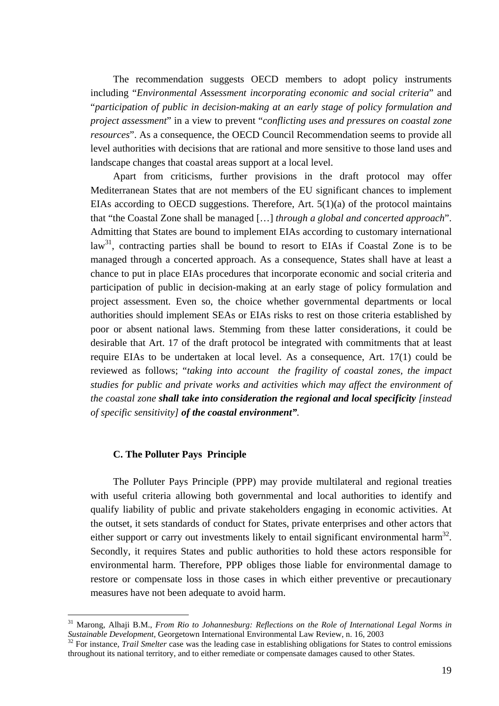The recommendation suggests OECD members to adopt policy instruments including "*Environmental Assessment incorporating economic and social criteria*" and "*participation of public in decision-making at an early stage of policy formulation and project assessment*" in a view to prevent "*conflicting uses and pressures on coastal zone resources*". As a consequence, the OECD Council Recommendation seems to provide all level authorities with decisions that are rational and more sensitive to those land uses and landscape changes that coastal areas support at a local level.

Apart from criticisms, further provisions in the draft protocol may offer Mediterranean States that are not members of the EU significant chances to implement EIAs according to OECD suggestions. Therefore, Art.  $5(1)(a)$  of the protocol maintains that "the Coastal Zone shall be managed […] *through a global and concerted approach*". Admitting that States are bound to implement EIAs according to customary international  $law<sup>31</sup>$ , contracting parties shall be bound to resort to EIAs if Coastal Zone is to be managed through a concerted approach. As a consequence, States shall have at least a chance to put in place EIAs procedures that incorporate economic and social criteria and participation of public in decision-making at an early stage of policy formulation and project assessment. Even so, the choice whether governmental departments or local authorities should implement SEAs or EIAs risks to rest on those criteria established by poor or absent national laws. Stemming from these latter considerations, it could be desirable that Art. 17 of the draft protocol be integrated with commitments that at least require EIAs to be undertaken at local level. As a consequence, Art. 17(1) could be reviewed as follows; "*taking into account the fragility of coastal zones, the impact studies for public and private works and activities which may affect the environment of the coastal zone shall take into consideration the regional and local specificity [instead of specific sensitivity] of the coastal environment".*

## **C. The Polluter Pays Principle**

 $\overline{a}$ 

The Polluter Pays Principle (PPP) may provide multilateral and regional treaties with useful criteria allowing both governmental and local authorities to identify and qualify liability of public and private stakeholders engaging in economic activities. At the outset, it sets standards of conduct for States, private enterprises and other actors that either support or carry out investments likely to entail significant environmental harm<sup>32</sup>. Secondly, it requires States and public authorities to hold these actors responsible for environmental harm. Therefore, PPP obliges those liable for environmental damage to restore or compensate loss in those cases in which either preventive or precautionary measures have not been adequate to avoid harm.

<span id="page-19-0"></span><sup>&</sup>lt;sup>31</sup> Marong, Alhaji B.M., *From Rio to Johannesburg: Reflections on the Role of International Legal Norms in Sustainable Development, Georgetown International Environmental Law Review, n. 16, 2003* 

<span id="page-19-1"></span><sup>&</sup>lt;sup>32</sup> For instance, *Trail Smelter* case was the leading case in establishing obligations for States to control emissions throughout its national territory, and to either remediate or compensate damages caused to other States.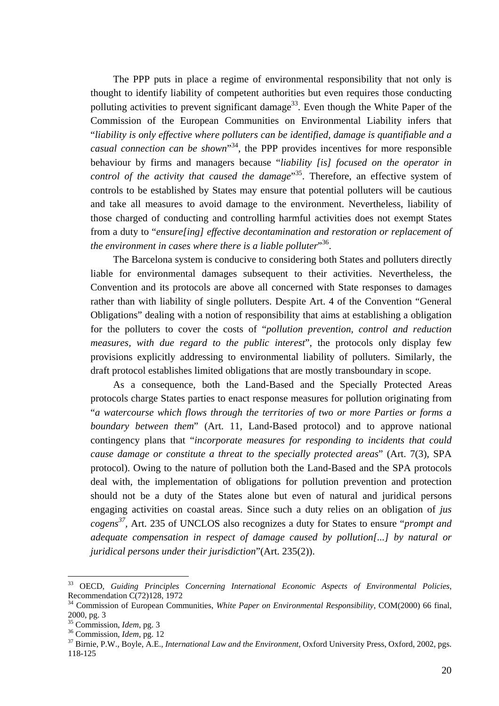The PPP puts in place a regime of environmental responsibility that not only is thought to identify liability of competent authorities but even requires those conducting polluting activities to prevent significant damage<sup>33</sup>. Even though the White Paper of the Commission of the European Communities on Environmental Liability infers that "*liability is only effective where polluters can be identified, damage is quantifiable and a casual connection can be shown*" [34,](#page-20-1) the PPP provides incentives for more responsible behaviour by firms and managers because "*liability [is] focused on the operator in*  control of the activity that caused the damage<sup>35</sup>. Therefore, an effective system of controls to be established by States may ensure that potential polluters will be cautious and take all measures to avoid damage to the environment. Nevertheless, liability of those charged of conducting and controlling harmful activities does not exempt States from a duty to "*ensure[ing] effective decontamination and restoration or replacement of*  the environment in cases where there is a liable polluter<sup>336</sup>.

The Barcelona system is conducive to considering both States and polluters directly liable for environmental damages subsequent to their activities. Nevertheless, the Convention and its protocols are above all concerned with State responses to damages rather than with liability of single polluters. Despite Art. 4 of the Convention "General Obligations" dealing with a notion of responsibility that aims at establishing a obligation for the polluters to cover the costs of "*pollution prevention, control and reduction measures, with due regard to the public interest*", the protocols only display few provisions explicitly addressing to environmental liability of polluters. Similarly, the draft protocol establishes limited obligations that are mostly transboundary in scope.

As a consequence, both the Land-Based and the Specially Protected Areas protocols charge States parties to enact response measures for pollution originating from "*a watercourse which flows through the territories of two or more Parties or forms a boundary between them*" (Art. 11, Land-Based protocol) and to approve national contingency plans that "*incorporate measures for responding to incidents that could cause damage or constitute a threat to the specially protected areas*" (Art. 7(3), SPA protocol). Owing to the nature of pollution both the Land-Based and the SPA protocols deal with, the implementation of obligations for pollution prevention and protection should not be a duty of the States alone but even of natural and juridical persons engaging activities on coastal areas. Since such a duty relies on an obligation of *jus cogens [37,](#page-20-4)* Art. 235 of UNCLOS also recognizes a duty for States to ensure "*prompt and adequate compensation in respect of damage caused by pollution[...] by natural or juridical persons under their jurisdiction*"(Art. 235(2)).

<span id="page-20-0"></span><sup>33</sup> OECD, *Guiding Principles Concerning International Economic Aspects of Environmental Policies*, Recommendation C(72)128, 1972<br><sup>34</sup> Commission of European Communities, *White Paper on Environmental Responsibility*, COM(2000) 66 final,

<span id="page-20-1"></span><sup>2000,</sup> pg. 3<br> $35$  Commission, *Idem*, pg. 3

<span id="page-20-2"></span>

<span id="page-20-4"></span>

<span id="page-20-3"></span><sup>&</sup>lt;sup>36</sup> Commission, *Idem*, pg. 12<br><sup>37</sup> Birnie, P.W., Boyle, A.E., *International Law and the Environment*, Oxford University Press, Oxford, 2002, pgs. 118-125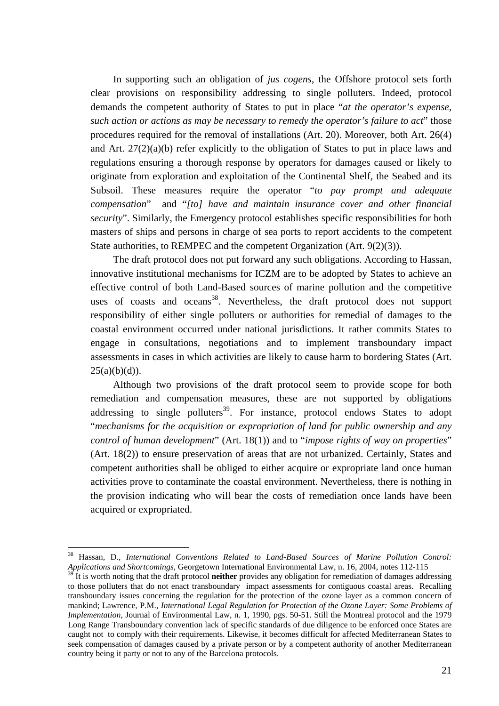In supporting such an obligation of *jus cogens*, the Offshore protocol sets forth clear provisions on responsibility addressing to single polluters. Indeed, protocol demands the competent authority of States to put in place "*at the operator's expense, such action or actions as may be necessary to remedy the operator's failure to act*" those procedures required for the removal of installations (Art. 20). Moreover, both Art. 26(4) and Art. 27(2)(a)(b) refer explicitly to the obligation of States to put in place laws and regulations ensuring a thorough response by operators for damages caused or likely to originate from exploration and exploitation of the Continental Shelf, the Seabed and its Subsoil. These measures require the operator "*to pay prompt and adequate compensation*" and "*[to] have and maintain insurance cover and other financial security*". Similarly, the Emergency protocol establishes specific responsibilities for both masters of ships and persons in charge of sea ports to report accidents to the competent State authorities, to REMPEC and the competent Organization (Art. 9(2)(3)).

The draft protocol does not put forward any such obligations. According to Hassan, innovative institutional mechanisms for ICZM are to be adopted by States to achieve an effective control of both Land-Based sources of marine pollution and the competitive uses of coasts and oceans<sup>38</sup>. Nevertheless, the draft protocol does not support responsibility of either single polluters or authorities for remedial of damages to the coastal environment occurred under national jurisdictions. It rather commits States to engage in consultations, negotiations and to implement transboundary impact assessments in cases in which activities are likely to cause harm to bordering States (Art.  $25(a)(b)(d)$ ).

Although two provisions of the draft protocol seem to provide scope for both remediation and compensation measures, these are not supported by obligations addressing to single polluters<sup>39</sup>. For instance, protocol endows States to adopt "*mechanisms for the acquisition or expropriation of land for public ownership and any control of human development*" (Art. 18(1)) and to "*impose rights of way on properties*" (Art. 18(2)) to ensure preservation of areas that are not urbanized. Certainly, States and competent authorities shall be obliged to either acquire or expropriate land once human activities prove to contaminate the coastal environment. Nevertheless, there is nothing in the provision indicating who will bear the costs of remediation once lands have been acquired or expropriated.

<span id="page-21-0"></span><sup>38</sup> Hassan, D., *International Conventions Related to Land-Based Sources of Marine Pollution Control: Applications and Shortcomings*, Georgetown International Environmental Law, n. 16, 2004, notes 112-115

<span id="page-21-1"></span><sup>&</sup>lt;sup>39</sup> It is worth noting that the draft protocol **neither** provides any obligation for remediation of damages addressing to those polluters that do not enact transboundary impact assessments for contiguous coastal areas. Recalling transboundary issues concerning the regulation for the protection of the ozone layer as a common concern of mankind; Lawrence, P.M., *International Legal Regulation for Protection of the Ozone Layer: Some Problems of Implementation*, Journal of Environmental Law, n. 1, 1990, pgs. 50-51. Still the Montreal protocol and the 1979 Long Range Transboundary convention lack of specific standards of due diligence to be enforced once States are caught not to comply with their requirements. Likewise, it becomes difficult for affected Mediterranean States to seek compensation of damages caused by a private person or by a competent authority of another Mediterranean country being it party or not to any of the Barcelona protocols.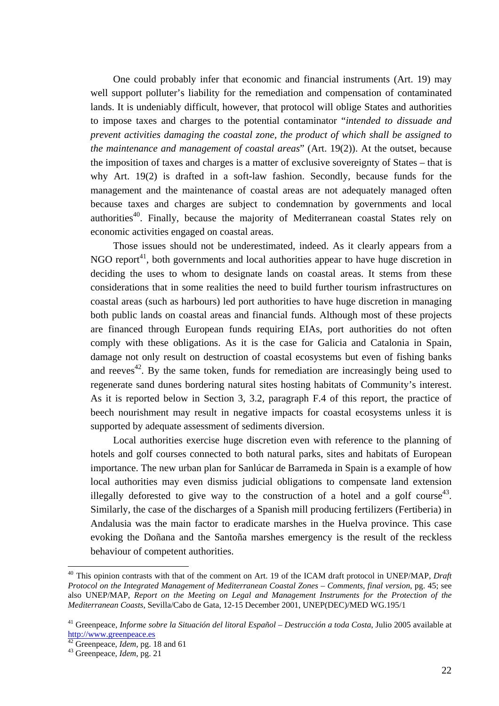One could probably infer that economic and financial instruments (Art. 19) may well support polluter's liability for the remediation and compensation of contaminated lands. It is undeniably difficult, however, that protocol will oblige States and authorities to impose taxes and charges to the potential contaminator "*intended to dissuade and prevent activities damaging the coastal zone, the product of which shall be assigned to the maintenance and management of coastal areas*" (Art. 19(2)). At the outset, because the imposition of taxes and charges is a matter of exclusive sovereignty of States – that is why Art. 19(2) is drafted in a soft-law fashion. Secondly, because funds for the management and the maintenance of coastal areas are not adequately managed often because taxes and charges are subject to condemnation by governments and local authorities<sup>40</sup>. Finally, because the majority of Mediterranean coastal States rely on economic activities engaged on coastal areas.

Those issues should not be underestimated, indeed. As it clearly appears from a NGO report<sup>41</sup>, both governments and local authorities appear to have huge discretion in deciding the uses to whom to designate lands on coastal areas. It stems from these considerations that in some realities the need to build further tourism infrastructures on coastal areas (such as harbours) led port authorities to have huge discretion in managing both public lands on coastal areas and financial funds. Although most of these projects are financed through European funds requiring EIAs, port authorities do not often comply with these obligations. As it is the case for Galicia and Catalonia in Spain, damage not only result on destruction of coastal ecosystems but even of fishing banks and reeves<sup>42</sup>. By the same token, funds for remediation are increasingly being used to regenerate sand dunes bordering natural sites hosting habitats of Community's interest. As it is reported below in Section 3, 3.2, paragraph F.4 of this report, the practice of beech nourishment may result in negative impacts for coastal ecosystems unless it is supported by adequate assessment of sediments diversion.

Local authorities exercise huge discretion even with reference to the planning of hotels and golf courses connected to both natural parks, sites and habitats of European importance. The new urban plan for Sanlúcar de Barrameda in Spain is a example of how local authorities may even dismiss judicial obligations to compensate land extension illegally deforested to give way to the construction of a hotel and a golf course<sup>43</sup>. Similarly, the case of the discharges of a Spanish mill producing fertilizers (Fertiberia) in Andalusia was the main factor to eradicate marshes in the Huelva province. This case evoking the Doñana and the Santoña marshes emergency is the result of the reckless behaviour of competent authorities.

<span id="page-22-0"></span><sup>&</sup>lt;sup>40</sup> This opinion contrasts with that of the comment on Art. 19 of the ICAM draft protocol in UNEP/MAP, *Draft Protocol on the Integrated Management of Mediterranean Coastal Zones – Comments, final version*, pg. 45; see also UNEP/MAP, *Report on the Meeting on Legal and Management Instruments for the Protection of the Mediterranean Coasts*, Sevilla/Cabo de Gata, 12-15 December 2001, UNEP(DEC)/MED WG.195/1

<span id="page-22-1"></span><sup>&</sup>lt;sup>41</sup> Greenpeace, *Informe sobre la Situación del litoral Español – Destrucción a toda Costa*, Julio 2005 available at http://www.greenpeace.es

<span id="page-22-2"></span><sup>&</sup>lt;sup>[42](http://www.greenpeace.es/)</sup> Greenpeace, *Idem*, pg. 18 and 61<br><sup>43</sup> Greenpeace, *Idem*, pg. 21

<span id="page-22-3"></span>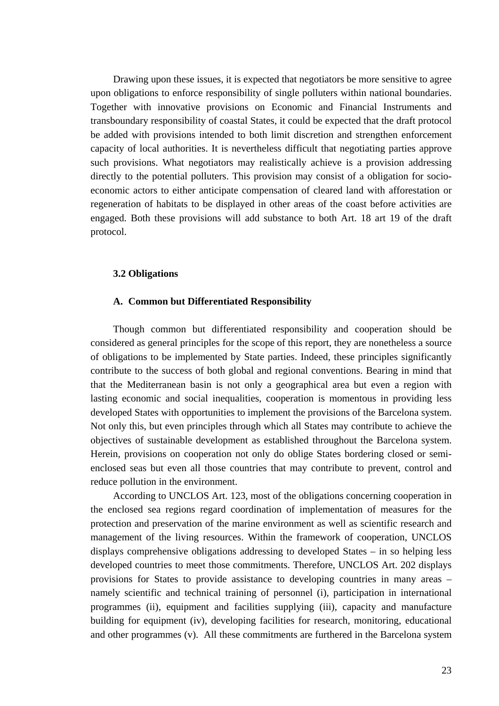Drawing upon these issues, it is expected that negotiators be more sensitive to agree upon obligations to enforce responsibility of single polluters within national boundaries. Together with innovative provisions on Economic and Financial Instruments and transboundary responsibility of coastal States, it could be expected that the draft protocol be added with provisions intended to both limit discretion and strengthen enforcement capacity of local authorities. It is nevertheless difficult that negotiating parties approve such provisions. What negotiators may realistically achieve is a provision addressing directly to the potential polluters. This provision may consist of a obligation for socioeconomic actors to either anticipate compensation of cleared land with afforestation or regeneration of habitats to be displayed in other areas of the coast before activities are engaged. Both these provisions will add substance to both Art. 18 art 19 of the draft protocol.

#### **3.2 Obligations**

#### **A. Common but Differentiated Responsibility**

Though common but differentiated responsibility and cooperation should be considered as general principles for the scope of this report, they are nonetheless a source of obligations to be implemented by State parties. Indeed, these principles significantly contribute to the success of both global and regional conventions. Bearing in mind that that the Mediterranean basin is not only a geographical area but even a region with lasting economic and social inequalities, cooperation is momentous in providing less developed States with opportunities to implement the provisions of the Barcelona system. Not only this, but even principles through which all States may contribute to achieve the objectives of sustainable development as established throughout the Barcelona system. Herein, provisions on cooperation not only do oblige States bordering closed or semienclosed seas but even all those countries that may contribute to prevent, control and reduce pollution in the environment.

According to UNCLOS Art. 123, most of the obligations concerning cooperation in the enclosed sea regions regard coordination of implementation of measures for the protection and preservation of the marine environment as well as scientific research and management of the living resources. Within the framework of cooperation, UNCLOS displays comprehensive obligations addressing to developed States – in so helping less developed countries to meet those commitments. Therefore, UNCLOS Art. 202 displays provisions for States to provide assistance to developing countries in many areas – namely scientific and technical training of personnel (i), participation in international programmes (ii), equipment and facilities supplying (iii), capacity and manufacture building for equipment (iv), developing facilities for research, monitoring, educational and other programmes (v). All these commitments are furthered in the Barcelona system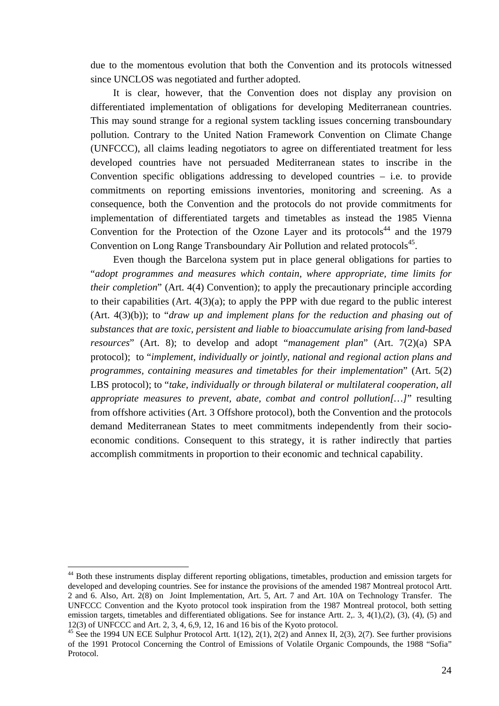due to the momentous evolution that both the Convention and its protocols witnessed since UNCLOS was negotiated and further adopted.

It is clear, however, that the Convention does not display any provision on differentiated implementation of obligations for developing Mediterranean countries. This may sound strange for a regional system tackling issues concerning transboundary pollution. Contrary to the United Nation Framework Convention on Climate Change (UNFCCC), all claims leading negotiators to agree on differentiated treatment for less developed countries have not persuaded Mediterranean states to inscribe in the Convention specific obligations addressing to developed countries – i.e. to provide commitments on reporting emissions inventories, monitoring and screening. As a consequence, both the Convention and the protocols do not provide commitments for implementation of differentiated targets and timetables as instead the 1985 Vienna Convention for the Protection of the Ozone Layer and its protocols<sup>44</sup> and the 1979 Convention on Long Range Transboundary Air Pollution and related protocols<sup>45</sup>.

Even though the Barcelona system put in place general obligations for parties to "*adopt programmes and measures which contain, where appropriate, time limits for their completion*" (Art. 4(4) Convention); to apply the precautionary principle according to their capabilities  $(Art. 4(3)(a))$ ; to apply the PPP with due regard to the public interest (Art. 4(3)(b)); to "*draw up and implement plans for the reduction and phasing out of substances that are toxic, persistent and liable to bioaccumulate arising from land-based resources*" (Art. 8); to develop and adopt "*management plan*" (Art. 7(2)(a) SPA protocol); to "*implement, individually or jointly, national and regional action plans and programmes, containing measures and timetables for their implementation*" (Art. 5(2) LBS protocol); to "*take, individually or through bilateral or multilateral cooperation, all appropriate measures to prevent, abate, combat and control pollution[…]*" resulting from offshore activities (Art. 3 Offshore protocol), both the Convention and the protocols demand Mediterranean States to meet commitments independently from their socioeconomic conditions. Consequent to this strategy, it is rather indirectly that parties accomplish commitments in proportion to their economic and technical capability.

<span id="page-24-0"></span><sup>&</sup>lt;sup>44</sup> Both these instruments display different reporting obligations, timetables, production and emission targets for developed and developing countries. See for instance the provisions of the amended 1987 Montreal protocol Artt. 2 and 6. Also, Art. 2(8) on Joint Implementation, Art. 5, Art. 7 and Art. 10A on Technology Transfer. The UNFCCC Convention and the Kyoto protocol took inspiration from the 1987 Montreal protocol, both setting emission targets, timetables and differentiated obligations. See for instance Artt. 2, 3, 4(1),(2), (3), (4), (5) and 12(3) of UNFCCC and Art. 2, 3, 4, 6,9, 12, 16 and 16 bis of the Kyoto protocol.<br><sup>45</sup> See the 1994 UN ECE Sulphur Protocol Artt. 1(12), 2(1), 2(2) and Annex II, 2(3), 2(7). See further provisions

<span id="page-24-1"></span>of the 1991 Protocol Concerning the Control of Emissions of Volatile Organic Compounds, the 1988 "Sofia" Protocol.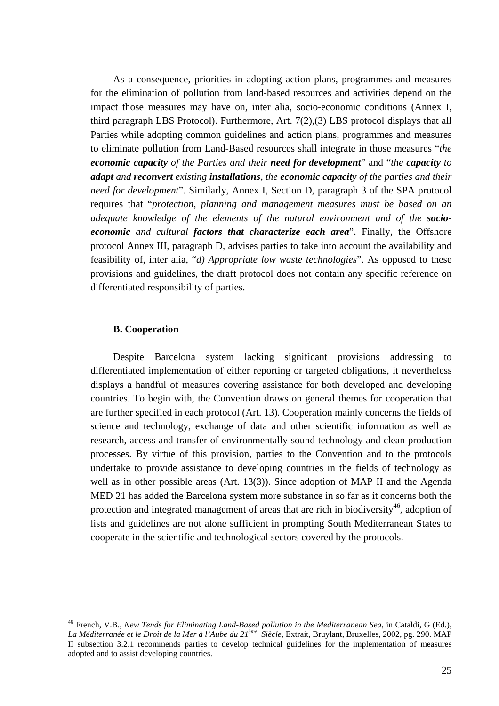As a consequence, priorities in adopting action plans, programmes and measures for the elimination of pollution from land-based resources and activities depend on the impact those measures may have on, inter alia, socio-economic conditions (Annex I, third paragraph LBS Protocol). Furthermore, Art. 7(2),(3) LBS protocol displays that all Parties while adopting common guidelines and action plans, programmes and measures to eliminate pollution from Land-Based resources shall integrate in those measures "*the economic capacity of the Parties and their need for development*" and "*the capacity to adapt and reconvert existing installations, the economic capacity of the parties and their need for development*". Similarly, Annex I, Section D, paragraph 3 of the SPA protocol requires that "*protection, planning and management measures must be based on an adequate knowledge of the elements of the natural environment and of the socioeconomic and cultural factors that characterize each area*". Finally, the Offshore protocol Annex III, paragraph D, advises parties to take into account the availability and feasibility of, inter alia, "*d) Appropriate low waste technologies*". As opposed to these provisions and guidelines, the draft protocol does not contain any specific reference on differentiated responsibility of parties.

#### **B. Cooperation**

 $\overline{a}$ 

Despite Barcelona system lacking significant provisions addressing to differentiated implementation of either reporting or targeted obligations, it nevertheless displays a handful of measures covering assistance for both developed and developing countries. To begin with, the Convention draws on general themes for cooperation that are further specified in each protocol (Art. 13). Cooperation mainly concerns the fields of science and technology, exchange of data and other scientific information as well as research, access and transfer of environmentally sound technology and clean production processes. By virtue of this provision, parties to the Convention and to the protocols undertake to provide assistance to developing countries in the fields of technology as well as in other possible areas (Art. 13(3)). Since adoption of MAP II and the Agenda MED 21 has added the Barcelona system more substance in so far as it concerns both the protection and integrated management of areas that are rich in biodiversity<sup>46</sup>, adoption of lists and guidelines are not alone sufficient in prompting South Mediterranean States to cooperate in the scientific and technological sectors covered by the protocols.

<span id="page-25-0"></span><sup>46</sup> French, V.B., *New Tends for Eliminating Land-Based pollution in the Mediterranean Sea*, in Cataldi, G (Ed.), *La Méditerranée et le Droit de la Mer à l'Aube du 21ème Siècle*, Extrait, Bruylant, Bruxelles, 2002, pg. 290. MAP II subsection 3.2.1 recommends parties to develop technical guidelines for the implementation of measures adopted and to assist developing countries.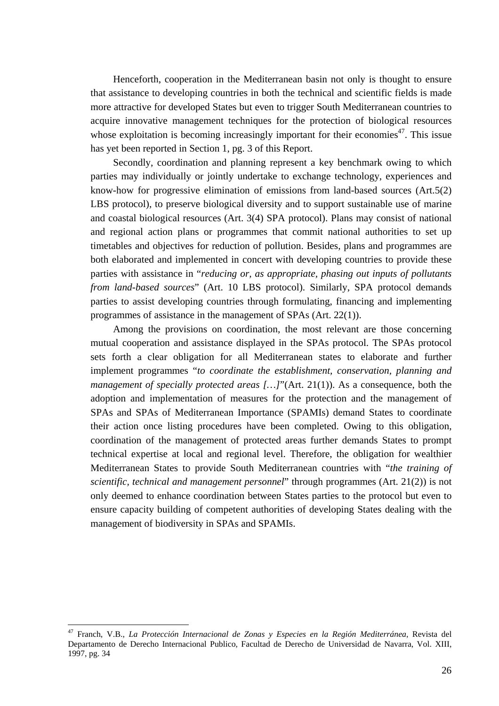Henceforth, cooperation in the Mediterranean basin not only is thought to ensure that assistance to developing countries in both the technical and scientific fields is made more attractive for developed States but even to trigger South Mediterranean countries to acquire innovative management techniques for the protection of biological resources whose exploitation is becoming increasingly important for their economies<sup>47</sup>. This issue has yet been reported in Section 1, pg. 3 of this Report.

Secondly, coordination and planning represent a key benchmark owing to which parties may individually or jointly undertake to exchange technology, experiences and know-how for progressive elimination of emissions from land-based sources (Art.5(2) LBS protocol), to preserve biological diversity and to support sustainable use of marine and coastal biological resources (Art. 3(4) SPA protocol). Plans may consist of national and regional action plans or programmes that commit national authorities to set up timetables and objectives for reduction of pollution. Besides, plans and programmes are both elaborated and implemented in concert with developing countries to provide these parties with assistance in "*reducing or, as appropriate, phasing out inputs of pollutants from land-based sources*" (Art. 10 LBS protocol). Similarly, SPA protocol demands parties to assist developing countries through formulating, financing and implementing programmes of assistance in the management of SPAs (Art. 22(1)).

Among the provisions on coordination, the most relevant are those concerning mutual cooperation and assistance displayed in the SPAs protocol. The SPAs protocol sets forth a clear obligation for all Mediterranean states to elaborate and further implement programmes "*to coordinate the establishment, conservation, planning and management of specially protected areas [...]*"(Art. 21(1)). As a consequence, both the adoption and implementation of measures for the protection and the management of SPAs and SPAs of Mediterranean Importance (SPAMIs) demand States to coordinate their action once listing procedures have been completed. Owing to this obligation, coordination of the management of protected areas further demands States to prompt technical expertise at local and regional level. Therefore, the obligation for wealthier Mediterranean States to provide South Mediterranean countries with "*the training of scientific, technical and management personnel*" through programmes (Art. 21(2)) is not only deemed to enhance coordination between States parties to the protocol but even to ensure capacity building of competent authorities of developing States dealing with the management of biodiversity in SPAs and SPAMIs.

<span id="page-26-0"></span><sup>47</sup> Franch, V.B., *La Protección Internacional de Zonas y Especies en la Región Mediterránea*, Revista del Departamento de Derecho Internacional Publico, Facultad de Derecho de Universidad de Navarra, Vol. XIII, 1997, pg. 34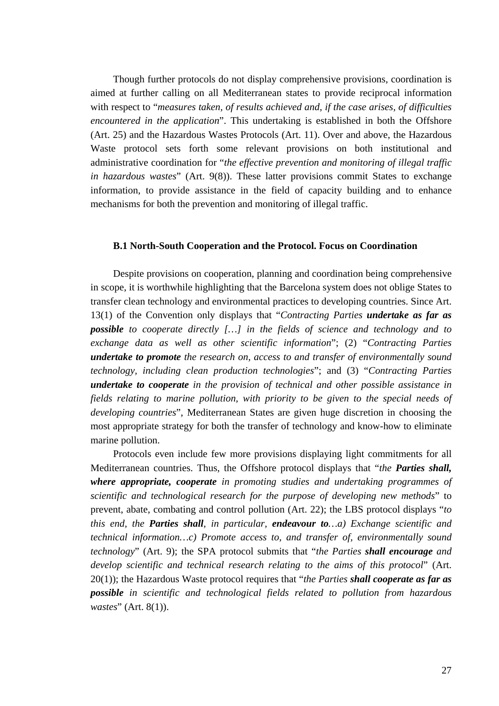Though further protocols do not display comprehensive provisions, coordination is aimed at further calling on all Mediterranean states to provide reciprocal information with respect to "*measures taken, of results achieved and, if the case arises, of difficulties encountered in the application*". This undertaking is established in both the Offshore (Art. 25) and the Hazardous Wastes Protocols (Art. 11). Over and above, the Hazardous Waste protocol sets forth some relevant provisions on both institutional and administrative coordination for "*the effective prevention and monitoring of illegal traffic in hazardous wastes*" (Art. 9(8)). These latter provisions commit States to exchange information, to provide assistance in the field of capacity building and to enhance mechanisms for both the prevention and monitoring of illegal traffic.

#### **B.1 North-South Cooperation and the Protocol. Focus on Coordination**

Despite provisions on cooperation, planning and coordination being comprehensive in scope, it is worthwhile highlighting that the Barcelona system does not oblige States to transfer clean technology and environmental practices to developing countries. Since Art. 13(1) of the Convention only displays that "*Contracting Parties undertake as far as possible to cooperate directly […] in the fields of science and technology and to exchange data as well as other scientific information*"; (2) "*Contracting Parties undertake to promote the research on, access to and transfer of environmentally sound technology, including clean production technologies*"; and (3) "*Contracting Parties undertake to cooperate in the provision of technical and other possible assistance in fields relating to marine pollution, with priority to be given to the special needs of developing countries*", Mediterranean States are given huge discretion in choosing the most appropriate strategy for both the transfer of technology and know-how to eliminate marine pollution.

Protocols even include few more provisions displaying light commitments for all Mediterranean countries. Thus, the Offshore protocol displays that "*the Parties shall, where appropriate, cooperate in promoting studies and undertaking programmes of scientific and technological research for the purpose of developing new methods*" to prevent, abate, combating and control pollution (Art. 22); the LBS protocol displays "*to this end, the Parties shall, in particular, endeavour to…a) Exchange scientific and technical information…c) Promote access to, and transfer of, environmentally sound technology*" (Art. 9); the SPA protocol submits that "*the Parties shall encourage and develop scientific and technical research relating to the aims of this protocol*" (Art. 20(1)); the Hazardous Waste protocol requires that "*the Parties shall cooperate as far as possible in scientific and technological fields related to pollution from hazardous wastes*" (Art. 8(1)).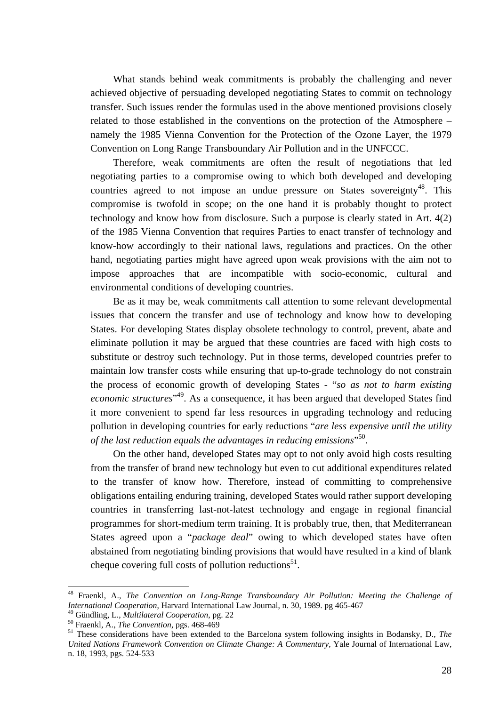What stands behind weak commitments is probably the challenging and never achieved objective of persuading developed negotiating States to commit on technology transfer. Such issues render the formulas used in the above mentioned provisions closely related to those established in the conventions on the protection of the Atmosphere – namely the 1985 Vienna Convention for the Protection of the Ozone Layer, the 1979 Convention on Long Range Transboundary Air Pollution and in the UNFCCC.

Therefore, weak commitments are often the result of negotiations that led negotiating parties to a compromise owing to which both developed and developing countries agreed to not impose an undue pressure on States sovereignty<sup>48</sup>. This compromise is twofold in scope; on the one hand it is probably thought to protect technology and know how from disclosure. Such a purpose is clearly stated in Art. 4(2) of the 1985 Vienna Convention that requires Parties to enact transfer of technology and know-how accordingly to their national laws, regulations and practices. On the other hand, negotiating parties might have agreed upon weak provisions with the aim not to impose approaches that are incompatible with socio-economic, cultural and environmental conditions of developing countries.

Be as it may be, weak commitments call attention to some relevant developmental issues that concern the transfer and use of technology and know how to developing States. For developing States display obsolete technology to control, prevent, abate and eliminate pollution it may be argued that these countries are faced with high costs to substitute or destroy such technology. Put in those terms, developed countries prefer to maintain low transfer costs while ensuring that up-to-grade technology do not constrain the process of economic growth of developing States - "*so as not to harm existing economic structures*" [49.](#page-28-1) As a consequence, it has been argued that developed States find it more convenient to spend far less resources in upgrading technology and reducing pollution in developing countries for early reductions "*are less expensive until the utility of the last reduction equals the advantages in reducing emissions*" [50.](#page-28-2)

On the other hand, developed States may opt to not only avoid high costs resulting from the transfer of brand new technology but even to cut additional expenditures related to the transfer of know how. Therefore, instead of committing to comprehensive obligations entailing enduring training, developed States would rather support developing countries in transferring last-not-latest technology and engage in regional financial programmes for short-medium term training. It is probably true, then, that Mediterranean States agreed upon a "*package deal*" owing to which developed states have often abstained from negotiating binding provisions that would have resulted in a kind of blank cheque covering full costs of pollution reductions<sup>51</sup>.

<span id="page-28-0"></span><sup>48</sup> Fraenkl, A., *The Convention on Long-Range Transboundary Air Pollution: Meeting the Challenge of International Cooperation*, Harvard International Law Journal, n. 30, 1989. pg 465-467<sup>49</sup> Gündling, L., *Multilateral Cooperation*, pg. 22

<span id="page-28-1"></span>

<span id="page-28-3"></span>

<span id="page-28-2"></span><sup>&</sup>lt;sup>50</sup> Fraenkl, A., *The Convention*, pgs. 468-469<br><sup>51</sup> These considerations have been extended to the Barcelona system following insights in Bodansky, D., *The United Nations Framework Convention on Climate Change: A Commentary*, Yale Journal of International Law, n. 18, 1993, pgs. 524-533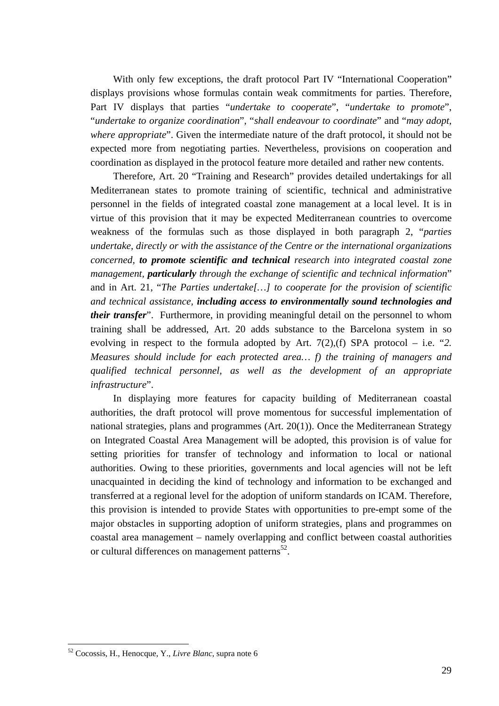With only few exceptions, the draft protocol Part IV "International Cooperation" displays provisions whose formulas contain weak commitments for parties. Therefore, Part IV displays that parties "*undertake to cooperate*", "*undertake to promote*", "*undertake to organize coordination*", "*shall endeavour to coordinate*" and "*may adopt, where appropriate*". Given the intermediate nature of the draft protocol, it should not be expected more from negotiating parties. Nevertheless, provisions on cooperation and coordination as displayed in the protocol feature more detailed and rather new contents.

Therefore, Art. 20 "Training and Research" provides detailed undertakings for all Mediterranean states to promote training of scientific, technical and administrative personnel in the fields of integrated coastal zone management at a local level. It is in virtue of this provision that it may be expected Mediterranean countries to overcome weakness of the formulas such as those displayed in both paragraph 2, "*parties undertake, directly or with the assistance of the Centre or the international organizations concerned, to promote scientific and technical research into integrated coastal zone management, particularly through the exchange of scientific and technical information*" and in Art. 21, "*The Parties undertake[…] to cooperate for the provision of scientific and technical assistance, including access to environmentally sound technologies and their transfer*". Furthermore, in providing meaningful detail on the personnel to whom training shall be addressed, Art. 20 adds substance to the Barcelona system in so evolving in respect to the formula adopted by Art. 7(2),(f) SPA protocol – i.e. "*2. Measures should include for each protected area… f) the training of managers and qualified technical personnel, as well as the development of an appropriate infrastructure*".

In displaying more features for capacity building of Mediterranean coastal authorities, the draft protocol will prove momentous for successful implementation of national strategies, plans and programmes (Art. 20(1)). Once the Mediterranean Strategy on Integrated Coastal Area Management will be adopted, this provision is of value for setting priorities for transfer of technology and information to local or national authorities. Owing to these priorities, governments and local agencies will not be left unacquainted in deciding the kind of technology and information to be exchanged and transferred at a regional level for the adoption of uniform standards on ICAM. Therefore, this provision is intended to provide States with opportunities to pre-empt some of the major obstacles in supporting adoption of uniform strategies, plans and programmes on coastal area management – namely overlapping and conflict between coastal authorities or cultural differences on management patterns<sup>52</sup>.

<span id="page-29-0"></span><sup>52</sup> Cocossis, H., Henocque, Y., *Livre Blanc*, supra note 6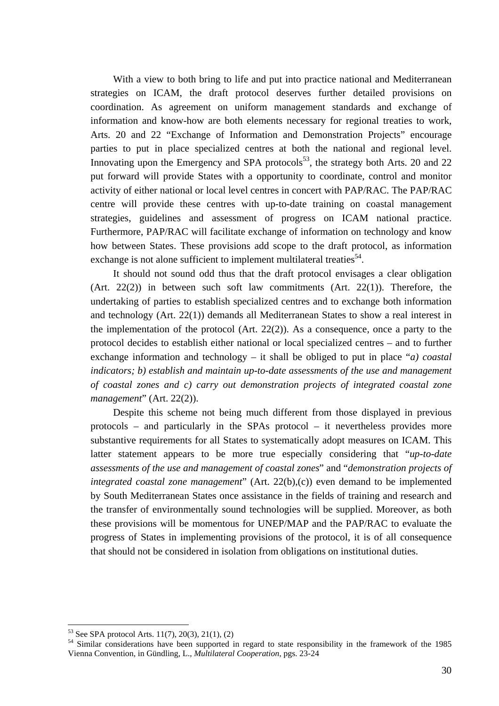With a view to both bring to life and put into practice national and Mediterranean strategies on ICAM, the draft protocol deserves further detailed provisions on coordination. As agreement on uniform management standards and exchange of information and know-how are both elements necessary for regional treaties to work, Arts. 20 and 22 "Exchange of Information and Demonstration Projects" encourage parties to put in place specialized centres at both the national and regional level. Innovating upon the Emergency and SPA protocols<sup>53</sup>, the strategy both Arts. 20 and 22 put forward will provide States with a opportunity to coordinate, control and monitor activity of either national or local level centres in concert with PAP/RAC. The PAP/RAC centre will provide these centres with up-to-date training on coastal management strategies, guidelines and assessment of progress on ICAM national practice. Furthermore, PAP/RAC will facilitate exchange of information on technology and know how between States. These provisions add scope to the draft protocol, as information exchange is not alone sufficient to implement multilateral treaties  $54$ .

It should not sound odd thus that the draft protocol envisages a clear obligation (Art. 22(2)) in between such soft law commitments (Art. 22(1)). Therefore, the undertaking of parties to establish specialized centres and to exchange both information and technology (Art. 22(1)) demands all Mediterranean States to show a real interest in the implementation of the protocol (Art. 22(2)). As a consequence, once a party to the protocol decides to establish either national or local specialized centres – and to further exchange information and technology – it shall be obliged to put in place "*a) coastal indicators; b) establish and maintain up-to-date assessments of the use and management of coastal zones and c) carry out demonstration projects of integrated coastal zone management*" (Art. 22(2)).

Despite this scheme not being much different from those displayed in previous protocols – and particularly in the SPAs protocol – it nevertheless provides more substantive requirements for all States to systematically adopt measures on ICAM. This latter statement appears to be more true especially considering that "*up-to-date assessments of the use and management of coastal zones*" and "*demonstration projects of integrated coastal zone management*" (Art. 22(b),(c)) even demand to be implemented by South Mediterranean States once assistance in the fields of training and research and the transfer of environmentally sound technologies will be supplied. Moreover, as both these provisions will be momentous for UNEP/MAP and the PAP/RAC to evaluate the progress of States in implementing provisions of the protocol, it is of all consequence that should not be considered in isolation from obligations on institutional duties.

<span id="page-30-1"></span>

<span id="page-30-0"></span><sup>&</sup>lt;sup>53</sup> See SPA protocol Arts. 11(7), 20(3), 21(1), (2)<br><sup>54</sup> Similar considerations have been supported in regard to state responsibility in the framework of the 1985 Vienna Convention, in Gündling, L., *Multilateral Cooperation*, pgs. 23-24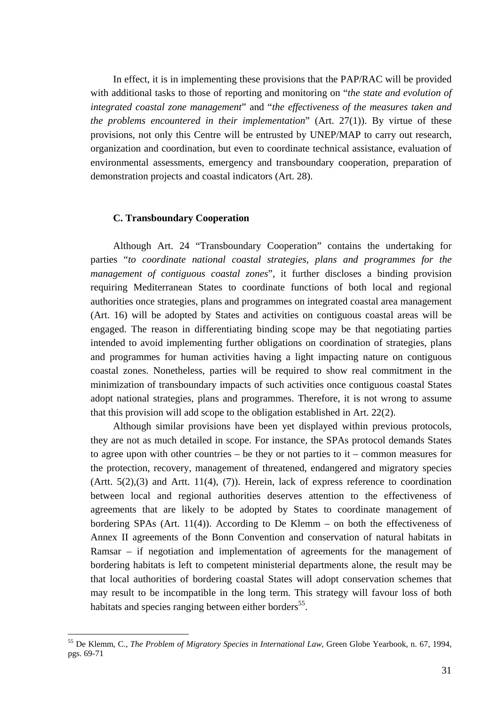In effect, it is in implementing these provisions that the PAP/RAC will be provided with additional tasks to those of reporting and monitoring on "*the state and evolution of integrated coastal zone management*" and "*the effectiveness of the measures taken and the problems encountered in their implementation*" (Art. 27(1)). By virtue of these provisions, not only this Centre will be entrusted by UNEP/MAP to carry out research, organization and coordination, but even to coordinate technical assistance, evaluation of environmental assessments, emergency and transboundary cooperation, preparation of demonstration projects and coastal indicators (Art. 28).

## **C. Transboundary Cooperation**

Although Art. 24 "Transboundary Cooperation" contains the undertaking for parties "*to coordinate national coastal strategies, plans and programmes for the management of contiguous coastal zones*", it further discloses a binding provision requiring Mediterranean States to coordinate functions of both local and regional authorities once strategies, plans and programmes on integrated coastal area management (Art. 16) will be adopted by States and activities on contiguous coastal areas will be engaged. The reason in differentiating binding scope may be that negotiating parties intended to avoid implementing further obligations on coordination of strategies, plans and programmes for human activities having a light impacting nature on contiguous coastal zones. Nonetheless, parties will be required to show real commitment in the minimization of transboundary impacts of such activities once contiguous coastal States adopt national strategies, plans and programmes. Therefore, it is not wrong to assume that this provision will add scope to the obligation established in Art. 22(2).

Although similar provisions have been yet displayed within previous protocols, they are not as much detailed in scope. For instance, the SPAs protocol demands States to agree upon with other countries  $-$  be they or not parties to it  $-$  common measures for the protection, recovery, management of threatened, endangered and migratory species (Artt.  $5(2),(3)$ ) and Artt. 11(4), (7)). Herein, lack of express reference to coordination between local and regional authorities deserves attention to the effectiveness of agreements that are likely to be adopted by States to coordinate management of bordering SPAs (Art. 11(4)). According to De Klemm – on both the effectiveness of Annex II agreements of the Bonn Convention and conservation of natural habitats in Ramsar – if negotiation and implementation of agreements for the management of bordering habitats is left to competent ministerial departments alone, the result may be that local authorities of bordering coastal States will adopt conservation schemes that may result to be incompatible in the long term. This strategy will favour loss of both habitats and species ranging between either borders<sup>55</sup>.

<span id="page-31-0"></span><sup>55</sup> De Klemm, C., *The Problem of Migratory Species in International Law*, Green Globe Yearbook, n. 67, 1994, pgs. 69-71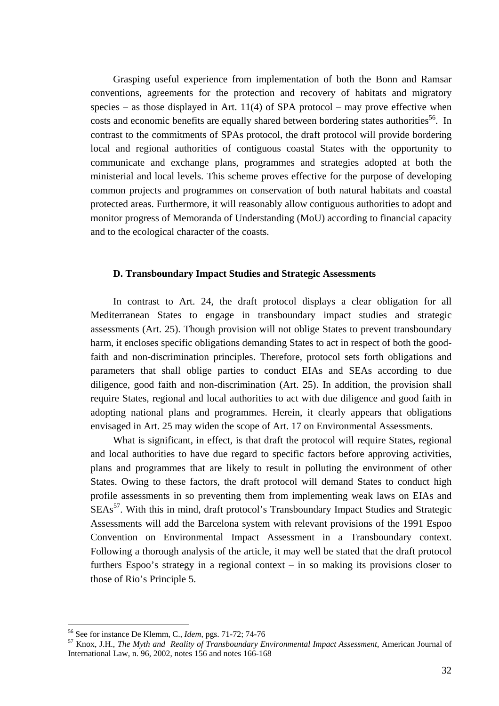Grasping useful experience from implementation of both the Bonn and Ramsar conventions, agreements for the protection and recovery of habitats and migratory species – as those displayed in Art. 11(4) of SPA protocol – may prove effective when costs and economic benefits are equally shared between bordering states authorities<sup>56</sup>. In contrast to the commitments of SPAs protocol, the draft protocol will provide bordering local and regional authorities of contiguous coastal States with the opportunity to communicate and exchange plans, programmes and strategies adopted at both the ministerial and local levels. This scheme proves effective for the purpose of developing common projects and programmes on conservation of both natural habitats and coastal protected areas. Furthermore, it will reasonably allow contiguous authorities to adopt and monitor progress of Memoranda of Understanding (MoU) according to financial capacity and to the ecological character of the coasts.

#### **D. Transboundary Impact Studies and Strategic Assessments**

In contrast to Art. 24, the draft protocol displays a clear obligation for all Mediterranean States to engage in transboundary impact studies and strategic assessments (Art. 25). Though provision will not oblige States to prevent transboundary harm, it encloses specific obligations demanding States to act in respect of both the goodfaith and non-discrimination principles. Therefore, protocol sets forth obligations and parameters that shall oblige parties to conduct EIAs and SEAs according to due diligence, good faith and non-discrimination (Art. 25). In addition, the provision shall require States, regional and local authorities to act with due diligence and good faith in adopting national plans and programmes. Herein, it clearly appears that obligations envisaged in Art. 25 may widen the scope of Art. 17 on Environmental Assessments.

What is significant, in effect, is that draft the protocol will require States, regional and local authorities to have due regard to specific factors before approving activities, plans and programmes that are likely to result in polluting the environment of other States. Owing to these factors, the draft protocol will demand States to conduct high profile assessments in so preventing them from implementing weak laws on EIAs and  $SEAs<sup>57</sup>$ . With this in mind, draft protocol's Transboundary Impact Studies and Strategic Assessments will add the Barcelona system with relevant provisions of the 1991 Espoo Convention on Environmental Impact Assessment in a Transboundary context. Following a thorough analysis of the article, it may well be stated that the draft protocol furthers Espoo's strategy in a regional context – in so making its provisions closer to those of Rio's Principle 5.

<span id="page-32-0"></span><sup>&</sup>lt;sup>56</sup> See for instance De Klemm, C., *Idem*, pgs. 71-72; 74-76

<span id="page-32-1"></span><sup>&</sup>lt;sup>57</sup> Knox, J.H., *The Myth and Reality of Transboundary Environmental Impact Assessment*, American Journal of International Law, n. 96, 2002, notes 156 and notes 166-168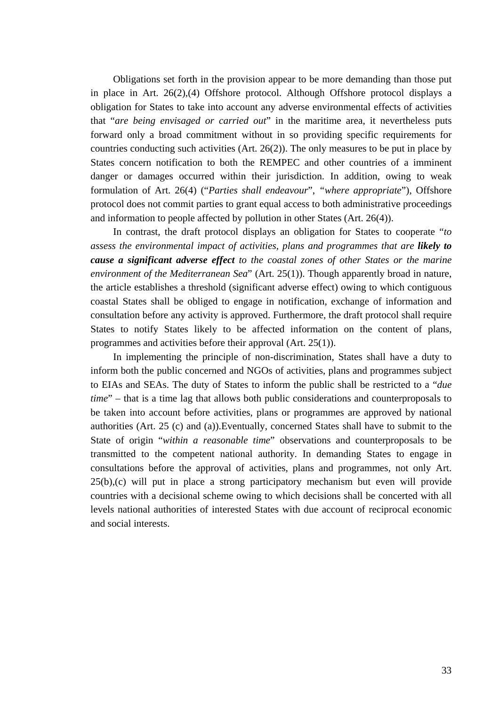Obligations set forth in the provision appear to be more demanding than those put in place in Art. 26(2),(4) Offshore protocol. Although Offshore protocol displays a obligation for States to take into account any adverse environmental effects of activities that "*are being envisaged or carried out*" in the maritime area, it nevertheless puts forward only a broad commitment without in so providing specific requirements for countries conducting such activities (Art. 26(2)). The only measures to be put in place by States concern notification to both the REMPEC and other countries of a imminent danger or damages occurred within their jurisdiction. In addition, owing to weak formulation of Art. 26(4) ("*Parties shall endeavour*", *"where appropriate*"), Offshore protocol does not commit parties to grant equal access to both administrative proceedings and information to people affected by pollution in other States (Art. 26(4)).

In contrast, the draft protocol displays an obligation for States to cooperate "*to assess the environmental impact of activities, plans and programmes that are likely to cause a significant adverse effect to the coastal zones of other States or the marine environment of the Mediterranean Sea*" (Art. 25(1)). Though apparently broad in nature, the article establishes a threshold (significant adverse effect) owing to which contiguous coastal States shall be obliged to engage in notification, exchange of information and consultation before any activity is approved. Furthermore, the draft protocol shall require States to notify States likely to be affected information on the content of plans, programmes and activities before their approval (Art. 25(1)).

In implementing the principle of non-discrimination, States shall have a duty to inform both the public concerned and NGOs of activities, plans and programmes subject to EIAs and SEAs. The duty of States to inform the public shall be restricted to a "*due time*" – that is a time lag that allows both public considerations and counterproposals to be taken into account before activities, plans or programmes are approved by national authorities (Art. 25 (c) and (a)).Eventually, concerned States shall have to submit to the State of origin "*within a reasonable time*" observations and counterproposals to be transmitted to the competent national authority. In demanding States to engage in consultations before the approval of activities, plans and programmes, not only Art. 25(b),(c) will put in place a strong participatory mechanism but even will provide countries with a decisional scheme owing to which decisions shall be concerted with all levels national authorities of interested States with due account of reciprocal economic and social interests.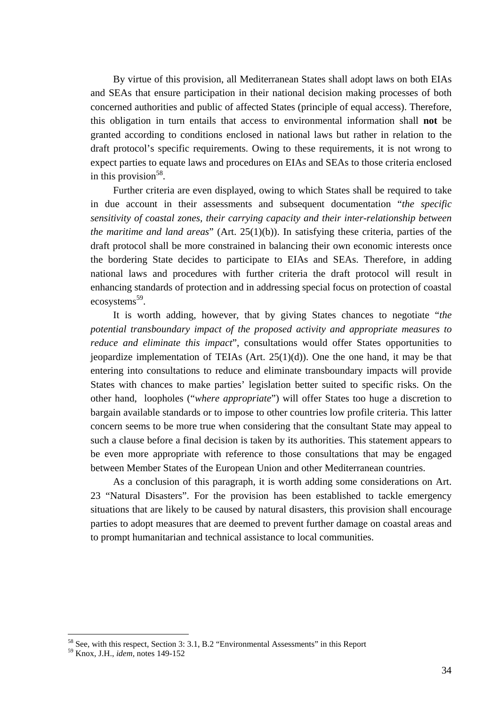By virtue of this provision, all Mediterranean States shall adopt laws on both EIAs and SEAs that ensure participation in their national decision making processes of both concerned authorities and public of affected States (principle of equal access). Therefore, this obligation in turn entails that access to environmental information shall **not** be granted according to conditions enclosed in national laws but rather in relation to the draft protocol's specific requirements. Owing to these requirements, it is not wrong to expect parties to equate laws and procedures on EIAs and SEAs to those criteria enclosed in this provision<sup>58</sup>.

Further criteria are even displayed, owing to which States shall be required to take in due account in their assessments and subsequent documentation "*the specific sensitivity of coastal zones, their carrying capacity and their inter-relationship between the maritime and land areas*" (Art. 25(1)(b)). In satisfying these criteria, parties of the draft protocol shall be more constrained in balancing their own economic interests once the bordering State decides to participate to EIAs and SEAs. Therefore, in adding national laws and procedures with further criteria the draft protocol will result in enhancing standards of protection and in addressing special focus on protection of coastal ecosystems [59.](#page-34-1) 

It is worth adding, however, that by giving States chances to negotiate "*the potential transboundary impact of the proposed activity and appropriate measures to reduce and eliminate this impact*", consultations would offer States opportunities to jeopardize implementation of TEIAs  $(Art. 25(1)(d))$ . One the one hand, it may be that entering into consultations to reduce and eliminate transboundary impacts will provide States with chances to make parties' legislation better suited to specific risks. On the other hand, loopholes ("*where appropriate*") will offer States too huge a discretion to bargain available standards or to impose to other countries low profile criteria. This latter concern seems to be more true when considering that the consultant State may appeal to such a clause before a final decision is taken by its authorities. This statement appears to be even more appropriate with reference to those consultations that may be engaged between Member States of the European Union and other Mediterranean countries.

As a conclusion of this paragraph, it is worth adding some considerations on Art. 23 "Natural Disasters". For the provision has been established to tackle emergency situations that are likely to be caused by natural disasters, this provision shall encourage parties to adopt measures that are deemed to prevent further damage on coastal areas and to prompt humanitarian and technical assistance to local communities.

<span id="page-34-0"></span><sup>&</sup>lt;sup>58</sup> See, with this respect, Section 3: 3.1, B.2 "Environmental Assessments" in this Report

<span id="page-34-1"></span><sup>59</sup> Knox, J.H., *idem,* notes 149-152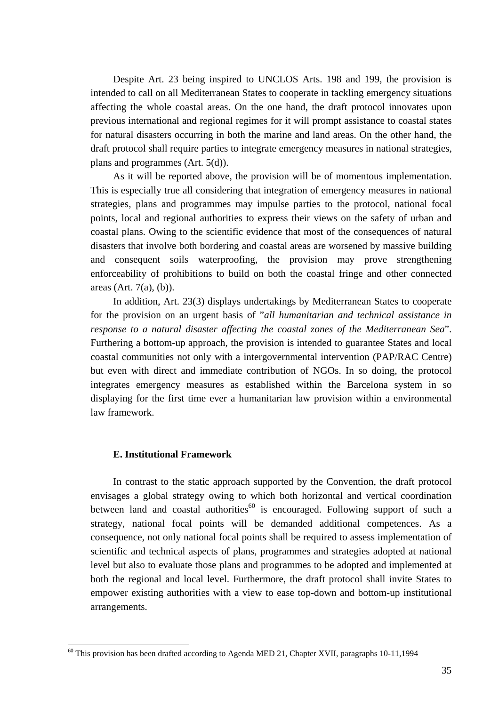Despite Art. 23 being inspired to UNCLOS Arts. 198 and 199, the provision is intended to call on all Mediterranean States to cooperate in tackling emergency situations affecting the whole coastal areas. On the one hand, the draft protocol innovates upon previous international and regional regimes for it will prompt assistance to coastal states for natural disasters occurring in both the marine and land areas. On the other hand, the draft protocol shall require parties to integrate emergency measures in national strategies, plans and programmes (Art. 5(d)).

As it will be reported above, the provision will be of momentous implementation. This is especially true all considering that integration of emergency measures in national strategies, plans and programmes may impulse parties to the protocol, national focal points, local and regional authorities to express their views on the safety of urban and coastal plans. Owing to the scientific evidence that most of the consequences of natural disasters that involve both bordering and coastal areas are worsened by massive building and consequent soils waterproofing, the provision may prove strengthening enforceability of prohibitions to build on both the coastal fringe and other connected areas (Art. 7(a), (b)).

In addition, Art. 23(3) displays undertakings by Mediterranean States to cooperate for the provision on an urgent basis of "*all humanitarian and technical assistance in response to a natural disaster affecting the coastal zones of the Mediterranean Sea*". Furthering a bottom-up approach, the provision is intended to guarantee States and local coastal communities not only with a intergovernmental intervention (PAP/RAC Centre) but even with direct and immediate contribution of NGOs. In so doing, the protocol integrates emergency measures as established within the Barcelona system in so displaying for the first time ever a humanitarian law provision within a environmental law framework.

## **E. Institutional Framework**

 $\overline{a}$ 

In contrast to the static approach supported by the Convention, the draft protocol envisages a global strategy owing to which both horizontal and vertical coordination between land and coastal authorities<sup>60</sup> is encouraged. Following support of such a strategy, national focal points will be demanded additional competences. As a consequence, not only national focal points shall be required to assess implementation of scientific and technical aspects of plans, programmes and strategies adopted at national level but also to evaluate those plans and programmes to be adopted and implemented at both the regional and local level. Furthermore, the draft protocol shall invite States to empower existing authorities with a view to ease top-down and bottom-up institutional arrangements.

<span id="page-35-0"></span><sup>&</sup>lt;sup>60</sup> This provision has been drafted according to Agenda MED 21, Chapter XVII, paragraphs 10-11,1994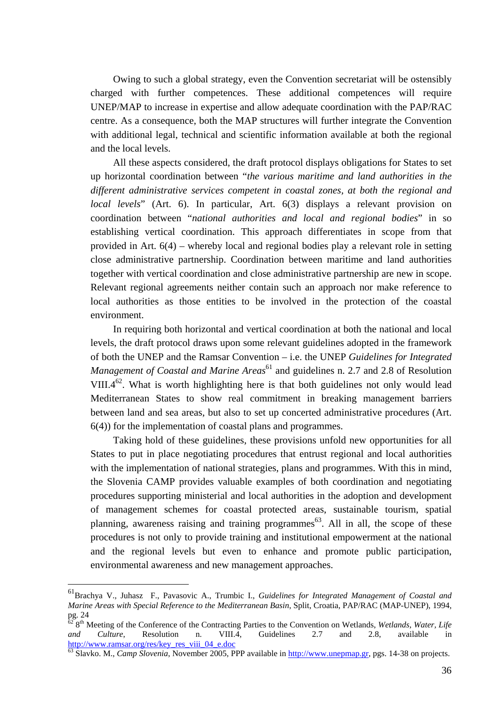Owing to such a global strategy, even the Convention secretariat will be ostensibly charged with further competences. These additional competences will require UNEP/MAP to increase in expertise and allow adequate coordination with the PAP/RAC centre. As a consequence, both the MAP structures will further integrate the Convention with additional legal, technical and scientific information available at both the regional and the local levels.

All these aspects considered, the draft protocol displays obligations for States to set up horizontal coordination between "*the various maritime and land authorities in the different administrative services competent in coastal zones, at both the regional and local levels*" (Art. 6). In particular, Art. 6(3) displays a relevant provision on coordination between "*national authorities and local and regional bodies*" in so establishing vertical coordination. This approach differentiates in scope from that provided in Art. 6(4) – whereby local and regional bodies play a relevant role in setting close administrative partnership. Coordination between maritime and land authorities together with vertical coordination and close administrative partnership are new in scope. Relevant regional agreements neither contain such an approach nor make reference to local authorities as those entities to be involved in the protection of the coastal environment.

In requiring both horizontal and vertical coordination at both the national and local levels, the draft protocol draws upon some relevant guidelines adopted in the framework of both the UNEP and the Ramsar Convention – i.e. the UNEP *Guidelines for Integrated Management of Coastal and Marine Areas*<sup>[61](#page-36-0)</sup> and guidelines n. 2.7 and 2.8 of Resolution VIII.4<sup>62</sup>. What is worth highlighting here is that both guidelines not only would lead Mediterranean States to show real commitment in breaking management barriers between land and sea areas, but also to set up concerted administrative procedures (Art. 6(4)) for the implementation of coastal plans and programmes.

Taking hold of these guidelines, these provisions unfold new opportunities for all States to put in place negotiating procedures that entrust regional and local authorities with the implementation of national strategies, plans and programmes. With this in mind, the Slovenia CAMP provides valuable examples of both coordination and negotiating procedures supporting ministerial and local authorities in the adoption and development of management schemes for coastal protected areas, sustainable tourism, spatial planning, awareness raising and training programmes<sup>63</sup>. All in all, the scope of these procedures is not only to provide training and institutional empowerment at the national and the regional levels but even to enhance and promote public participation, environmental awareness and new management approaches.

<span id="page-36-0"></span><sup>61</sup>Brachya V., Juhasz F., Pavasovic A., Trumbic I., *Guidelines for Integrated Management of Coastal and Marine Areas with Special Reference to the Mediterranean Basin*, Split, Croatia, PAP/RAC (MAP-UNEP), 1994, pg. 24

<span id="page-36-1"></span><sup>62 8</sup>th Meeting of the Conference of the Contracting Parties to the Convention on Wetlands, *Wetlands, Water, Life and Culture*, Resolution n. VIII.4, Guidelines 2.7 and 2.8, available in [http://www.ramsar.org/res/key\\_res\\_viii\\_04\\_e.doc 63](http://www.ramsar.org/res/key_res_viii_04_e.doc) Slavko. M., *Camp Slovenia*, November 2005, PPP available in [http://www.unepmap.gr,](http://www.unepmap.gr/) pgs. 14-38 on projects.

<span id="page-36-2"></span>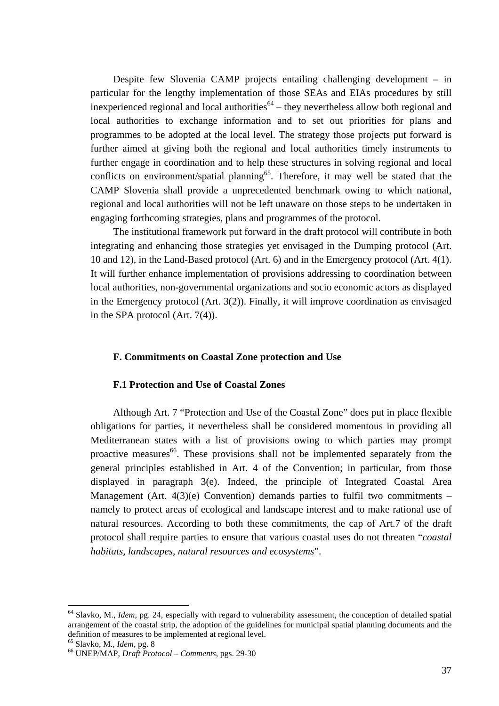Despite few Slovenia CAMP projects entailing challenging development – in particular for the lengthy implementation of those SEAs and EIAs procedures by still inexperienced regional and local authorities<sup> $64$ </sup> – they nevertheless allow both regional and local authorities to exchange information and to set out priorities for plans and programmes to be adopted at the local level. The strategy those projects put forward is further aimed at giving both the regional and local authorities timely instruments to further engage in coordination and to help these structures in solving regional and local conflicts on environment/spatial planning<sup>65</sup>. Therefore, it may well be stated that the CAMP Slovenia shall provide a unprecedented benchmark owing to which national, regional and local authorities will not be left unaware on those steps to be undertaken in engaging forthcoming strategies, plans and programmes of the protocol.

The institutional framework put forward in the draft protocol will contribute in both integrating and enhancing those strategies yet envisaged in the Dumping protocol (Art. 10 and 12), in the Land-Based protocol (Art. 6) and in the Emergency protocol (Art. 4(1). It will further enhance implementation of provisions addressing to coordination between local authorities, non-governmental organizations and socio economic actors as displayed in the Emergency protocol (Art. 3(2)). Finally, it will improve coordination as envisaged in the SPA protocol (Art. 7(4)).

## **F. Commitments on Coastal Zone protection and Use**

## **F.1 Protection and Use of Coastal Zones**

Although Art. 7 "Protection and Use of the Coastal Zone" does put in place flexible obligations for parties, it nevertheless shall be considered momentous in providing all Mediterranean states with a list of provisions owing to which parties may prompt proactive measures  $66$ . These provisions shall not be implemented separately from the general principles established in Art. 4 of the Convention; in particular, from those displayed in paragraph 3(e). Indeed, the principle of Integrated Coastal Area Management (Art.  $4(3)(e)$  Convention) demands parties to fulfil two commitments – namely to protect areas of ecological and landscape interest and to make rational use of natural resources. According to both these commitments, the cap of Art.7 of the draft protocol shall require parties to ensure that various coastal uses do not threaten "*coastal habitats, landscapes, natural resources and ecosystems*".

<span id="page-37-0"></span><sup>64</sup> Slavko, M., *Idem*, pg. 24, especially with regard to vulnerability assessment, the conception of detailed spatial arrangement of the coastal strip, the adoption of the guidelines for municipal spatial planning documents and the definition of measures to be implemented at regional level.<br><sup>65</sup> Slavko, M., *Idem*, pg. 8<br><sup>66</sup> UNEP/MAP, *Draft Protocol – Comments*, pgs. 29-30

<span id="page-37-1"></span>

<span id="page-37-2"></span>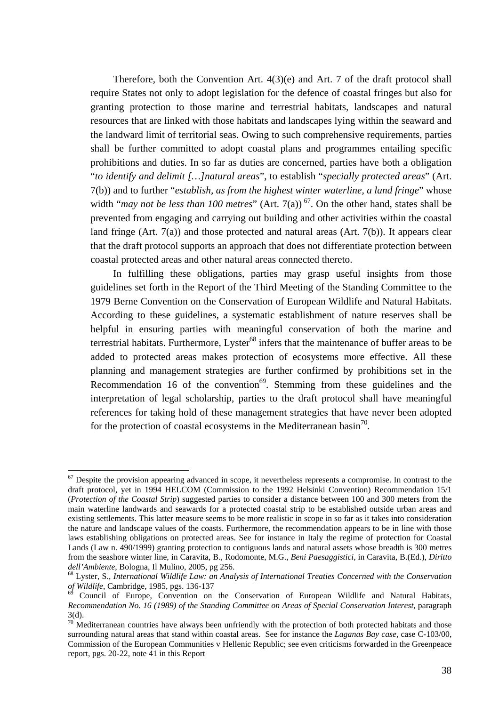Therefore, both the Convention Art. 4(3)(e) and Art. 7 of the draft protocol shall require States not only to adopt legislation for the defence of coastal fringes but also for granting protection to those marine and terrestrial habitats, landscapes and natural resources that are linked with those habitats and landscapes lying within the seaward and the landward limit of territorial seas. Owing to such comprehensive requirements, parties shall be further committed to adopt coastal plans and programmes entailing specific prohibitions and duties. In so far as duties are concerned, parties have both a obligation "*to identify and delimit […]natural areas*", to establish "*specially protected areas*" (Art. 7(b)) and to further "*establish, as from the highest winter waterline, a land fringe*" whose width "*may not be less than 100 metres*" (Art. 7(a))<sup>67</sup>. On the other hand, states shall be prevented from engaging and carrying out building and other activities within the coastal land fringe (Art. 7(a)) and those protected and natural areas (Art. 7(b)). It appears clear that the draft protocol supports an approach that does not differentiate protection between coastal protected areas and other natural areas connected thereto.

In fulfilling these obligations, parties may grasp useful insights from those guidelines set forth in the Report of the Third Meeting of the Standing Committee to the 1979 Berne Convention on the Conservation of European Wildlife and Natural Habitats. According to these guidelines, a systematic establishment of nature reserves shall be helpful in ensuring parties with meaningful conservation of both the marine and terrestrial habitats. Furthermore, Lyster<sup>68</sup> infers that the maintenance of buffer areas to be added to protected areas makes protection of ecosystems more effective. All these planning and management strategies are further confirmed by prohibitions set in the Recommendation 16 of the convention<sup>69</sup>. Stemming from these guidelines and the interpretation of legal scholarship, parties to the draft protocol shall have meaningful references for taking hold of these management strategies that have never been adopted for the protection of coastal ecosystems in the Mediterranean basin<sup>70</sup>.

<span id="page-38-0"></span> $\overline{a}$  $67$  Despite the provision appearing advanced in scope, it nevertheless represents a compromise. In contrast to the draft protocol, yet in 1994 HELCOM (Commission to the 1992 Helsinki Convention) Recommendation 15/1 (*Protection of the Coastal Strip*) suggested parties to consider a distance between 100 and 300 meters from the main waterline landwards and seawards for a protected coastal strip to be established outside urban areas and existing settlements. This latter measure seems to be more realistic in scope in so far as it takes into consideration the nature and landscape values of the coasts. Furthermore, the recommendation appears to be in line with those laws establishing obligations on protected areas. See for instance in Italy the regime of protection for Coastal Lands (Law n. 490/1999) granting protection to contiguous lands and natural assets whose breadth is 300 metres from the seashore winter line, in Caravita, B., Rodomonte, M.G., *Beni Paesaggistici*, in Caravita, B.(Ed.), *Diritto*

<span id="page-38-1"></span>*dell'Ambiente*, Bologna, Il Mulino, 2005, pg 256.<br><sup>68</sup> Lyster, S., *International Wildlife Law: an Analysis of International Treaties Concerned with the Conservation of Wildlife, Cambridge, 1985, pgs. 136-137* 

<span id="page-38-2"></span>Council of Europe, Convention on the Conservation of European Wildlife and Natural Habitats, *Recommendation No. 16 (1989) of the Standing Committee on Areas of Special Conservation Interest*, paragraph 3(d).

<span id="page-38-3"></span> $70$  Mediterranean countries have always been unfriendly with the protection of both protected habitats and those surrounding natural areas that stand within coastal areas. See for instance the *Laganas Bay case*, case C-103/00, Commission of the European Communities v Hellenic Republic; see even criticisms forwarded in the Greenpeace report, pgs. 20-22, note 41 in this Report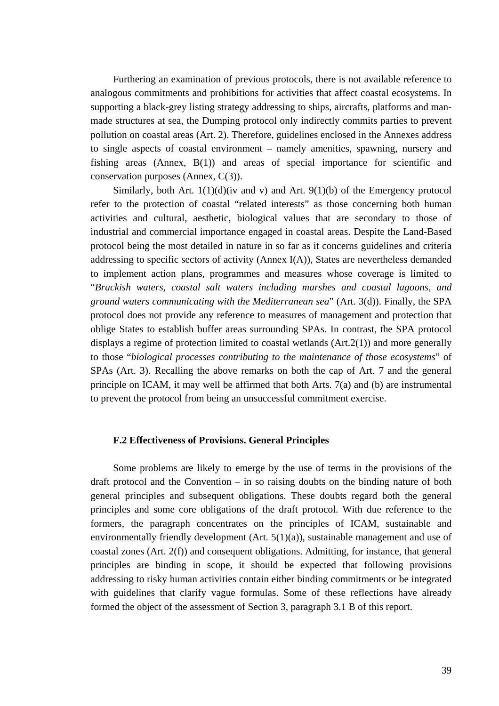Furthering an examination of previous protocols, there is not available reference to analogous commitments and prohibitions for activities that affect coastal ecosystems. In supporting a black-grey listing strategy addressing to ships, aircrafts, platforms and manmade structures at sea, the Dumping protocol only indirectly commits parties to prevent pollution on coastal areas (Art. 2). Therefore, guidelines enclosed in the Annexes address to single aspects of coastal environment – namely amenities, spawning, nursery and fishing areas (Annex, B(1)) and areas of special importance for scientific and conservation purposes (Annex, C(3)).

Similarly, both Art.  $1(1)(d)(iv$  and v) and Art.  $9(1)(b)$  of the Emergency protocol refer to the protection of coastal "related interests" as those concerning both human activities and cultural, aesthetic, biological values that are secondary to those of industrial and commercial importance engaged in coastal areas. Despite the Land-Based protocol being the most detailed in nature in so far as it concerns guidelines and criteria addressing to specific sectors of activity (Annex I(A)), States are nevertheless demanded to implement action plans, programmes and measures whose coverage is limited to "*Brackish waters, coastal salt waters including marshes and coastal lagoons, and ground waters communicating with the Mediterranean sea*" (Art. 3(d)). Finally, the SPA protocol does not provide any reference to measures of management and protection that oblige States to establish buffer areas surrounding SPAs. In contrast, the SPA protocol displays a regime of protection limited to coastal wetlands (Art.2(1)) and more generally to those "*biological processes contributing to the maintenance of those ecosystems*" of SPAs (Art. 3). Recalling the above remarks on both the cap of Art. 7 and the general principle on ICAM, it may well be affirmed that both Arts. 7(a) and (b) are instrumental to prevent the protocol from being an unsuccessful commitment exercise.

#### **F.2 Effectiveness of Provisions. General Principles**

Some problems are likely to emerge by the use of terms in the provisions of the draft protocol and the Convention – in so raising doubts on the binding nature of both general principles and subsequent obligations. These doubts regard both the general principles and some core obligations of the draft protocol. With due reference to the formers, the paragraph concentrates on the principles of ICAM, sustainable and environmentally friendly development (Art. 5(1)(a)), sustainable management and use of coastal zones (Art. 2(f)) and consequent obligations. Admitting, for instance, that general principles are binding in scope, it should be expected that following provisions addressing to risky human activities contain either binding commitments or be integrated with guidelines that clarify vague formulas. Some of these reflections have already formed the object of the assessment of Section 3, paragraph 3.1 B of this report.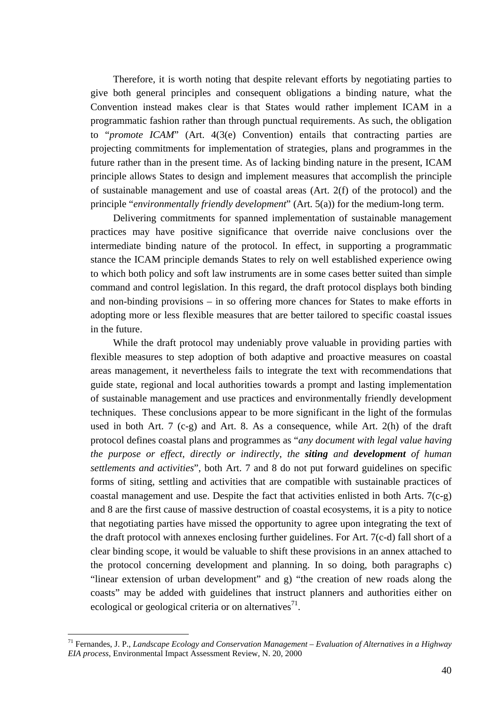Therefore, it is worth noting that despite relevant efforts by negotiating parties to give both general principles and consequent obligations a binding nature, what the Convention instead makes clear is that States would rather implement ICAM in a programmatic fashion rather than through punctual requirements. As such, the obligation to "*promote ICAM*" (Art. 4(3(e) Convention) entails that contracting parties are projecting commitments for implementation of strategies, plans and programmes in the future rather than in the present time. As of lacking binding nature in the present, ICAM principle allows States to design and implement measures that accomplish the principle of sustainable management and use of coastal areas (Art. 2(f) of the protocol) and the principle "*environmentally friendly development*" (Art. 5(a)) for the medium-long term.

Delivering commitments for spanned implementation of sustainable management practices may have positive significance that override naive conclusions over the intermediate binding nature of the protocol. In effect, in supporting a programmatic stance the ICAM principle demands States to rely on well established experience owing to which both policy and soft law instruments are in some cases better suited than simple command and control legislation. In this regard, the draft protocol displays both binding and non-binding provisions – in so offering more chances for States to make efforts in adopting more or less flexible measures that are better tailored to specific coastal issues in the future.

While the draft protocol may undeniably prove valuable in providing parties with flexible measures to step adoption of both adaptive and proactive measures on coastal areas management, it nevertheless fails to integrate the text with recommendations that guide state, regional and local authorities towards a prompt and lasting implementation of sustainable management and use practices and environmentally friendly development techniques. These conclusions appear to be more significant in the light of the formulas used in both Art. 7 (c-g) and Art. 8. As a consequence, while Art. 2(h) of the draft protocol defines coastal plans and programmes as "*any document with legal value having the purpose or effect, directly or indirectly*, *the siting and development of human settlements and activities*", both Art. 7 and 8 do not put forward guidelines on specific forms of siting, settling and activities that are compatible with sustainable practices of coastal management and use. Despite the fact that activities enlisted in both Arts. 7(c-g) and 8 are the first cause of massive destruction of coastal ecosystems, it is a pity to notice that negotiating parties have missed the opportunity to agree upon integrating the text of the draft protocol with annexes enclosing further guidelines. For Art. 7(c-d) fall short of a clear binding scope, it would be valuable to shift these provisions in an annex attached to the protocol concerning development and planning. In so doing, both paragraphs c) "linear extension of urban development" and g) "the creation of new roads along the coasts" may be added with guidelines that instruct planners and authorities either on ecological or geological criteria or on alternatives<sup>71</sup>.

<span id="page-40-0"></span><sup>71</sup> Fernandes, J. P., *Landscape Ecology and Conservation Management – Evaluation of Alternatives in a Highway EIA process*, Environmental Impact Assessment Review, N. 20, 2000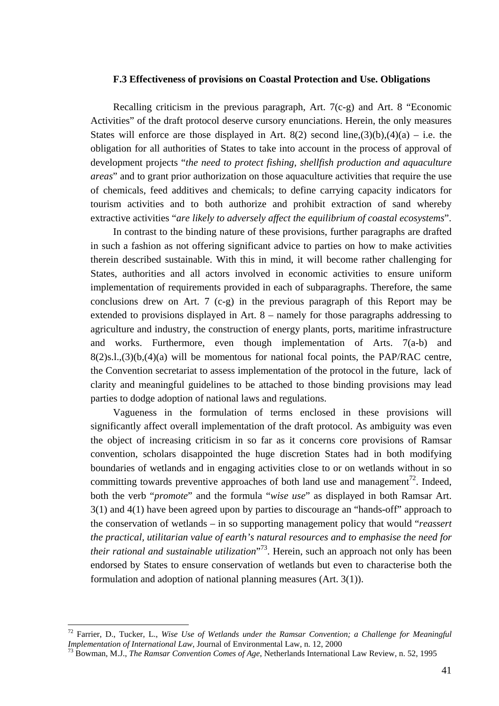#### **F.3 Effectiveness of provisions on Coastal Protection and Use. Obligations**

Recalling criticism in the previous paragraph, Art. 7(c-g) and Art. 8 "Economic Activities" of the draft protocol deserve cursory enunciations. Herein, the only measures States will enforce are those displayed in Art. 8(2) second line,(3)(b),(4)(a) – i.e. the obligation for all authorities of States to take into account in the process of approval of development projects "*the need to protect fishing, shellfish production and aquaculture areas*" and to grant prior authorization on those aquaculture activities that require the use of chemicals, feed additives and chemicals; to define carrying capacity indicators for tourism activities and to both authorize and prohibit extraction of sand whereby extractive activities "*are likely to adversely affect the equilibrium of coastal ecosystems*".

In contrast to the binding nature of these provisions, further paragraphs are drafted in such a fashion as not offering significant advice to parties on how to make activities therein described sustainable. With this in mind, it will become rather challenging for States, authorities and all actors involved in economic activities to ensure uniform implementation of requirements provided in each of subparagraphs. Therefore, the same conclusions drew on Art. 7 (c-g) in the previous paragraph of this Report may be extended to provisions displayed in Art. 8 – namely for those paragraphs addressing to agriculture and industry, the construction of energy plants, ports, maritime infrastructure and works. Furthermore, even though implementation of Arts. 7(a-b) and  $8(2)$ s.l., $(3)(b, (4)(a)$  will be momentous for national focal points, the PAP/RAC centre, the Convention secretariat to assess implementation of the protocol in the future, lack of clarity and meaningful guidelines to be attached to those binding provisions may lead parties to dodge adoption of national laws and regulations.

Vagueness in the formulation of terms enclosed in these provisions will significantly affect overall implementation of the draft protocol. As ambiguity was even the object of increasing criticism in so far as it concerns core provisions of Ramsar convention, scholars disappointed the huge discretion States had in both modifying boundaries of wetlands and in engaging activities close to or on wetlands without in so committing towards preventive approaches of both land use and management<sup>72</sup>. Indeed, both the verb "*promote*" and the formula "*wise use*" as displayed in both Ramsar Art. 3(1) and 4(1) have been agreed upon by parties to discourage an "hands-off" approach to the conservation of wetlands – in so supporting management policy that would "*reassert the practical, utilitarian value of earth's natural resources and to emphasise the need for their rational and sustainable utilization*" [73.](#page-41-1) Herein, such an approach not only has been endorsed by States to ensure conservation of wetlands but even to characterise both the formulation and adoption of national planning measures (Art. 3(1)).

<span id="page-41-0"></span><sup>72</sup> Farrier, D., Tucker, L., *Wise Use of Wetlands under the Ramsar Convention; a Challenge for Meaningful Implementation of International Law*, Journal of Environmental Law, n. 12, 2000<br><sup>73</sup> Bowman, M.J., *The Ramsar Convention Comes of Age*, Netherlands International Law Review, n. 52, 1995

<span id="page-41-1"></span>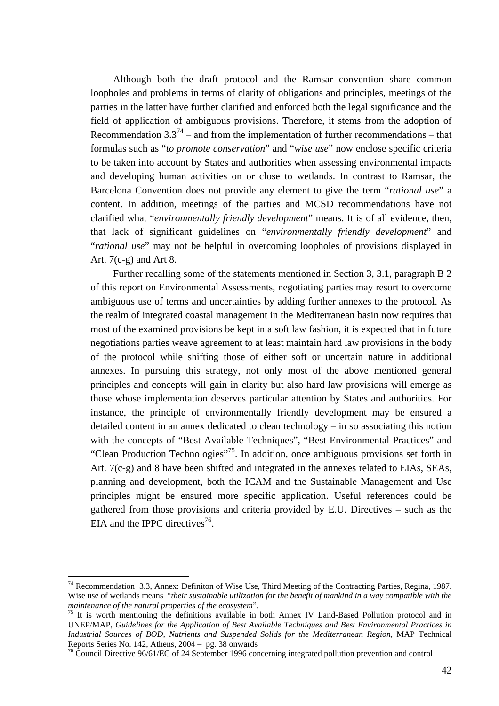Although both the draft protocol and the Ramsar convention share common loopholes and problems in terms of clarity of obligations and principles, meetings of the parties in the latter have further clarified and enforced both the legal significance and the field of application of ambiguous provisions. Therefore, it stems from the adoption of Recommendation  $3.3^{74}$  – and from the implementation of further recommendations – that formulas such as "*to promote conservation*" and "*wise use*" now enclose specific criteria to be taken into account by States and authorities when assessing environmental impacts and developing human activities on or close to wetlands. In contrast to Ramsar, the Barcelona Convention does not provide any element to give the term "*rational use*" a content. In addition, meetings of the parties and MCSD recommendations have not clarified what "*environmentally friendly development*" means. It is of all evidence, then, that lack of significant guidelines on "*environmentally friendly development*" and "*rational use*" may not be helpful in overcoming loopholes of provisions displayed in Art. 7(c-g) and Art 8.

Further recalling some of the statements mentioned in Section 3, 3.1, paragraph B 2 of this report on Environmental Assessments, negotiating parties may resort to overcome ambiguous use of terms and uncertainties by adding further annexes to the protocol. As the realm of integrated coastal management in the Mediterranean basin now requires that most of the examined provisions be kept in a soft law fashion, it is expected that in future negotiations parties weave agreement to at least maintain hard law provisions in the body of the protocol while shifting those of either soft or uncertain nature in additional annexes. In pursuing this strategy, not only most of the above mentioned general principles and concepts will gain in clarity but also hard law provisions will emerge as those whose implementation deserves particular attention by States and authorities. For instance, the principle of environmentally friendly development may be ensured a detailed content in an annex dedicated to clean technology – in so associating this notion with the concepts of "Best Available Techniques", "Best Environmental Practices" and "Clean Production Technologies"[75.](#page-42-1) In addition, once ambiguous provisions set forth in Art. 7(c-g) and 8 have been shifted and integrated in the annexes related to EIAs, SEAs, planning and development, both the ICAM and the Sustainable Management and Use principles might be ensured more specific application. Useful references could be gathered from those provisions and criteria provided by E.U. Directives – such as the EIA and the IPPC directives<sup>76</sup>.

<span id="page-42-0"></span><sup>74</sup> Recommendation 3.3, Annex: Definiton of Wise Use, Third Meeting of the Contracting Parties, Regina, 1987. Wise use of wetlands means "*their sustainable utilization for the benefit of mankind in a way compatible with the maintenance of the natural properties of the ecosystem*".<br><sup>75</sup> It is worth mentioning the definitions available in both Annex IV Land-Based Pollution protocol and in

<span id="page-42-1"></span>UNEP/MAP, *Guidelines for the Application of Best Available Techniques and Best Environmental Practices in Industrial Sources of BOD, Nutrients and Suspended Solids for the Mediterranean Region*, MAP Technical Reports Series No. 142, Athens, 2004 – pg. 38 onwards<br><sup>76</sup> Council Directive 96/61/EC of 24 September 1996 concerning integrated pollution prevention and control

<span id="page-42-2"></span>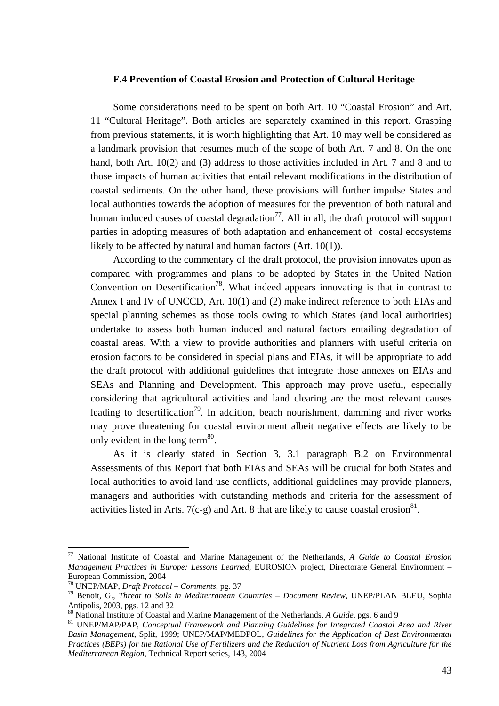## **F.4 Prevention of Coastal Erosion and Protection of Cultural Heritage**

Some considerations need to be spent on both Art. 10 "Coastal Erosion" and Art. 11 "Cultural Heritage". Both articles are separately examined in this report. Grasping from previous statements, it is worth highlighting that Art. 10 may well be considered as a landmark provision that resumes much of the scope of both Art. 7 and 8. On the one hand, both Art. 10(2) and (3) address to those activities included in Art. 7 and 8 and to those impacts of human activities that entail relevant modifications in the distribution of coastal sediments. On the other hand, these provisions will further impulse States and local authorities towards the adoption of measures for the prevention of both natural and human induced causes of coastal degradation<sup>77</sup>. All in all, the draft protocol will support parties in adopting measures of both adaptation and enhancement of costal ecosystems likely to be affected by natural and human factors (Art. 10(1)).

According to the commentary of the draft protocol, the provision innovates upon as compared with programmes and plans to be adopted by States in the United Nation Convention on Desertification<sup>78</sup>. What indeed appears innovating is that in contrast to Annex I and IV of UNCCD, Art. 10(1) and (2) make indirect reference to both EIAs and special planning schemes as those tools owing to which States (and local authorities) undertake to assess both human induced and natural factors entailing degradation of coastal areas. With a view to provide authorities and planners with useful criteria on erosion factors to be considered in special plans and EIAs, it will be appropriate to add the draft protocol with additional guidelines that integrate those annexes on EIAs and SEAs and Planning and Development. This approach may prove useful, especially considering that agricultural activities and land clearing are the most relevant causes leading to desertification<sup>79</sup>. In addition, beach nourishment, damming and river works may prove threatening for coastal environment albeit negative effects are likely to be only evident in the long term $^{80}$ .

As it is clearly stated in Section 3, 3.1 paragraph B.2 on Environmental Assessments of this Report that both EIAs and SEAs will be crucial for both States and local authorities to avoid land use conflicts, additional guidelines may provide planners, managers and authorities with outstanding methods and criteria for the assessment of activities listed in Arts. 7(c-g) and Art. 8 that are likely to cause coastal erosion<sup>81</sup>.

<span id="page-43-0"></span><sup>77</sup> National Institute of Coastal and Marine Management of the Netherlands, *A Guide to Coastal Erosion Management Practices in Europe: Lessons Learned*, EUROSION project, Directorate General Environment – European Commission, 2004 78 UNEP/MAP, *Draft Protocol – Comments*, pg. 37 79 Benoit, G., *Threat to Soils in Mediterranean Countries – Document Review*, UNEP/PLAN BLEU, Sophia

<span id="page-43-1"></span>

<span id="page-43-2"></span>

<span id="page-43-4"></span><span id="page-43-3"></span>

Antipolis, 2003, pgs. 12 and 32<br><sup>80</sup> National Institute of Coastal and Marine Management of the Netherlands, A Guide, pgs. 6 and 9<br><sup>81</sup> UNEP/MAP/PAP, *Conceptual Framework and Planning Guidelines for Integrated Coastal Are Basin Management*, Split, 1999; UNEP/MAP/MEDPOL, *Guidelines for the Application of Best Environmental Practices (BEPs) for the Rational Use of Fertilizers and the Reduction of Nutrient Loss from Agriculture for the Mediterranean Region*, Technical Report series, 143, 2004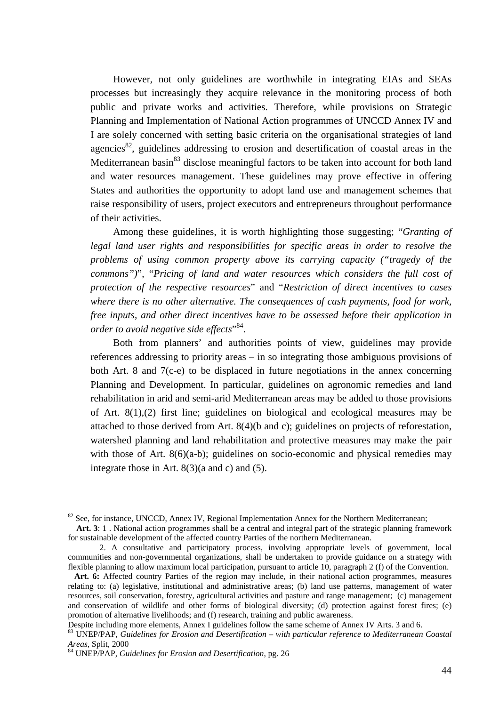However, not only guidelines are worthwhile in integrating EIAs and SEAs processes but increasingly they acquire relevance in the monitoring process of both public and private works and activities. Therefore, while provisions on Strategic Planning and Implementation of National Action programmes of UNCCD Annex IV and I are solely concerned with setting basic criteria on the organisational strategies of land agencies<sup>82</sup>, guidelines addressing to erosion and desertification of coastal areas in the Mediterranean basin<sup>83</sup> disclose meaningful factors to be taken into account for both land and water resources management. These guidelines may prove effective in offering States and authorities the opportunity to adopt land use and management schemes that raise responsibility of users, project executors and entrepreneurs throughout performance of their activities.

Among these guidelines, it is worth highlighting those suggesting; "*Granting of legal land user rights and responsibilities for specific areas in order to resolve the problems of using common property above its carrying capacity ("tragedy of the commons")*", "*Pricing of land and water resources which considers the full cost of protection of the respective resources*" and "*Restriction of direct incentives to cases where there is no other alternative. The consequences of cash payments, food for work, free inputs, and other direct incentives have to be assessed before their application in order to avoid negative side effects*" [84.](#page-44-2)

Both from planners' and authorities points of view, guidelines may provide references addressing to priority areas – in so integrating those ambiguous provisions of both Art. 8 and 7(c-e) to be displaced in future negotiations in the annex concerning Planning and Development. In particular, guidelines on agronomic remedies and land rehabilitation in arid and semi-arid Mediterranean areas may be added to those provisions of Art. 8(1),(2) first line; guidelines on biological and ecological measures may be attached to those derived from Art. 8(4)(b and c); guidelines on projects of reforestation, watershed planning and land rehabilitation and protective measures may make the pair with those of Art. 8(6)(a-b); guidelines on socio-economic and physical remedies may integrate those in Art. 8(3)(a and c) and (5).

<span id="page-44-0"></span> $82$  See, for instance, UNCCD, Annex IV, Regional Implementation Annex for the Northern Mediterranean;

**Art. 3**: 1 . National action programmes shall be a central and integral part of the strategic planning framework for sustainable development of the affected country Parties of the northern Mediterranean.

 <sup>2.</sup> A consultative and participatory process, involving appropriate levels of government, local communities and non-governmental organizations, shall be undertaken to provide guidance on a strategy with flexible planning to allow maximum local participation, pursuant to article 10, paragraph 2 (f) of the Convention.

**Art. 6:** Affected country Parties of the region may include, in their national action programmes, measures relating to: (a) legislative, institutional and administrative areas; (b) land use patterns, management of water resources, soil conservation, forestry, agricultural activities and pasture and range management; (c) management and conservation of wildlife and other forms of biological diversity; (d) protection against forest fires; (e) promotion of alternative livelihoods; and (f) research, training and public awareness.

<span id="page-44-1"></span>

Despite including more elements, Annex I guidelines follow the same scheme of Annex IV Arts. 3 and 6.<br><sup>83</sup> UNEP/PAP, *Guidelines for Erosion and Desertification – with particular reference to Mediterranean Coastal Areas*,

<span id="page-44-2"></span>*Areas*, Split, 2000 84 UNEP/PAP, *Guidelines for Erosion and Desertification*, pg. 26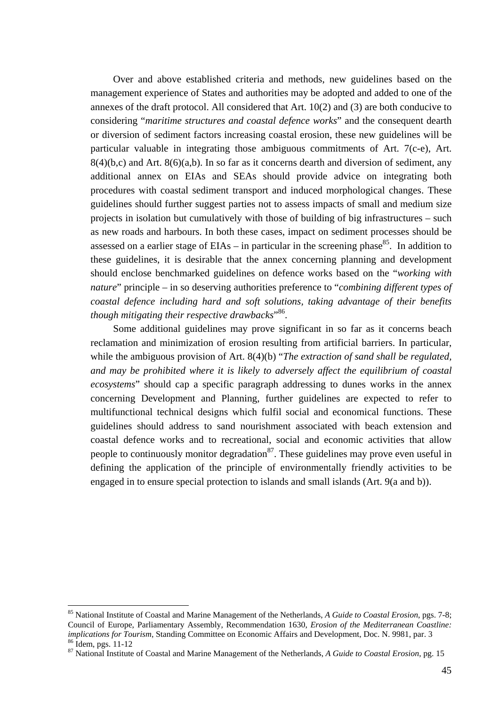Over and above established criteria and methods, new guidelines based on the management experience of States and authorities may be adopted and added to one of the annexes of the draft protocol. All considered that Art. 10(2) and (3) are both conducive to considering "*maritime structures and coastal defence works*" and the consequent dearth or diversion of sediment factors increasing coastal erosion, these new guidelines will be particular valuable in integrating those ambiguous commitments of Art. 7(c-e), Art.  $8(4)(b,c)$  and Art.  $8(6)(a,b)$ . In so far as it concerns dearth and diversion of sediment, any additional annex on EIAs and SEAs should provide advice on integrating both procedures with coastal sediment transport and induced morphological changes. These guidelines should further suggest parties not to assess impacts of small and medium size projects in isolation but cumulatively with those of building of big infrastructures – such as new roads and harbours. In both these cases, impact on sediment processes should be assessed on a earlier stage of  $EIAs - in$  particular in the screening phase<sup>85</sup>. In addition to these guidelines, it is desirable that the annex concerning planning and development should enclose benchmarked guidelines on defence works based on the "*working with nature*" principle – in so deserving authorities preference to "*combining different types of coastal defence including hard and soft solutions, taking advantage of their benefits though mitigating their respective drawbacks*" [86.](#page-45-1) 

Some additional guidelines may prove significant in so far as it concerns beach reclamation and minimization of erosion resulting from artificial barriers. In particular, while the ambiguous provision of Art. 8(4)(b) "*The extraction of sand shall be regulated*, *and may be prohibited where it is likely to adversely affect the equilibrium of coastal ecosystems*" should cap a specific paragraph addressing to dunes works in the annex concerning Development and Planning, further guidelines are expected to refer to multifunctional technical designs which fulfil social and economical functions. These guidelines should address to sand nourishment associated with beach extension and coastal defence works and to recreational, social and economic activities that allow people to continuously monitor degradation $^{87}$ . These guidelines may prove even useful in defining the application of the principle of environmentally friendly activities to be engaged in to ensure special protection to islands and small islands (Art. 9(a and b)).

<span id="page-45-0"></span><sup>85</sup> National Institute of Coastal and Marine Management of the Netherlands, *A Guide to Coastal Erosion*, pgs. 7-8; Council of Europe, Parliamentary Assembly, Recommendation 1630, *Erosion of the Mediterranean Coastline:*  <sup>86</sup> Idem, pgs. 11-12<br><sup>87</sup> National Institute of Coastal and Marine Management of the Netherlands, A Guide to Coastal Erosion, pg. 15

<span id="page-45-2"></span><span id="page-45-1"></span>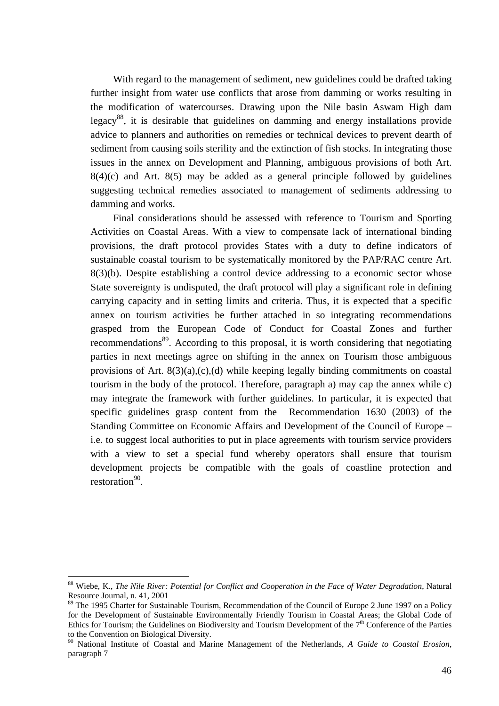With regard to the management of sediment, new guidelines could be drafted taking further insight from water use conflicts that arose from damming or works resulting in the modification of watercourses. Drawing upon the Nile basin Aswam High dam legacy<sup>88</sup>, it is desirable that guidelines on damming and energy installations provide advice to planners and authorities on remedies or technical devices to prevent dearth of sediment from causing soils sterility and the extinction of fish stocks. In integrating those issues in the annex on Development and Planning, ambiguous provisions of both Art.  $8(4)(c)$  and Art.  $8(5)$  may be added as a general principle followed by guidelines suggesting technical remedies associated to management of sediments addressing to damming and works.

Final considerations should be assessed with reference to Tourism and Sporting Activities on Coastal Areas. With a view to compensate lack of international binding provisions, the draft protocol provides States with a duty to define indicators of sustainable coastal tourism to be systematically monitored by the PAP/RAC centre Art.  $8(3)(b)$ . Despite establishing a control device addressing to a economic sector whose State sovereignty is undisputed, the draft protocol will play a significant role in defining carrying capacity and in setting limits and criteria. Thus, it is expected that a specific annex on tourism activities be further attached in so integrating recommendations grasped from the European Code of Conduct for Coastal Zones and further recommendations<sup>89</sup>. According to this proposal, it is worth considering that negotiating parties in next meetings agree on shifting in the annex on Tourism those ambiguous provisions of Art. 8(3)(a),(c),(d) while keeping legally binding commitments on coastal tourism in the body of the protocol. Therefore, paragraph a) may cap the annex while c) may integrate the framework with further guidelines. In particular, it is expected that specific guidelines grasp content from the Recommendation 1630 (2003) of the Standing Committee on Economic Affairs and Development of the Council of Europe – i.e. to suggest local authorities to put in place agreements with tourism service providers with a view to set a special fund whereby operators shall ensure that tourism development projects be compatible with the goals of coastline protection and restoration<sup>90</sup>.

<span id="page-46-0"></span><sup>88</sup> Wiebe, K., *The Nile River: Potential for Conflict and Cooperation in the Face of Water Degradation*, Natural Resource Journal, n. 41, 2001

<span id="page-46-1"></span><sup>&</sup>lt;sup>89</sup> The 1995 Charter for Sustainable Tourism, Recommendation of the Council of Europe 2 June 1997 on a Policy for the Development of Sustainable Environmentally Friendly Tourism in Coastal Areas; the Global Code of Ethics for Tourism; the Guidelines on Biodiversity and Tourism Development of the 7<sup>th</sup> Conference of the Parties to the Convention on Biological Diversity.<br><sup>90</sup> National Institute of Coastal and Marine Management of the Netherlands, *A Guide to Coastal Erosion*,

<span id="page-46-2"></span>paragraph 7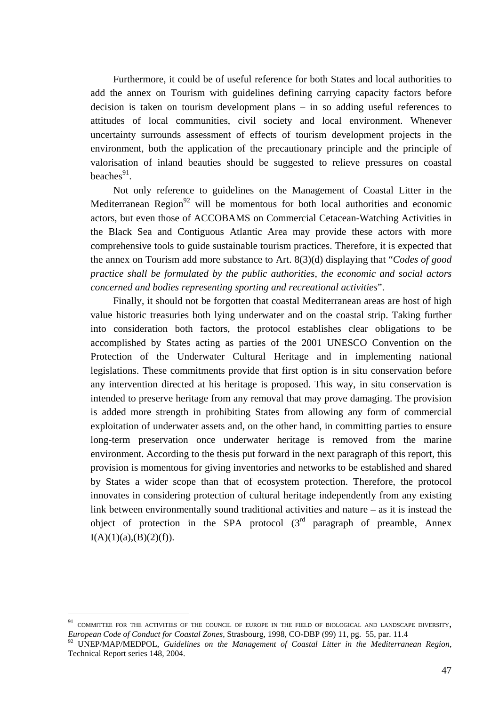Furthermore, it could be of useful reference for both States and local authorities to add the annex on Tourism with guidelines defining carrying capacity factors before decision is taken on tourism development plans – in so adding useful references to attitudes of local communities, civil society and local environment. Whenever uncertainty surrounds assessment of effects of tourism development projects in the environment, both the application of the precautionary principle and the principle of valorisation of inland beauties should be suggested to relieve pressures on coastal beaches $91$ .

Not only reference to guidelines on the Management of Coastal Litter in the Mediterranean Region<sup>92</sup> will be momentous for both local authorities and economic actors, but even those of ACCOBAMS on Commercial Cetacean-Watching Activities in the Black Sea and Contiguous Atlantic Area may provide these actors with more comprehensive tools to guide sustainable tourism practices. Therefore, it is expected that the annex on Tourism add more substance to Art. 8(3)(d) displaying that "*Codes of good practice shall be formulated by the public authorities, the economic and social actors concerned and bodies representing sporting and recreational activities*".

Finally, it should not be forgotten that coastal Mediterranean areas are host of high value historic treasuries both lying underwater and on the coastal strip. Taking further into consideration both factors, the protocol establishes clear obligations to be accomplished by States acting as parties of the 2001 UNESCO Convention on the Protection of the Underwater Cultural Heritage and in implementing national legislations. These commitments provide that first option is in situ conservation before any intervention directed at his heritage is proposed. This way, in situ conservation is intended to preserve heritage from any removal that may prove damaging. The provision is added more strength in prohibiting States from allowing any form of commercial exploitation of underwater assets and, on the other hand, in committing parties to ensure long-term preservation once underwater heritage is removed from the marine environment. According to the thesis put forward in the next paragraph of this report, this provision is momentous for giving inventories and networks to be established and shared by States a wider scope than that of ecosystem protection. Therefore, the protocol innovates in considering protection of cultural heritage independently from any existing link between environmentally sound traditional activities and nature – as it is instead the object of protection in the SPA protocol  $(3<sup>rd</sup>$  paragraph of preamble, Annex  $I(A)(1)(a),(B)(2)(f)$ .

<span id="page-47-0"></span> $^{91}$  COMMITTEE FOR THE ACTIVITIES OF THE COUNCIL OF EUROPE IN THE FIELD OF BIOLOGICAL AND LANDSCAPE DIVERSITY, *European Code of Conduct for Coastal Zones*, Strasbourg, 1998, CO-DBP (99) 11, pg. 55, par. 11.4

<span id="page-47-1"></span><sup>92</sup> UNEP/MAP/MEDPOL, *Guidelines on the Management of Coastal Litter in the Mediterranean Region*, Technical Report series 148, 2004.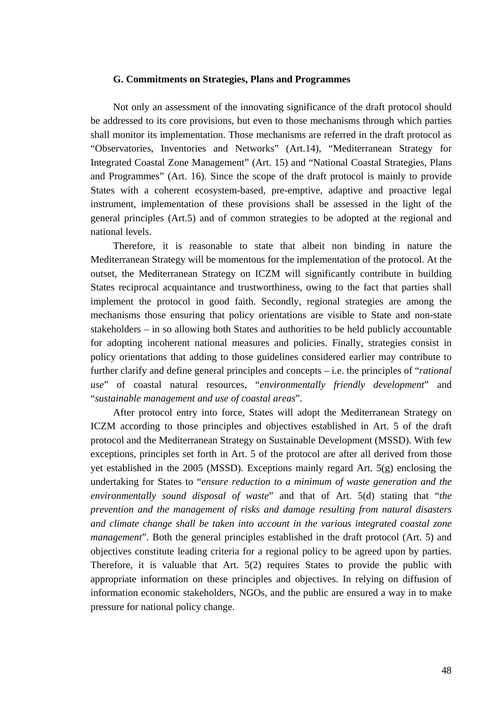#### **G. Commitments on Strategies, Plans and Programmes**

Not only an assessment of the innovating significance of the draft protocol should be addressed to its core provisions, but even to those mechanisms through which parties shall monitor its implementation. Those mechanisms are referred in the draft protocol as "Observatories, Inventories and Networks" (Art.14), "Mediterranean Strategy for Integrated Coastal Zone Management" (Art. 15) and "National Coastal Strategies, Plans and Programmes" (Art. 16). Since the scope of the draft protocol is mainly to provide States with a coherent ecosystem-based, pre-emptive, adaptive and proactive legal instrument, implementation of these provisions shall be assessed in the light of the general principles (Art.5) and of common strategies to be adopted at the regional and national levels.

Therefore, it is reasonable to state that albeit non binding in nature the Mediterranean Strategy will be momentous for the implementation of the protocol. At the outset, the Mediterranean Strategy on ICZM will significantly contribute in building States reciprocal acquaintance and trustworthiness, owing to the fact that parties shall implement the protocol in good faith. Secondly, regional strategies are among the mechanisms those ensuring that policy orientations are visible to State and non-state stakeholders – in so allowing both States and authorities to be held publicly accountable for adopting incoherent national measures and policies. Finally, strategies consist in policy orientations that adding to those guidelines considered earlier may contribute to further clarify and define general principles and concepts – i.e. the principles of "*rational use*" of coastal natural resources, "*environmentally friendly development*" and "*sustainable management and use of coastal areas*".

After protocol entry into force, States will adopt the Mediterranean Strategy on ICZM according to those principles and objectives established in Art. 5 of the draft protocol and the Mediterranean Strategy on Sustainable Development (MSSD). With few exceptions, principles set forth in Art. 5 of the protocol are after all derived from those yet established in the 2005 (MSSD). Exceptions mainly regard Art. 5(g) enclosing the undertaking for States to "*ensure reduction to a minimum of waste generation and the environmentally sound disposal of waste*" and that of Art. 5(d) stating that "*the prevention and the management of risks and damage resulting from natural disasters and climate change shall be taken into account in the various integrated coastal zone management*". Both the general principles established in the draft protocol (Art. 5) and objectives constitute leading criteria for a regional policy to be agreed upon by parties. Therefore, it is valuable that Art. 5(2) requires States to provide the public with appropriate information on these principles and objectives. In relying on diffusion of information economic stakeholders, NGOs, and the public are ensured a way in to make pressure for national policy change.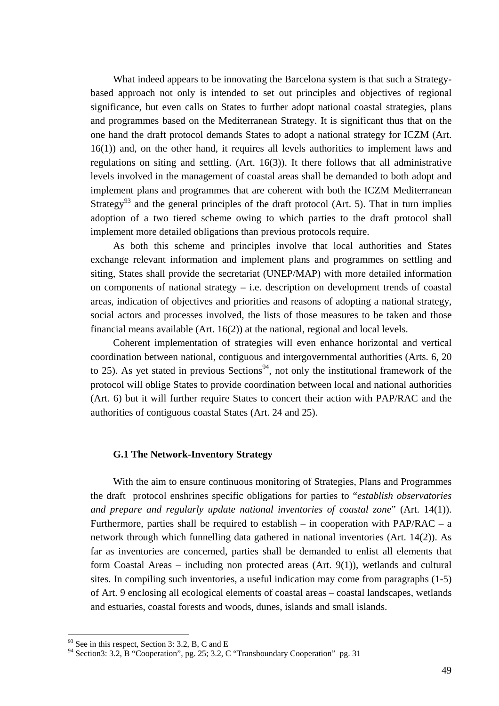What indeed appears to be innovating the Barcelona system is that such a Strategybased approach not only is intended to set out principles and objectives of regional significance, but even calls on States to further adopt national coastal strategies, plans and programmes based on the Mediterranean Strategy. It is significant thus that on the one hand the draft protocol demands States to adopt a national strategy for ICZM (Art. 16(1)) and, on the other hand, it requires all levels authorities to implement laws and regulations on siting and settling. (Art. 16(3)). It there follows that all administrative levels involved in the management of coastal areas shall be demanded to both adopt and implement plans and programmes that are coherent with both the ICZM Mediterranean Strategy<sup>93</sup> and the general principles of the draft protocol (Art. 5). That in turn implies adoption of a two tiered scheme owing to which parties to the draft protocol shall implement more detailed obligations than previous protocols require.

As both this scheme and principles involve that local authorities and States exchange relevant information and implement plans and programmes on settling and siting, States shall provide the secretariat (UNEP/MAP) with more detailed information on components of national strategy – i.e. description on development trends of coastal areas, indication of objectives and priorities and reasons of adopting a national strategy, social actors and processes involved, the lists of those measures to be taken and those financial means available (Art. 16(2)) at the national, regional and local levels.

Coherent implementation of strategies will even enhance horizontal and vertical coordination between national, contiguous and intergovernmental authorities (Arts. 6, 20 to 25). As yet stated in previous Sections<sup>94</sup>, not only the institutional framework of the protocol will oblige States to provide coordination between local and national authorities (Art. 6) but it will further require States to concert their action with PAP/RAC and the authorities of contiguous coastal States (Art. 24 and 25).

## **G.1 The Network-Inventory Strategy**

With the aim to ensure continuous monitoring of Strategies, Plans and Programmes the draft protocol enshrines specific obligations for parties to "*establish observatories and prepare and regularly update national inventories of coastal zone*" (Art. 14(1)). Furthermore, parties shall be required to establish – in cooperation with PAP/RAC – a network through which funnelling data gathered in national inventories (Art. 14(2)). As far as inventories are concerned, parties shall be demanded to enlist all elements that form Coastal Areas – including non protected areas (Art. 9(1)), wetlands and cultural sites. In compiling such inventories, a useful indication may come from paragraphs (1-5) of Art. 9 enclosing all ecological elements of coastal areas – coastal landscapes, wetlands and estuaries, coastal forests and woods, dunes, islands and small islands.

<span id="page-49-0"></span> $93$  See in this respect, Section 3: 3.2, B, C and E

<span id="page-49-1"></span><sup>&</sup>lt;sup>94</sup> Section3: 3.2, B "Cooperation", pg. 25; 3.2, C "Transboundary Cooperation" pg. 31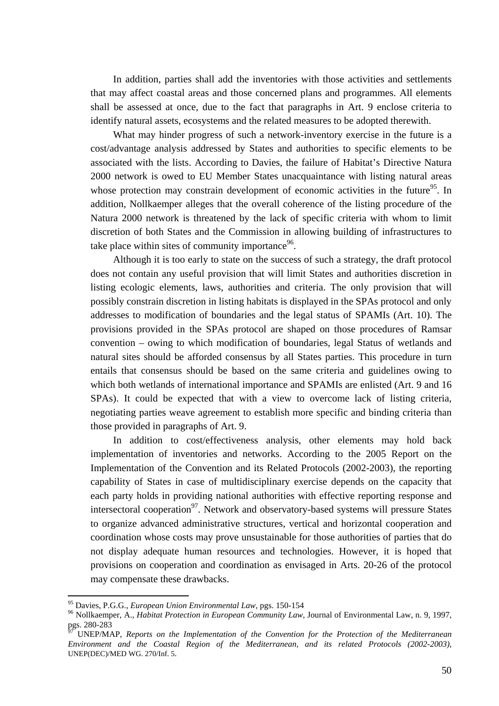In addition, parties shall add the inventories with those activities and settlements that may affect coastal areas and those concerned plans and programmes. All elements shall be assessed at once, due to the fact that paragraphs in Art. 9 enclose criteria to identify natural assets, ecosystems and the related measures to be adopted therewith.

What may hinder progress of such a network-inventory exercise in the future is a cost/advantage analysis addressed by States and authorities to specific elements to be associated with the lists. According to Davies, the failure of Habitat's Directive Natura 2000 network is owed to EU Member States unacquaintance with listing natural areas whose protection may constrain development of economic activities in the future<sup>95</sup>. In addition, Nollkaemper alleges that the overall coherence of the listing procedure of the Natura 2000 network is threatened by the lack of specific criteria with whom to limit discretion of both States and the Commission in allowing building of infrastructures to take place within sites of community importance  $96$ .

Although it is too early to state on the success of such a strategy, the draft protocol does not contain any useful provision that will limit States and authorities discretion in listing ecologic elements, laws, authorities and criteria. The only provision that will possibly constrain discretion in listing habitats is displayed in the SPAs protocol and only addresses to modification of boundaries and the legal status of SPAMIs (Art. 10). The provisions provided in the SPAs protocol are shaped on those procedures of Ramsar convention – owing to which modification of boundaries, legal Status of wetlands and natural sites should be afforded consensus by all States parties. This procedure in turn entails that consensus should be based on the same criteria and guidelines owing to which both wetlands of international importance and SPAMIs are enlisted (Art. 9 and 16 SPAs). It could be expected that with a view to overcome lack of listing criteria, negotiating parties weave agreement to establish more specific and binding criteria than those provided in paragraphs of Art. 9.

In addition to cost/effectiveness analysis, other elements may hold back implementation of inventories and networks. According to the 2005 Report on the Implementation of the Convention and its Related Protocols (2002-2003), the reporting capability of States in case of multidisciplinary exercise depends on the capacity that each party holds in providing national authorities with effective reporting response and intersectoral cooperation<sup>97</sup>. Network and observatory-based systems will pressure States to organize advanced administrative structures, vertical and horizontal cooperation and coordination whose costs may prove unsustainable for those authorities of parties that do not display adequate human resources and technologies. However, it is hoped that provisions on cooperation and coordination as envisaged in Arts. 20-26 of the protocol may compensate these drawbacks.

<span id="page-50-1"></span><span id="page-50-0"></span>

<sup>&</sup>lt;sup>95</sup> Davies, P.G.G., *European Union Environmental Law*, pgs. 150-154<br><sup>96</sup> Nollkaemper, A., *Habitat Protection in European Community Law*, Journal of Environmental Law, n. 9, 1997, pgs. 280-283

<span id="page-50-2"></span><sup>97</sup> UNEP/MAP, *Reports on the Implementation of the Convention for the Protection of the Mediterranean Environment and the Coastal Region of the Mediterranean, and its related Protocols (2002-2003)*, UNEP(DEC)/MED WG. 270/Inf. 5.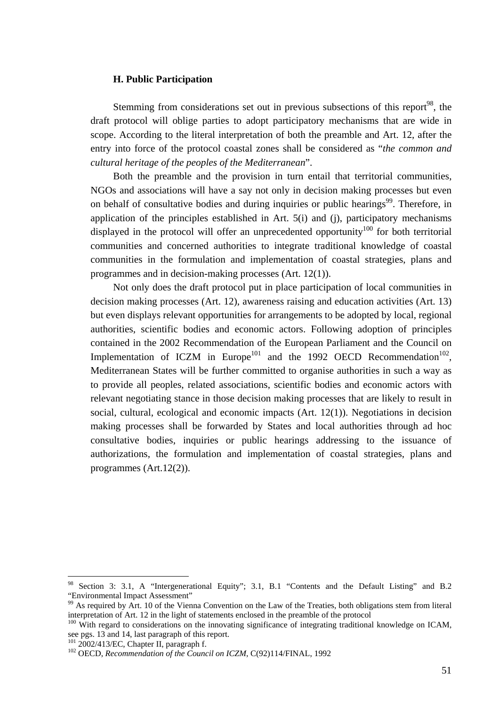## **H. Public Participation**

Stemming from considerations set out in previous subsections of this report<sup>98</sup>, the draft protocol will oblige parties to adopt participatory mechanisms that are wide in scope. According to the literal interpretation of both the preamble and Art. 12, after the entry into force of the protocol coastal zones shall be considered as "*the common and cultural heritage of the peoples of the Mediterranean*".

Both the preamble and the provision in turn entail that territorial communities, NGOs and associations will have a say not only in decision making processes but even on behalf of consultative bodies and during inquiries or public hearings<sup>99</sup>. Therefore, in application of the principles established in Art. 5(i) and (j), participatory mechanisms displayed in the protocol will offer an unprecedented opportunity<sup>100</sup> for both territorial communities and concerned authorities to integrate traditional knowledge of coastal communities in the formulation and implementation of coastal strategies, plans and programmes and in decision-making processes (Art. 12(1)).

Not only does the draft protocol put in place participation of local communities in decision making processes (Art. 12), awareness raising and education activities (Art. 13) but even displays relevant opportunities for arrangements to be adopted by local, regional authorities, scientific bodies and economic actors. Following adoption of principles contained in the 2002 Recommendation of the European Parliament and the Council on Implementation of ICZM in Europe<sup>101</sup> and the 1992 OECD Recommendation<sup>102</sup>, Mediterranean States will be further committed to organise authorities in such a way as to provide all peoples, related associations, scientific bodies and economic actors with relevant negotiating stance in those decision making processes that are likely to result in social, cultural, ecological and economic impacts (Art. 12(1)). Negotiations in decision making processes shall be forwarded by States and local authorities through ad hoc consultative bodies, inquiries or public hearings addressing to the issuance of authorizations, the formulation and implementation of coastal strategies, plans and programmes (Art.12(2)).

<span id="page-51-0"></span><sup>&</sup>lt;sup>98</sup> Section 3: 3.1, A "Intergenerational Equity"; 3.1, B.1 "Contents and the Default Listing" and B.2 "Environmental Impact Assessment"

<span id="page-51-1"></span> $^{99}$  As required by Art. 10 of the Vienna Convention on the Law of the Treaties, both obligations stem from literal

<span id="page-51-2"></span>interpretation of Art. 12 in the light of statements enclosed in the preamble of the protocol  $100$  With regard to considerations on the innovating significance of integrating traditional knowledge on ICAM, see pgs. 13 an

<span id="page-51-4"></span><span id="page-51-3"></span>

<sup>&</sup>lt;sup>101</sup> 2002/413/EC, Chapter II, paragraph f.<br><sup>102</sup> OECD, *Recommendation of the Council on ICZM*, C(92)114/FINAL, 1992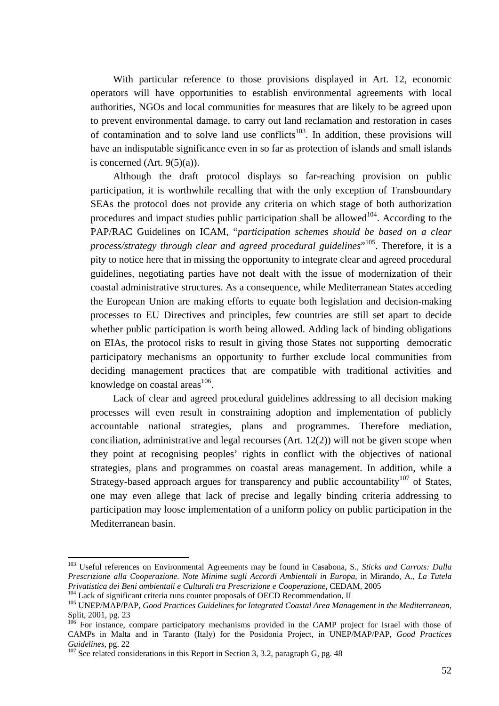With particular reference to those provisions displayed in Art. 12, economic operators will have opportunities to establish environmental agreements with local authorities, NGOs and local communities for measures that are likely to be agreed upon to prevent environmental damage, to carry out land reclamation and restoration in cases of contamination and to solve land use conflicts<sup>103</sup>. In addition, these provisions will have an indisputable significance even in so far as protection of islands and small islands is concerned  $(Art. 9(5)(a))$ .

Although the draft protocol displays so far-reaching provision on public participation, it is worthwhile recalling that with the only exception of Transboundary SEAs the protocol does not provide any criteria on which stage of both authorization procedures and impact studies public participation shall be allowed<sup>104</sup>. According to the PAP/RAC Guidelines on ICAM, "*participation schemes should be based on a clear process/strategy through clear and agreed procedural guidelines*" [105.](#page-52-2) Therefore, it is a pity to notice here that in missing the opportunity to integrate clear and agreed procedural guidelines, negotiating parties have not dealt with the issue of modernization of their coastal administrative structures. As a consequence, while Mediterranean States acceding the European Union are making efforts to equate both legislation and decision-making processes to EU Directives and principles, few countries are still set apart to decide whether public participation is worth being allowed. Adding lack of binding obligations on EIAs, the protocol risks to result in giving those States not supporting democratic participatory mechanisms an opportunity to further exclude local communities from deciding management practices that are compatible with traditional activities and knowledge on coastal areas $^{106}$ .

Lack of clear and agreed procedural guidelines addressing to all decision making processes will even result in constraining adoption and implementation of publicly accountable national strategies, plans and programmes. Therefore mediation, conciliation, administrative and legal recourses (Art. 12(2)) will not be given scope when they point at recognising peoples' rights in conflict with the objectives of national strategies, plans and programmes on coastal areas management. In addition, while a Strategy-based approach argues for transparency and public accountability<sup>107</sup> of States, one may even allege that lack of precise and legally binding criteria addressing to participation may loose implementation of a uniform policy on public participation in the Mediterranean basin.

<span id="page-52-0"></span><sup>103</sup> Useful references on Environmental Agreements may be found in Casabona, S., *Sticks and Carrots: Dalla Prescrizione alla Cooperazione. Note Minime sugli Accordi Ambientali in Europa*, in Mirando, A., *La Tutela*  Privatistica dei Beni ambientali e Culturali tra Prescrizione e Cooperazione, CEDAM, 2005<br><sup>104</sup> Lack of significant criteria runs counter proposals of OECD Recommendation, II<br><sup>105</sup> UNEP/MAP/PAP, Good Practices Guidelines f

<span id="page-52-2"></span><span id="page-52-1"></span>

Split, 2001, pg. 23

<span id="page-52-3"></span> $106$  For instance, compare participatory mechanisms provided in the CAMP project for Israel with those of CAMPs in Malta and in Taranto (Italy) for the Posidonia Project, in UNEP/MAP/PAP, *Good Practices Guidelines*, pg. 22<br><sup>107</sup> See related considerations in this Report in Section 3, 3.2, paragraph G, pg. 48

<span id="page-52-4"></span>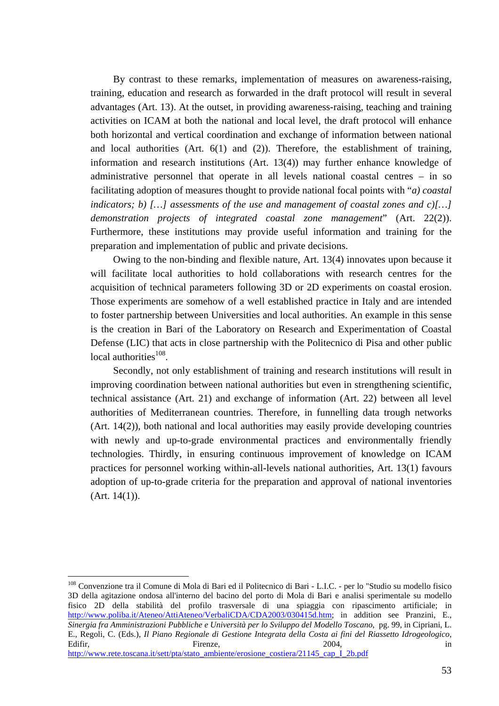By contrast to these remarks, implementation of measures on awareness-raising, training, education and research as forwarded in the draft protocol will result in several advantages (Art. 13). At the outset, in providing awareness-raising, teaching and training activities on ICAM at both the national and local level, the draft protocol will enhance both horizontal and vertical coordination and exchange of information between national and local authorities (Art. 6(1) and (2)). Therefore, the establishment of training, information and research institutions (Art. 13(4)) may further enhance knowledge of administrative personnel that operate in all levels national coastal centres – in so facilitating adoption of measures thought to provide national focal points with "*a) coastal indicators; b) […] assessments of the use and management of coastal zones and c)[…] demonstration projects of integrated coastal zone management*" (Art. 22(2)). Furthermore, these institutions may provide useful information and training for the preparation and implementation of public and private decisions.

Owing to the non-binding and flexible nature, Art. 13(4) innovates upon because it will facilitate local authorities to hold collaborations with research centres for the acquisition of technical parameters following 3D or 2D experiments on coastal erosion. Those experiments are somehow of a well established practice in Italy and are intended to foster partnership between Universities and local authorities. An example in this sense is the creation in Bari of the Laboratory on Research and Experimentation of Coastal Defense (LIC) that acts in close partnership with the Politecnico di Pisa and other public local authorities<sup>108</sup>.

Secondly, not only establishment of training and research institutions will result in improving coordination between national authorities but even in strengthening scientific, technical assistance (Art. 21) and exchange of information (Art. 22) between all level authorities of Mediterranean countries. Therefore, in funnelling data trough networks (Art. 14(2)), both national and local authorities may easily provide developing countries with newly and up-to-grade environmental practices and environmentally friendly technologies. Thirdly, in ensuring continuous improvement of knowledge on ICAM practices for personnel working within-all-levels national authorities, Art. 13(1) favours adoption of up-to-grade criteria for the preparation and approval of national inventories (Art. 14(1)).

<span id="page-53-0"></span><sup>108</sup> Convenzione tra il Comune di Mola di Bari ed il Politecnico di Bari - L.I.C. - per lo "Studio su modello fisico 3D della agitazione ondosa all'interno del bacino del porto di Mola di Bari e analisi sperimentale su modello fisico 2D della stabilità del profilo trasversale di una spiaggia con ripascimento artificiale; in [http://www.poliba.it/Ateneo/AttiAteneo/VerbaliCDA/CDA2003/030415d.htm;](http://www.poliba.it/Ateneo/AttiAteneo/VerbaliCDA/CDA2003/030415d.htm) in addition see Pranzini, E., *Sinergia fra Amministrazioni Pubbliche e Università per lo Sviluppo del Modello Toscano*, pg. 99, in Cipriani, L. E., Regoli, C. (Eds.), *Il Piano Regionale di Gestione Integrata della Costa ai fini del Riassetto Idrogeologico*, Edifir, and the Elitenze, the contract of the Elitenze, the contract of the contract of the Firenze, the contract of the contract of the contract of the contract of the contract of the contract of the contract of the contr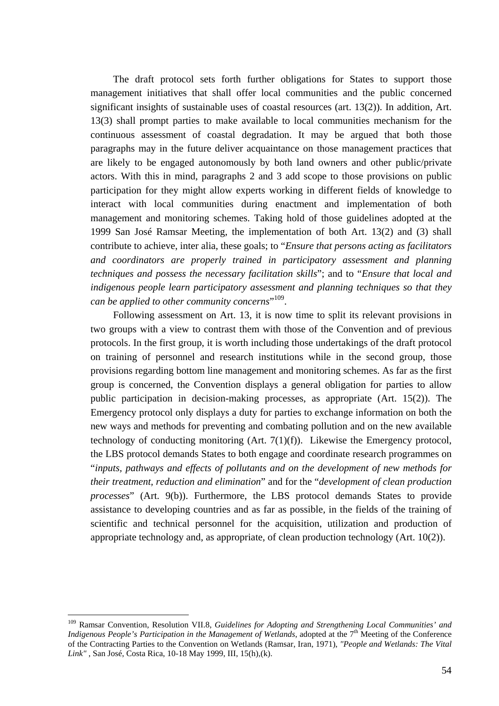The draft protocol sets forth further obligations for States to support those management initiatives that shall offer local communities and the public concerned significant insights of sustainable uses of coastal resources (art. 13(2)). In addition, Art. 13(3) shall prompt parties to make available to local communities mechanism for the continuous assessment of coastal degradation. It may be argued that both those paragraphs may in the future deliver acquaintance on those management practices that are likely to be engaged autonomously by both land owners and other public/private actors. With this in mind, paragraphs 2 and 3 add scope to those provisions on public participation for they might allow experts working in different fields of knowledge to interact with local communities during enactment and implementation of both management and monitoring schemes. Taking hold of those guidelines adopted at the 1999 San José Ramsar Meeting, the implementation of both Art. 13(2) and (3) shall contribute to achieve, inter alia, these goals; to "*Ensure that persons acting as facilitators and coordinators are properly trained in participatory assessment and planning techniques and possess the necessary facilitation skills*"; and to "*Ensure that local and indigenous people learn participatory assessment and planning techniques so that they can be applied to other community concerns*" [109.](#page-54-0) 

Following assessment on Art. 13, it is now time to split its relevant provisions in two groups with a view to contrast them with those of the Convention and of previous protocols. In the first group, it is worth including those undertakings of the draft protocol on training of personnel and research institutions while in the second group, those provisions regarding bottom line management and monitoring schemes. As far as the first group is concerned, the Convention displays a general obligation for parties to allow public participation in decision-making processes, as appropriate (Art. 15(2)). The Emergency protocol only displays a duty for parties to exchange information on both the new ways and methods for preventing and combating pollution and on the new available technology of conducting monitoring  $(Art. 7(1)(f))$ . Likewise the Emergency protocol, the LBS protocol demands States to both engage and coordinate research programmes on "*inputs, pathways and effects of pollutants and on the development of new methods for their treatment, reduction and elimination*" and for the "*development of clean production processes*" (Art. 9(b)). Furthermore, the LBS protocol demands States to provide assistance to developing countries and as far as possible*,* in the fields of the training of scientific and technical personnel for the acquisition, utilization and production of appropriate technology and, as appropriate, of clean production technology (Art. 10(2)).

<span id="page-54-0"></span><sup>109</sup> Ramsar Convention, Resolution VII.8, *Guidelines for Adopting and Strengthening Local Communities' and Indigenous People's Participation in the Management of Wetlands*, adopted at the 7<sup>th</sup> Meeting of the Conference of the Contracting Parties to the Convention on Wetlands (Ramsar, Iran, 1971), *"People and Wetlands: The Vital Link"* , San José, Costa Rica, 10-18 May 1999, III, 15(h),(k).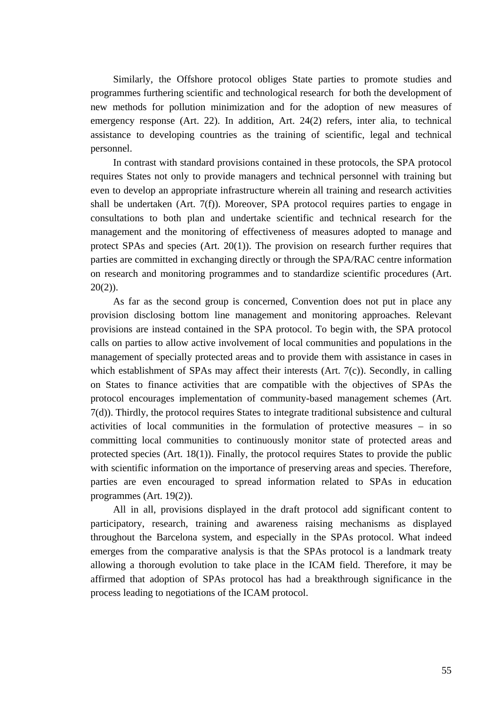Similarly, the Offshore protocol obliges State parties to promote studies and programmes furthering scientific and technological research for both the development of new methods for pollution minimization and for the adoption of new measures of emergency response (Art. 22). In addition, Art. 24(2) refers, inter alia, to technical assistance to developing countries as the training of scientific, legal and technical personnel.

In contrast with standard provisions contained in these protocols, the SPA protocol requires States not only to provide managers and technical personnel with training but even to develop an appropriate infrastructure wherein all training and research activities shall be undertaken (Art.  $7(f)$ ). Moreover, SPA protocol requires parties to engage in consultations to both plan and undertake scientific and technical research for the management and the monitoring of effectiveness of measures adopted to manage and protect SPAs and species (Art. 20(1)). The provision on research further requires that parties are committed in exchanging directly or through the SPA/RAC centre information on research and monitoring programmes and to standardize scientific procedures (Art.  $20(2)$ ).

As far as the second group is concerned, Convention does not put in place any provision disclosing bottom line management and monitoring approaches. Relevant provisions are instead contained in the SPA protocol. To begin with, the SPA protocol calls on parties to allow active involvement of local communities and populations in the management of specially protected areas and to provide them with assistance in cases in which establishment of SPAs may affect their interests (Art. 7(c)). Secondly, in calling on States to finance activities that are compatible with the objectives of SPAs the protocol encourages implementation of community-based management schemes (Art. 7(d)). Thirdly, the protocol requires States to integrate traditional subsistence and cultural activities of local communities in the formulation of protective measures – in so committing local communities to continuously monitor state of protected areas and protected species (Art. 18(1)). Finally, the protocol requires States to provide the public with scientific information on the importance of preserving areas and species. Therefore, parties are even encouraged to spread information related to SPAs in education programmes (Art. 19(2)).

All in all, provisions displayed in the draft protocol add significant content to participatory, research, training and awareness raising mechanisms as displayed throughout the Barcelona system, and especially in the SPAs protocol. What indeed emerges from the comparative analysis is that the SPAs protocol is a landmark treaty allowing a thorough evolution to take place in the ICAM field. Therefore, it may be affirmed that adoption of SPAs protocol has had a breakthrough significance in the process leading to negotiations of the ICAM protocol.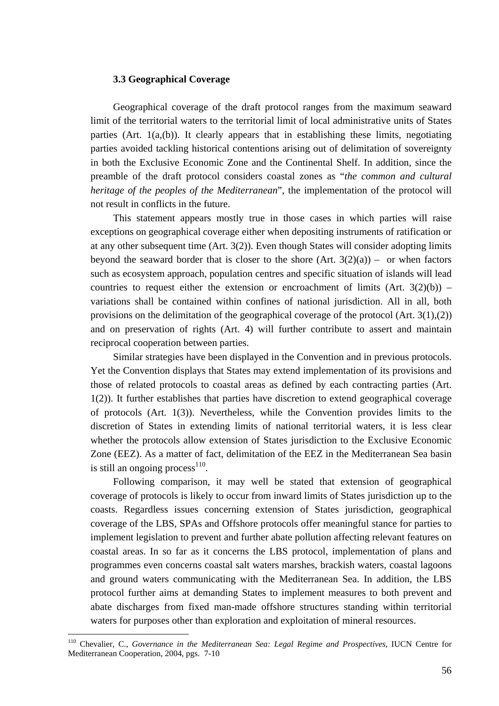#### **3.3 Geographical Coverage**

Geographical coverage of the draft protocol ranges from the maximum seaward limit of the territorial waters to the territorial limit of local administrative units of States parties (Art. 1(a,(b)). It clearly appears that in establishing these limits, negotiating parties avoided tackling historical contentions arising out of delimitation of sovereignty in both the Exclusive Economic Zone and the Continental Shelf. In addition, since the preamble of the draft protocol considers coastal zones as "*the common and cultural heritage of the peoples of the Mediterranean*", the implementation of the protocol will not result in conflicts in the future.

This statement appears mostly true in those cases in which parties will raise exceptions on geographical coverage either when depositing instruments of ratification or at any other subsequent time (Art. 3(2)). Even though States will consider adopting limits beyond the seaward border that is closer to the shore  $(Art. 3(2)(a)) -$  or when factors such as ecosystem approach, population centres and specific situation of islands will lead countries to request either the extension or encroachment of limits  $(Art. 3(2)(b))$  – variations shall be contained within confines of national jurisdiction. All in all, both provisions on the delimitation of the geographical coverage of the protocol (Art. 3(1),(2)) and on preservation of rights (Art. 4) will further contribute to assert and maintain reciprocal cooperation between parties.

Similar strategies have been displayed in the Convention and in previous protocols. Yet the Convention displays that States may extend implementation of its provisions and those of related protocols to coastal areas as defined by each contracting parties (Art. 1(2)). It further establishes that parties have discretion to extend geographical coverage of protocols (Art. 1(3)). Nevertheless, while the Convention provides limits to the discretion of States in extending limits of national territorial waters, it is less clear whether the protocols allow extension of States jurisdiction to the Exclusive Economic Zone (EEZ). As a matter of fact, delimitation of the EEZ in the Mediterranean Sea basin is still an ongoing process $^{110}$ .

Following comparison, it may well be stated that extension of geographical coverage of protocols is likely to occur from inward limits of States jurisdiction up to the coasts. Regardless issues concerning extension of States jurisdiction, geographical coverage of the LBS, SPAs and Offshore protocols offer meaningful stance for parties to implement legislation to prevent and further abate pollution affecting relevant features on coastal areas. In so far as it concerns the LBS protocol, implementation of plans and programmes even concerns coastal salt waters marshes, brackish waters, coastal lagoons and ground waters communicating with the Mediterranean Sea. In addition, the LBS protocol further aims at demanding States to implement measures to both prevent and abate discharges from fixed man-made offshore structures standing within territorial waters for purposes other than exploration and exploitation of mineral resources.

<span id="page-56-0"></span><sup>110</sup> Chevalier, C., *Governance in the Mediterranean Sea: Legal Regime and Prospectives*, IUCN Centre for Mediterranean Cooperation, 2004, pgs. 7-10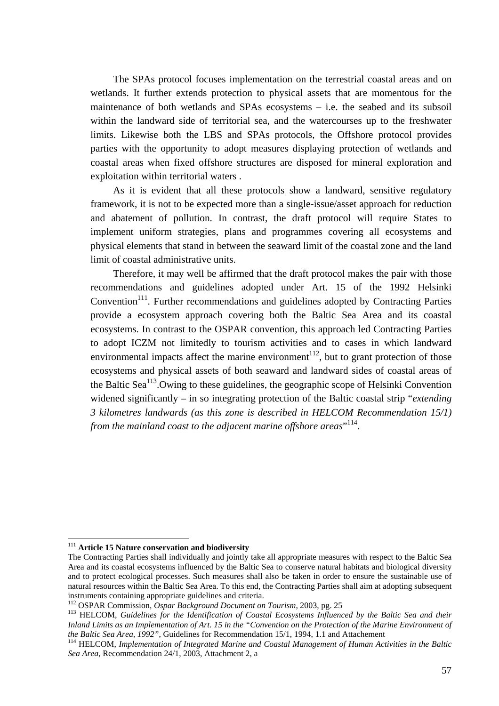The SPAs protocol focuses implementation on the terrestrial coastal areas and on wetlands. It further extends protection to physical assets that are momentous for the maintenance of both wetlands and SPAs ecosystems – i.e. the seabed and its subsoil within the landward side of territorial sea, and the watercourses up to the freshwater limits. Likewise both the LBS and SPAs protocols, the Offshore protocol provides parties with the opportunity to adopt measures displaying protection of wetlands and coastal areas when fixed offshore structures are disposed for mineral exploration and exploitation within territorial waters .

As it is evident that all these protocols show a landward, sensitive regulatory framework, it is not to be expected more than a single-issue/asset approach for reduction and abatement of pollution. In contrast, the draft protocol will require States to implement uniform strategies, plans and programmes covering all ecosystems and physical elements that stand in between the seaward limit of the coastal zone and the land limit of coastal administrative units.

Therefore, it may well be affirmed that the draft protocol makes the pair with those recommendations and guidelines adopted under Art. 15 of the 1992 Helsinki Convention<sup>111</sup>. Further recommendations and guidelines adopted by Contracting Parties provide a ecosystem approach covering both the Baltic Sea Area and its coastal ecosystems. In contrast to the OSPAR convention, this approach led Contracting Parties to adopt ICZM not limitedly to tourism activities and to cases in which landward environmental impacts affect the marine environment<sup>112</sup>, but to grant protection of those ecosystems and physical assets of both seaward and landward sides of coastal areas of the Baltic  $\text{Sea}^{113}$ . Owing to these guidelines, the geographic scope of Helsinki Convention widened significantly – in so integrating protection of the Baltic coastal strip "*extending 3 kilometres landwards (as this zone is described in HELCOM Recommendation 15/1) from the mainland coast to the adjacent marine offshore areas*" 114.

<span id="page-57-0"></span><sup>111</sup> **Article 15 Nature conservation and biodiversity** 

The Contracting Parties shall individually and jointly take all appropriate measures with respect to the Baltic Sea Area and its coastal ecosystems influenced by the Baltic Sea to conserve natural habitats and biological diversity and to protect ecological processes. Such measures shall also be taken in order to ensure the sustainable use of natural resources within the Baltic Sea Area. To this end, the Contracting Parties shall aim at adopting subsequent instruments containing appropriate guidelines and criteria.<br><sup>112</sup> OSPAR Commission, *Ospar Background Document on Tourism*, 2003, pg. 25<br><sup>113</sup> HELCOM, *Guidelines for the Identification of Coastal Ecosystems Influenced by* 

<span id="page-57-1"></span>

<span id="page-57-2"></span>*Inland Limits as an Implementation of Art. 15 in the "Convention on the Protection of the Marine Environment of the Baltic Sea Area, 1992", Guidelines for Recommendation 15/1, 1994, 1.1 and Attachement* 

<sup>&</sup>lt;sup>114</sup> HELCOM, *Implementation of Integrated Marine and Coastal Management of Human Activities in the Baltic Sea Area*, Recommendation 24/1, 2003, Attachment 2, a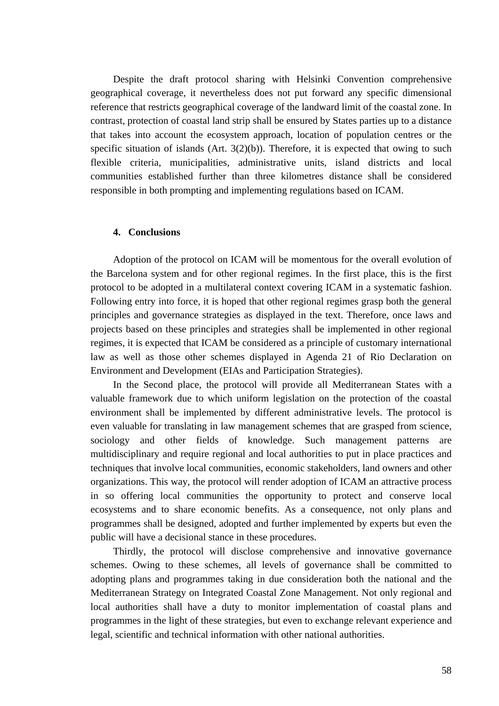Despite the draft protocol sharing with Helsinki Convention comprehensive geographical coverage, it nevertheless does not put forward any specific dimensional reference that restricts geographical coverage of the landward limit of the coastal zone. In contrast, protection of coastal land strip shall be ensured by States parties up to a distance that takes into account the ecosystem approach, location of population centres or the specific situation of islands (Art.  $3(2)(b)$ ). Therefore, it is expected that owing to such flexible criteria, municipalities, administrative units, island districts and local communities established further than three kilometres distance shall be considered responsible in both prompting and implementing regulations based on ICAM.

#### **4. Conclusions**

Adoption of the protocol on ICAM will be momentous for the overall evolution of the Barcelona system and for other regional regimes. In the first place, this is the first protocol to be adopted in a multilateral context covering ICAM in a systematic fashion. Following entry into force, it is hoped that other regional regimes grasp both the general principles and governance strategies as displayed in the text. Therefore, once laws and projects based on these principles and strategies shall be implemented in other regional regimes, it is expected that ICAM be considered as a principle of customary international law as well as those other schemes displayed in Agenda 21 of Rio Declaration on Environment and Development (EIAs and Participation Strategies).

In the Second place, the protocol will provide all Mediterranean States with a valuable framework due to which uniform legislation on the protection of the coastal environment shall be implemented by different administrative levels. The protocol is even valuable for translating in law management schemes that are grasped from science, sociology and other fields of knowledge. Such management patterns are multidisciplinary and require regional and local authorities to put in place practices and techniques that involve local communities, economic stakeholders, land owners and other organizations. This way, the protocol will render adoption of ICAM an attractive process in so offering local communities the opportunity to protect and conserve local ecosystems and to share economic benefits. As a consequence, not only plans and programmes shall be designed, adopted and further implemented by experts but even the public will have a decisional stance in these procedures.

Thirdly, the protocol will disclose comprehensive and innovative governance schemes. Owing to these schemes, all levels of governance shall be committed to adopting plans and programmes taking in due consideration both the national and the Mediterranean Strategy on Integrated Coastal Zone Management. Not only regional and local authorities shall have a duty to monitor implementation of coastal plans and programmes in the light of these strategies, but even to exchange relevant experience and legal, scientific and technical information with other national authorities.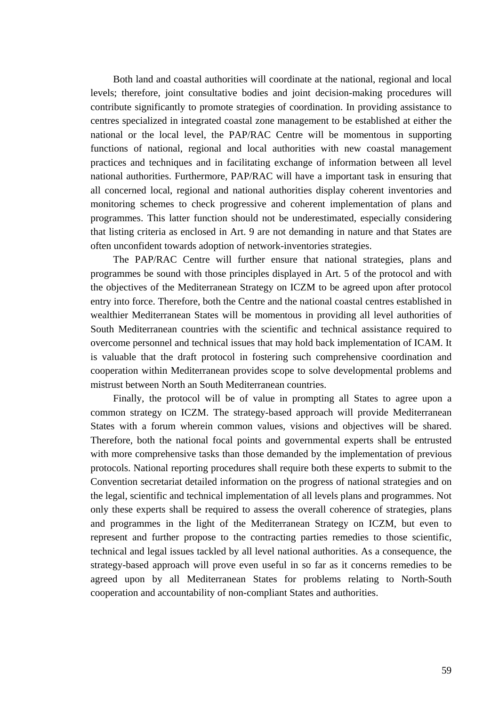Both land and coastal authorities will coordinate at the national, regional and local levels; therefore, joint consultative bodies and joint decision-making procedures will contribute significantly to promote strategies of coordination. In providing assistance to centres specialized in integrated coastal zone management to be established at either the national or the local level, the PAP/RAC Centre will be momentous in supporting functions of national, regional and local authorities with new coastal management practices and techniques and in facilitating exchange of information between all level national authorities. Furthermore, PAP/RAC will have a important task in ensuring that all concerned local, regional and national authorities display coherent inventories and monitoring schemes to check progressive and coherent implementation of plans and programmes. This latter function should not be underestimated, especially considering that listing criteria as enclosed in Art. 9 are not demanding in nature and that States are often unconfident towards adoption of network-inventories strategies.

The PAP/RAC Centre will further ensure that national strategies, plans and programmes be sound with those principles displayed in Art. 5 of the protocol and with the objectives of the Mediterranean Strategy on ICZM to be agreed upon after protocol entry into force. Therefore, both the Centre and the national coastal centres established in wealthier Mediterranean States will be momentous in providing all level authorities of South Mediterranean countries with the scientific and technical assistance required to overcome personnel and technical issues that may hold back implementation of ICAM. It is valuable that the draft protocol in fostering such comprehensive coordination and cooperation within Mediterranean provides scope to solve developmental problems and mistrust between North an South Mediterranean countries.

Finally, the protocol will be of value in prompting all States to agree upon a common strategy on ICZM. The strategy-based approach will provide Mediterranean States with a forum wherein common values, visions and objectives will be shared. Therefore, both the national focal points and governmental experts shall be entrusted with more comprehensive tasks than those demanded by the implementation of previous protocols. National reporting procedures shall require both these experts to submit to the Convention secretariat detailed information on the progress of national strategies and on the legal, scientific and technical implementation of all levels plans and programmes. Not only these experts shall be required to assess the overall coherence of strategies, plans and programmes in the light of the Mediterranean Strategy on ICZM, but even to represent and further propose to the contracting parties remedies to those scientific, technical and legal issues tackled by all level national authorities. As a consequence, the strategy-based approach will prove even useful in so far as it concerns remedies to be agreed upon by all Mediterranean States for problems relating to North-South cooperation and accountability of non-compliant States and authorities.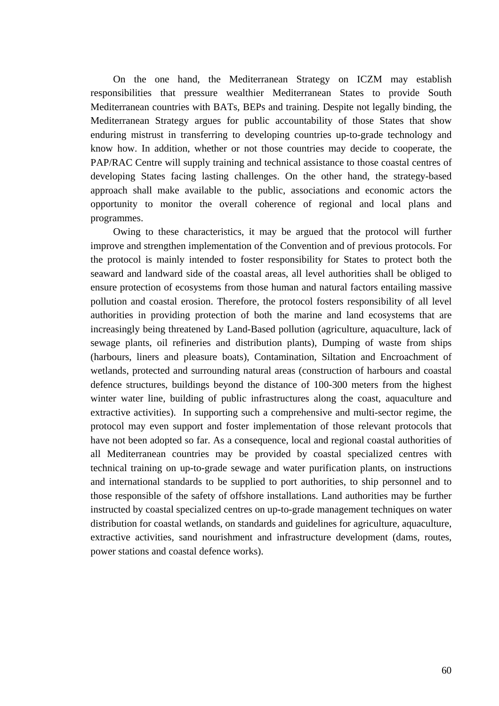On the one hand, the Mediterranean Strategy on ICZM may establish responsibilities that pressure wealthier Mediterranean States to provide South Mediterranean countries with BATs, BEPs and training. Despite not legally binding, the Mediterranean Strategy argues for public accountability of those States that show enduring mistrust in transferring to developing countries up-to-grade technology and know how. In addition, whether or not those countries may decide to cooperate, the PAP/RAC Centre will supply training and technical assistance to those coastal centres of developing States facing lasting challenges. On the other hand, the strategy-based approach shall make available to the public, associations and economic actors the opportunity to monitor the overall coherence of regional and local plans and programmes.

Owing to these characteristics, it may be argued that the protocol will further improve and strengthen implementation of the Convention and of previous protocols. For the protocol is mainly intended to foster responsibility for States to protect both the seaward and landward side of the coastal areas, all level authorities shall be obliged to ensure protection of ecosystems from those human and natural factors entailing massive pollution and coastal erosion. Therefore, the protocol fosters responsibility of all level authorities in providing protection of both the marine and land ecosystems that are increasingly being threatened by Land-Based pollution (agriculture, aquaculture, lack of sewage plants, oil refineries and distribution plants), Dumping of waste from ships (harbours, liners and pleasure boats), Contamination, Siltation and Encroachment of wetlands, protected and surrounding natural areas (construction of harbours and coastal defence structures, buildings beyond the distance of 100-300 meters from the highest winter water line, building of public infrastructures along the coast, aquaculture and extractive activities). In supporting such a comprehensive and multi-sector regime, the protocol may even support and foster implementation of those relevant protocols that have not been adopted so far. As a consequence, local and regional coastal authorities of all Mediterranean countries may be provided by coastal specialized centres with technical training on up-to-grade sewage and water purification plants, on instructions and international standards to be supplied to port authorities, to ship personnel and to those responsible of the safety of offshore installations. Land authorities may be further instructed by coastal specialized centres on up-to-grade management techniques on water distribution for coastal wetlands, on standards and guidelines for agriculture, aquaculture, extractive activities, sand nourishment and infrastructure development (dams, routes, power stations and coastal defence works).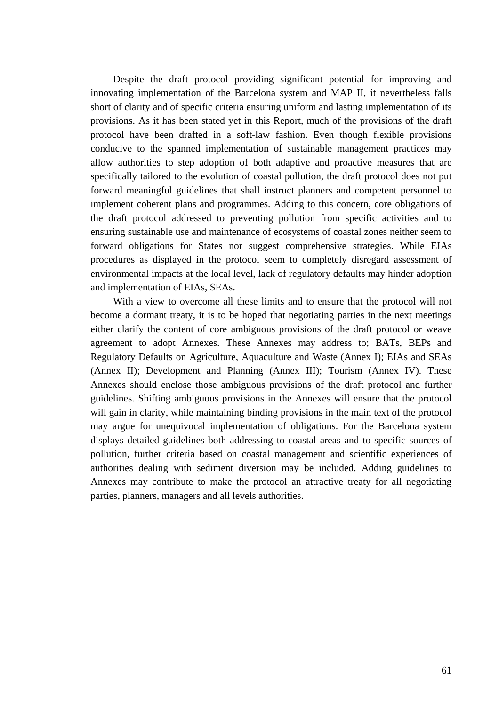Despite the draft protocol providing significant potential for improving and innovating implementation of the Barcelona system and MAP II, it nevertheless falls short of clarity and of specific criteria ensuring uniform and lasting implementation of its provisions. As it has been stated yet in this Report, much of the provisions of the draft protocol have been drafted in a soft-law fashion. Even though flexible provisions conducive to the spanned implementation of sustainable management practices may allow authorities to step adoption of both adaptive and proactive measures that are specifically tailored to the evolution of coastal pollution, the draft protocol does not put forward meaningful guidelines that shall instruct planners and competent personnel to implement coherent plans and programmes. Adding to this concern, core obligations of the draft protocol addressed to preventing pollution from specific activities and to ensuring sustainable use and maintenance of ecosystems of coastal zones neither seem to forward obligations for States nor suggest comprehensive strategies. While EIAs procedures as displayed in the protocol seem to completely disregard assessment of environmental impacts at the local level, lack of regulatory defaults may hinder adoption and implementation of EIAs, SEAs.

With a view to overcome all these limits and to ensure that the protocol will not become a dormant treaty, it is to be hoped that negotiating parties in the next meetings either clarify the content of core ambiguous provisions of the draft protocol or weave agreement to adopt Annexes. These Annexes may address to; BATs, BEPs and Regulatory Defaults on Agriculture, Aquaculture and Waste (Annex I); EIAs and SEAs (Annex II); Development and Planning (Annex III); Tourism (Annex IV). These Annexes should enclose those ambiguous provisions of the draft protocol and further guidelines. Shifting ambiguous provisions in the Annexes will ensure that the protocol will gain in clarity, while maintaining binding provisions in the main text of the protocol may argue for unequivocal implementation of obligations. For the Barcelona system displays detailed guidelines both addressing to coastal areas and to specific sources of pollution, further criteria based on coastal management and scientific experiences of authorities dealing with sediment diversion may be included. Adding guidelines to Annexes may contribute to make the protocol an attractive treaty for all negotiating parties, planners, managers and all levels authorities.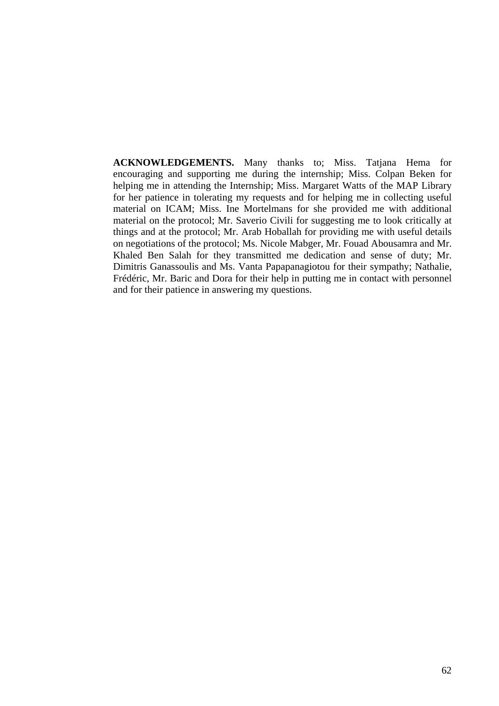**ACKNOWLEDGEMENTS.** Many thanks to; Miss. Tatjana Hema for encouraging and supporting me during the internship; Miss. Colpan Beken for helping me in attending the Internship; Miss. Margaret Watts of the MAP Library for her patience in tolerating my requests and for helping me in collecting useful material on ICAM; Miss. Ine Mortelmans for she provided me with additional material on the protocol; Mr. Saverio Civili for suggesting me to look critically at things and at the protocol; Mr. Arab Hoballah for providing me with useful details on negotiations of the protocol; Ms. Nicole Mabger, Mr. Fouad Abousamra and Mr. Khaled Ben Salah for they transmitted me dedication and sense of duty; Mr. Dimitris Ganassoulis and Ms. Vanta Papapanagiotou for their sympathy; Nathalie, Frédéric, Mr. Baric and Dora for their help in putting me in contact with personnel and for their patience in answering my questions.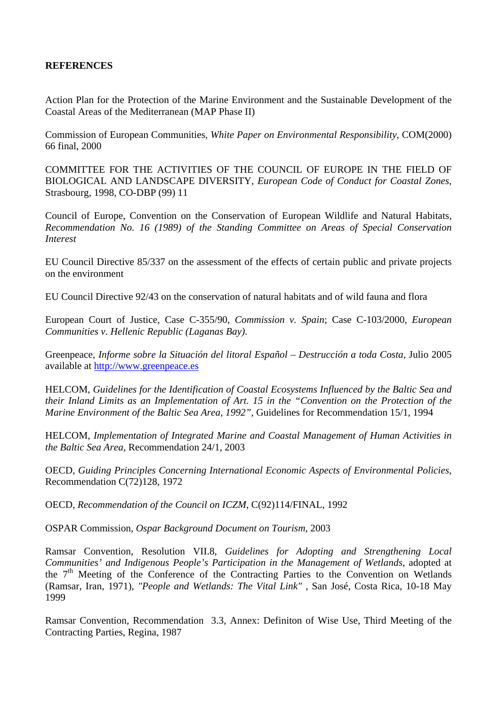## **REFERENCES**

Action Plan for the Protection of the Marine Environment and the Sustainable Development of the Coastal Areas of the Mediterranean (MAP Phase II)

Commission of European Communities, *White Paper on Environmental Responsibility*, COM(2000) 66 final, 2000

COMMITTEE FOR THE ACTIVITIES OF THE COUNCIL OF EUROPE IN THE FIELD OF BIOLOGICAL AND LANDSCAPE DIVERSITY, *European Code of Conduct for Coastal Zones*, Strasbourg, 1998, CO-DBP (99) 11

Council of Europe, Convention on the Conservation of European Wildlife and Natural Habitats, *Recommendation No. 16 (1989) of the Standing Committee on Areas of Special Conservation Interest* 

EU Council Directive 85/337 on the assessment of the effects of certain public and private projects on the environment

EU Council Directive 92/43 on the conservation of natural habitats and of wild fauna and flora

European Court of Justice, Case C-355/90, *Commission v. Spain*; Case C-103/2000, *European Communities v. Hellenic Republic (Laganas Bay)*.

Greenpeace, *Informe sobre la Situación del litoral Español – Destrucción a toda Costa*, Julio 2005 available at [http://www.greenpeace.es](http://www.greenpeace.es/)

HELCOM, *Guidelines for the Identification of Coastal Ecosystems Influenced by the Baltic Sea and their Inland Limits as an Implementation of Art. 15 in the "Convention on the Protection of the Marine Environment of the Baltic Sea Area, 1992"*, Guidelines for Recommendation 15/1, 1994

HELCOM, *Implementation of Integrated Marine and Coastal Management of Human Activities in the Baltic Sea Area*, Recommendation 24/1, 2003

OECD, *Guiding Principles Concerning International Economic Aspects of Environmental Policies*, Recommendation C(72)128, 1972

OECD, *Recommendation of the Council on ICZM*, C(92)114/FINAL, 1992

OSPAR Commission, *Ospar Background Document on Tourism*, 2003

Ramsar Convention, Resolution VII.8, *Guidelines for Adopting and Strengthening Local Communities' and Indigenous People's Participation in the Management of Wetlands*, adopted at the  $7<sup>th</sup>$  Meeting of the Conference of the Contracting Parties to the Convention on Wetlands (Ramsar, Iran, 1971), *"People and Wetlands: The Vital Link"* , San José, Costa Rica, 10-18 May 1999

Ramsar Convention, Recommendation 3.3, Annex: Definiton of Wise Use, Third Meeting of the Contracting Parties, Regina, 1987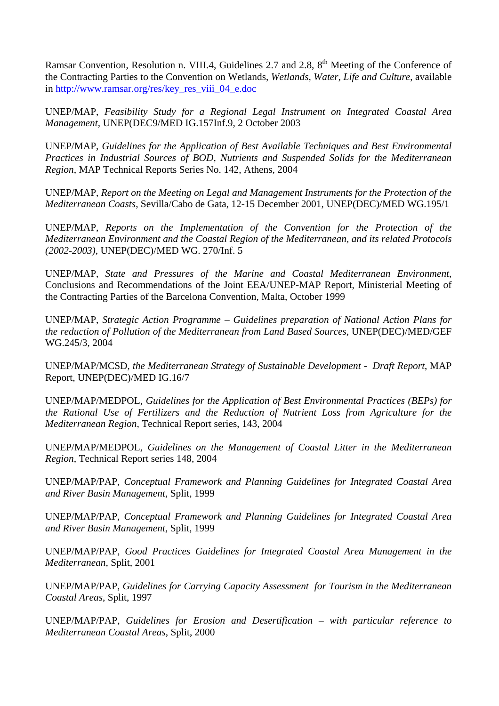Ramsar Convention, Resolution n. VIII.4, Guidelines 2.7 and 2.8, 8<sup>th</sup> Meeting of the Conference of the Contracting Parties to the Convention on Wetlands, *Wetlands, Water, Life and Culture*, available in [http://www.ramsar.org/res/key\\_res\\_viii\\_04\\_e.doc](http://www.ramsar.org/res/key_res_viii_04_e.doc)

UNEP/MAP, *Feasibility Study for a Regional Legal Instrument on Integrated Coastal Area Management,* UNEP(DEC9/MED IG.157Inf.9, 2 October 2003

UNEP/MAP, *Guidelines for the Application of Best Available Techniques and Best Environmental Practices in Industrial Sources of BOD, Nutrients and Suspended Solids for the Mediterranean Region*, MAP Technical Reports Series No. 142, Athens, 2004

UNEP/MAP, *Report on the Meeting on Legal and Management Instruments for the Protection of the Mediterranean Coasts*, Sevilla/Cabo de Gata, 12-15 December 2001, UNEP(DEC)/MED WG.195/1

UNEP/MAP, *Reports on the Implementation of the Convention for the Protection of the Mediterranean Environment and the Coastal Region of the Mediterranean, and its related Protocols (2002-2003)*, UNEP(DEC)/MED WG. 270/Inf. 5

UNEP/MAP, *State and Pressures of the Marine and Coastal Mediterranean Environment*, Conclusions and Recommendations of the Joint EEA/UNEP-MAP Report, Ministerial Meeting of the Contracting Parties of the Barcelona Convention, Malta, October 1999

UNEP/MAP, *Strategic Action Programme – Guidelines preparation of National Action Plans for the reduction of Pollution of the Mediterranean from Land Based Sources*, UNEP(DEC)/MED/GEF WG.245/3, 2004

UNEP/MAP/MCSD, *the Mediterranean Strategy of Sustainable Development - Draft Report*, MAP Report, UNEP(DEC)/MED IG.16/7

UNEP/MAP/MEDPOL, *Guidelines for the Application of Best Environmental Practices (BEPs) for the Rational Use of Fertilizers and the Reduction of Nutrient Loss from Agriculture for the Mediterranean Region*, Technical Report series, 143, 2004

UNEP/MAP/MEDPOL, *Guidelines on the Management of Coastal Litter in the Mediterranean Region*, Technical Report series 148, 2004

UNEP/MAP/PAP, *Conceptual Framework and Planning Guidelines for Integrated Coastal Area and River Basin Management*, Split, 1999

UNEP/MAP/PAP, *Conceptual Framework and Planning Guidelines for Integrated Coastal Area and River Basin Management*, Split, 1999

UNEP/MAP/PAP, *Good Practices Guidelines for Integrated Coastal Area Management in the Mediterranean*, Split, 2001

UNEP/MAP/PAP, *Guidelines for Carrying Capacity Assessment for Tourism in the Mediterranean Coastal Areas*, Split, 1997

UNEP/MAP/PAP, *Guidelines for Erosion and Desertification – with particular reference to Mediterranean Coastal Areas*, Split, 2000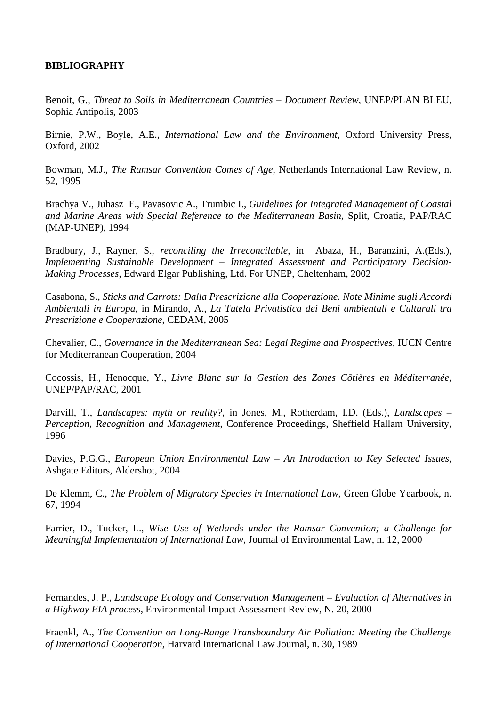## **BIBLIOGRAPHY**

Benoit, G., *Threat to Soils in Mediterranean Countries – Document Review*, UNEP/PLAN BLEU, Sophia Antipolis, 2003

Birnie, P.W., Boyle, A.E., *International Law and the Environment*, Oxford University Press, Oxford, 2002

Bowman, M.J., *The Ramsar Convention Comes of Age*, Netherlands International Law Review, n. 52, 1995

Brachya V., Juhasz F., Pavasovic A., Trumbic I., *Guidelines for Integrated Management of Coastal and Marine Areas with Special Reference to the Mediterranean Basin*, Split, Croatia, PAP/RAC (MAP-UNEP), 1994

Bradbury, J., Rayner, S., *reconciling the Irreconcilable*, in Abaza, H., Baranzini, A.(Eds.), *Implementing Sustainable Development – Integrated Assessment and Participatory Decision-Making Processes*, Edward Elgar Publishing, Ltd. For UNEP, Cheltenham, 2002

Casabona, S., *Sticks and Carrots: Dalla Prescrizione alla Cooperazione. Note Minime sugli Accordi Ambientali in Europa*, in Mirando, A., *La Tutela Privatistica dei Beni ambientali e Culturali tra Prescrizione e Cooperazione*, CEDAM, 2005

Chevalier, C., *Governance in the Mediterranean Sea: Legal Regime and Prospectives*, IUCN Centre for Mediterranean Cooperation, 2004

Cocossis, H., Henocque, Y., *Livre Blanc sur la Gestion des Zones Côtières en Méditerranée*, UNEP/PAP/RAC, 2001

Darvill, T., *Landscapes: myth or reality?*, in Jones, M., Rotherdam, I.D. (Eds.), *Landscapes – Perception, Recognition and Management*, Conference Proceedings, Sheffield Hallam University, 1996

Davies, P.G.G., *European Union Environmental Law – An Introduction to Key Selected Issues*, Ashgate Editors, Aldershot, 2004

De Klemm, C., *The Problem of Migratory Species in International Law*, Green Globe Yearbook, n. 67, 1994

Farrier, D., Tucker, L., *Wise Use of Wetlands under the Ramsar Convention; a Challenge for Meaningful Implementation of International Law*, Journal of Environmental Law, n. 12, 2000

Fernandes, J. P., *Landscape Ecology and Conservation Management – Evaluation of Alternatives in a Highway EIA process*, Environmental Impact Assessment Review, N. 20, 2000

Fraenkl, A., *The Convention on Long-Range Transboundary Air Pollution: Meeting the Challenge of International Cooperation*, Harvard International Law Journal, n. 30, 1989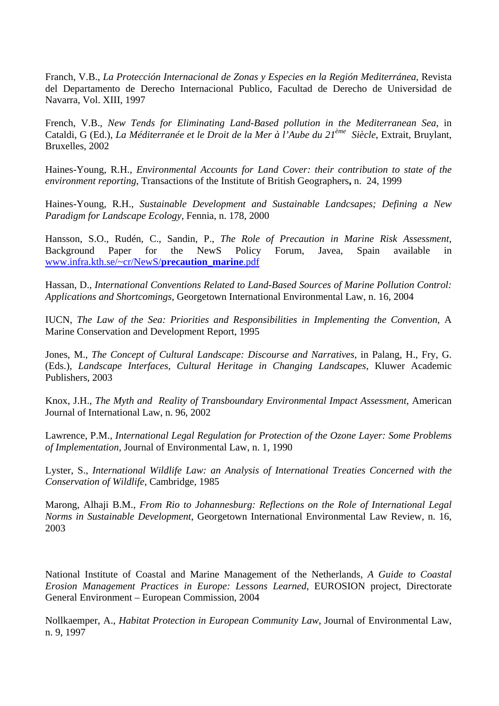Franch, V.B., *La Protección Internacional de Zonas y Especies en la Región Mediterránea*, Revista del Departamento de Derecho Internacional Publico, Facultad de Derecho de Universidad de Navarra, Vol. XIII, 1997

French, V.B., *New Tends for Eliminating Land-Based pollution in the Mediterranean Sea*, in Cataldi, G (Ed.), *La Méditerranée et le Droit de la Mer à l'Aube du 21ème Siècle*, Extrait, Bruylant, Bruxelles, 2002

Haines-Young, R.H., *Environmental Accounts for Land Cover: their contribution to state of the environment reporting*, Transactions of the Institute of British Geographers**,** n. 24, 1999

Haines-Young, R.H., *Sustainable Development and Sustainable Landcsapes; Defining a New Paradigm for Landscape Ecology*, Fennia, n. 178, 2000

Hansson, S.O., Rudén, C., Sandin, P., *The Role of Precaution in Marine Risk Assessment*, Background Paper for the NewS Policy Forum, Javea, Spain available in [www.infra.kth.se/~cr/NewS/](http://www.infra.kth.se/~cr/NewS/precaution_marine.pdf)**precaution**\_**marine**.pdf

Hassan, D., *International Conventions Related to Land-Based Sources of Marine Pollution Control: Applications and Shortcomings*, Georgetown International Environmental Law, n. 16, 2004

IUCN, *The Law of the Sea: Priorities and Responsibilities in Implementing the Convention*, A Marine Conservation and Development Report, 1995

Jones, M., *The Concept of Cultural Landscape: Discourse and Narratives*, in Palang, H., Fry, G. (Eds.), *Landscape Interfaces, Cultural Heritage in Changing Landscapes*, Kluwer Academic Publishers, 2003

Knox, J.H., *The Myth and Reality of Transboundary Environmental Impact Assessment*, American Journal of International Law, n. 96, 2002

Lawrence, P.M., *International Legal Regulation for Protection of the Ozone Layer: Some Problems of Implementation*, Journal of Environmental Law, n. 1, 1990

Lyster, S., *International Wildlife Law: an Analysis of International Treaties Concerned with the Conservation of Wildlife*, Cambridge, 1985

Marong, Alhaji B.M., *From Rio to Johannesburg: Reflections on the Role of International Legal Norms in Sustainable Development*, Georgetown International Environmental Law Review, n. 16, 2003

National Institute of Coastal and Marine Management of the Netherlands, *A Guide to Coastal Erosion Management Practices in Europe: Lessons Learned*, EUROSION project, Directorate General Environment – European Commission, 2004

Nollkaemper, A., *Habitat Protection in European Community Law*, Journal of Environmental Law, n. 9, 1997